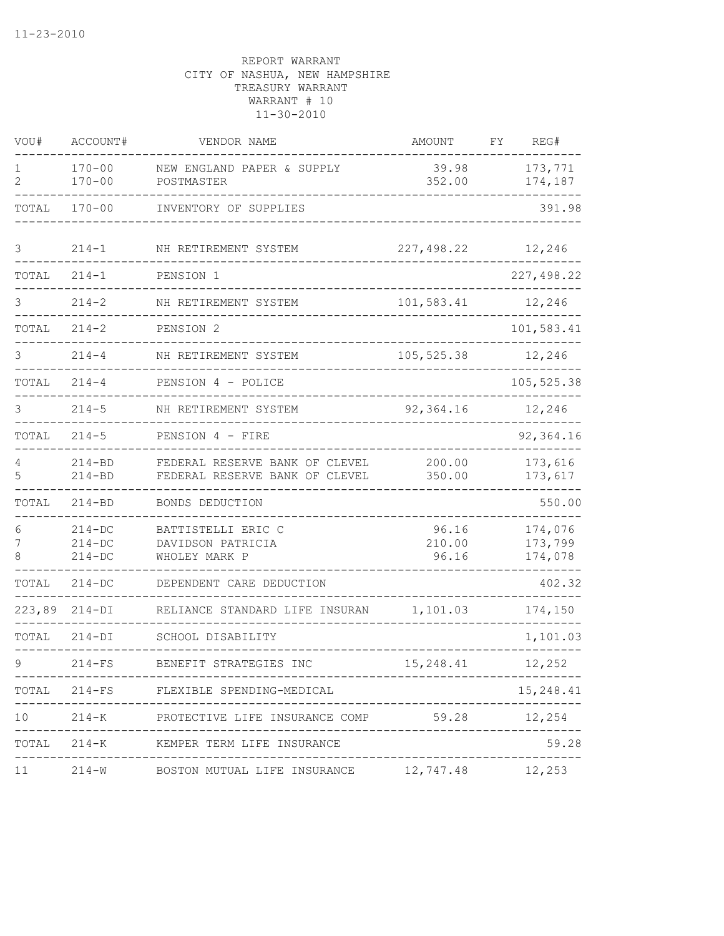| VOU#        | ACCOUNT#                             | VENDOR NAME                                                      | AMOUNT                      | FΥ | REG#                          |
|-------------|--------------------------------------|------------------------------------------------------------------|-----------------------------|----|-------------------------------|
| 1<br>2      | $170 - 00$<br>$170 - 00$             | NEW ENGLAND PAPER & SUPPLY<br>POSTMASTER                         | 39.98<br>352.00             |    | 173,771<br>174,187            |
| TOTAL       | $170 - 00$                           | INVENTORY OF SUPPLIES                                            |                             |    | 391.98                        |
| 3           | $214 - 1$                            | NH RETIREMENT SYSTEM                                             | 227,498.22                  |    | 12,246                        |
| TOTAL       | $214 - 1$                            | PENSION 1                                                        |                             |    | 227,498.22                    |
| 3           | $214 - 2$                            | NH RETIREMENT SYSTEM                                             | 101,583.41                  |    | 12,246                        |
| TOTAL       | $214 - 2$                            | PENSION 2                                                        |                             |    | 101,583.41                    |
|             | $214 - 4$                            | NH RETIREMENT SYSTEM                                             | 105, 525.38                 |    | 12,246                        |
| TOTAL       | $214 - 4$                            | PENSION 4 - POLICE                                               |                             |    | 105,525.38                    |
| 3           | $214 - 5$                            | NH RETIREMENT SYSTEM                                             | 92,364.16                   |    | 12,246                        |
| TOTAL       | $214 - 5$                            | PENSION 4 - FIRE                                                 |                             |    | 92,364.16                     |
| 4<br>5      | $214 - BD$<br>$214 - BD$             | FEDERAL RESERVE BANK OF CLEVEL<br>FEDERAL RESERVE BANK OF CLEVEL | 200.00<br>350.00            |    | 173,616<br>173,617            |
| TOTAL       | $214 - BD$                           | BONDS DEDUCTION                                                  |                             |    | 550.00                        |
| 6<br>7<br>8 | $214 - DC$<br>$214 - DC$<br>$214-DC$ | BATTISTELLI ERIC C<br>DAVIDSON PATRICIA<br>WHOLEY MARK P         | 96.16<br>210.00<br>96.16    |    | 174,076<br>173,799<br>174,078 |
| TOTAL       | $214-DC$                             | DEPENDENT CARE DEDUCTION                                         |                             |    | 402.32                        |
| 223,89      | $214-DI$                             | RELIANCE STANDARD LIFE INSURAN                                   | 1,101.03                    |    | 174,150                       |
| TOTAL       | $214 - DI$                           | SCHOOL DISABILITY                                                |                             |    | 1,101.03                      |
|             | $214-FS$                             | BENEFIT STRATEGIES INC                                           | 15,248.41                   |    | 12,252                        |
|             | -----------                          | TOTAL 214-FS FLEXIBLE SPENDING-MEDICAL                           |                             |    | 15,248.41                     |
|             |                                      | 10 214-K PROTECTIVE LIFE INSURANCE COMP 59.28 12,254             |                             |    |                               |
|             | -------------------------            | TOTAL 214-K KEMPER TERM LIFE INSURANCE                           | ___________________________ |    | 59.28                         |
|             |                                      | 11   214-W   BOSTON MUTUAL LIFE INSURANCE   12,747.48   12,253   |                             |    |                               |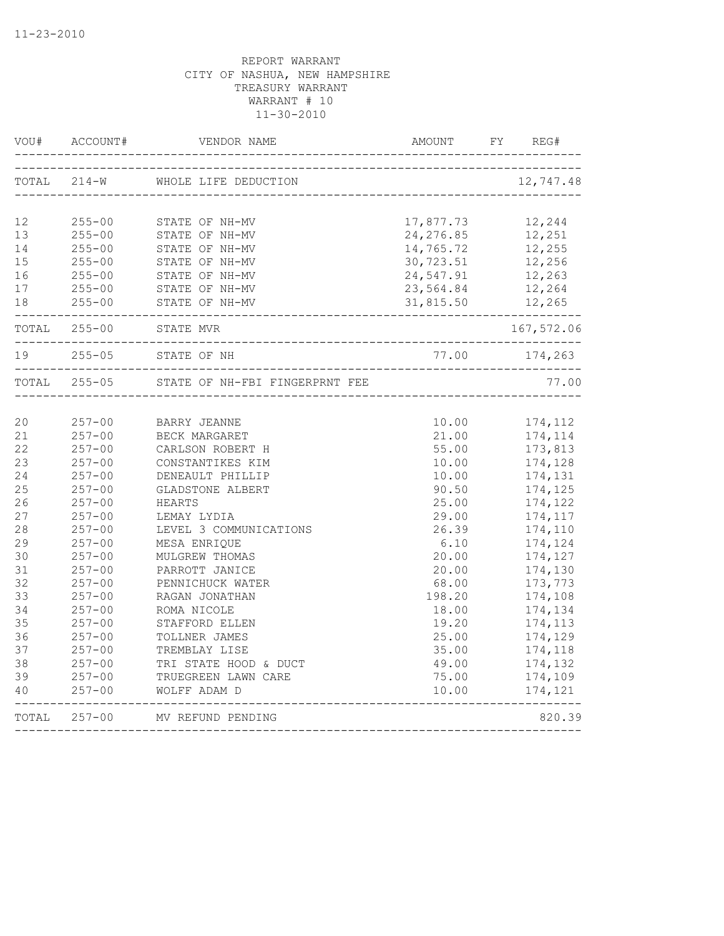| VOU#  | ACCOUNT#                 | VENDOR NAME                                               | AMOUNT     | FY<br>REG#    |
|-------|--------------------------|-----------------------------------------------------------|------------|---------------|
| TOTAL | $214-W$                  | WHOLE LIFE DEDUCTION                                      |            | 12,747.48     |
|       |                          |                                                           |            |               |
| 12    | $255 - 00$               | STATE OF NH-MV                                            | 17,877.73  | 12,244        |
| 13    | $255 - 00$               | STATE OF NH-MV                                            | 24, 276.85 | 12,251        |
| 14    | $255 - 00$               | STATE OF NH-MV                                            | 14,765.72  | 12,255        |
| 15    | $255 - 00$               | STATE OF NH-MV                                            | 30,723.51  | 12,256        |
| 16    | $255 - 00$               | STATE OF NH-MV                                            | 24,547.91  | 12,263        |
| 17    | $255 - 00$               | STATE OF NH-MV                                            | 23,564.84  | 12,264        |
| 18    | $255 - 00$<br>---------- | STATE OF NH-MV                                            | 31,815.50  | 12,265        |
|       | TOTAL 255-00             | STATE MVR<br>_________________________________            |            | 167,572.06    |
| 19    | $255 - 05$               | STATE OF NH<br>___________________________________        |            | 77.00 174,263 |
| TOTAL | $255 - 05$               | STATE OF NH-FBI FINGERPRNT FEE                            |            | 77.00         |
|       |                          |                                                           |            |               |
| 20    | $257 - 00$               | BARRY JEANNE                                              | 10.00      | 174,112       |
| 21    | $257 - 00$               | BECK MARGARET                                             | 21.00      | 174,114       |
| 22    | $257 - 00$               | CARLSON ROBERT H                                          | 55.00      | 173,813       |
| 23    | $257 - 00$               | CONSTANTIKES KIM                                          | 10.00      | 174,128       |
| 24    | $257 - 00$               | DENEAULT PHILLIP                                          | 10.00      | 174,131       |
| 25    | $257 - 00$               | GLADSTONE ALBERT                                          | 90.50      | 174,125       |
| 26    | $257 - 00$               | HEARTS                                                    | 25.00      | 174,122       |
| 27    | $257 - 00$               | LEMAY LYDIA                                               | 29.00      | 174,117       |
| 28    | $257 - 00$               | LEVEL 3 COMMUNICATIONS                                    | 26.39      | 174,110       |
| 29    | $257 - 00$               | MESA ENRIQUE                                              | 6.10       | 174,124       |
| 30    | $257 - 00$               | MULGREW THOMAS                                            | 20.00      | 174,127       |
| 31    | $257 - 00$               | PARROTT JANICE                                            | 20.00      | 174,130       |
| 32    | $257 - 00$               | PENNICHUCK WATER                                          | 68.00      | 173,773       |
| 33    | $257 - 00$               | RAGAN JONATHAN                                            | 198.20     | 174,108       |
| 34    | $257 - 00$               | ROMA NICOLE                                               | 18.00      | 174,134       |
| 35    | $257 - 00$               | STAFFORD ELLEN                                            | 19.20      | 174,113       |
| 36    | $257 - 00$               | TOLLNER JAMES                                             | 25.00      | 174,129       |
| 37    | $257 - 00$               | TREMBLAY LISE                                             | 35.00      | 174,118       |
| 38    | $257 - 00$               | TRI STATE HOOD & DUCT                                     | 49.00      | 174,132       |
| 39    | $257 - 00$               | TRUEGREEN LAWN CARE                                       | 75.00      | 174,109       |
| 40    | $257 - 00$               | WOLFF ADAM D                                              | 10.00      | 174,121       |
|       |                          | TOTAL 257-00 MV REFUND PENDING<br>_______________________ |            | 820.39        |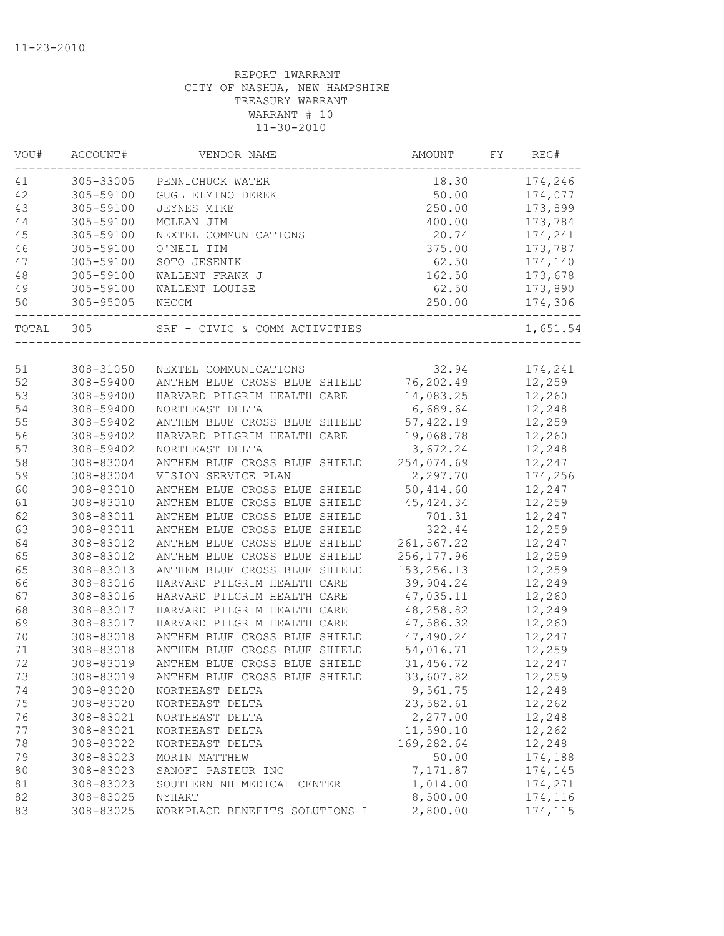| VOU#   | ACCOUNT#  | VENDOR NAME                    | AMOUNT       | FY | REG#     |
|--------|-----------|--------------------------------|--------------|----|----------|
| 41     | 305-33005 | PENNICHUCK WATER               | 18.30        |    | 174,246  |
| 42     | 305-59100 | GUGLIELMINO DEREK              | 50.00        |    | 174,077  |
| 43     | 305-59100 | <b>JEYNES MIKE</b>             | 250.00       |    | 173,899  |
| 44     | 305-59100 | MCLEAN JIM                     | 400.00       |    | 173,784  |
| 45     | 305-59100 | NEXTEL COMMUNICATIONS          | 20.74        |    | 174,241  |
| 46     | 305-59100 | O'NEIL TIM                     | 375.00       |    | 173,787  |
| 47     | 305-59100 | SOTO JESENIK                   | 62.50        |    | 174,140  |
| 48     | 305-59100 | WALLENT FRANK J                | 162.50       |    | 173,678  |
| 49     | 305-59100 | WALLENT LOUISE                 | 62.50        |    | 173,890  |
| 50     | 305-95005 | NHCCM                          | 250.00       |    | 174,306  |
| TOTAL  | 305       | SRF - CIVIC & COMM ACTIVITIES  |              |    | 1,651.54 |
|        |           |                                |              |    |          |
| 51     | 308-31050 | NEXTEL COMMUNICATIONS          | 32.94        |    | 174,241  |
| 52     | 308-59400 | ANTHEM BLUE CROSS BLUE SHIELD  | 76,202.49    |    | 12,259   |
| 53     | 308-59400 | HARVARD PILGRIM HEALTH CARE    | 14,083.25    |    | 12,260   |
| 54     | 308-59400 | NORTHEAST DELTA                | 6,689.64     |    | 12,248   |
| 55     | 308-59402 | ANTHEM BLUE CROSS BLUE SHIELD  | 57, 422.19   |    | 12,259   |
| 56     | 308-59402 | HARVARD PILGRIM HEALTH CARE    | 19,068.78    |    | 12,260   |
| 57     | 308-59402 | NORTHEAST DELTA                | 3,672.24     |    | 12,248   |
| 58     | 308-83004 | ANTHEM BLUE CROSS BLUE SHIELD  | 254,074.69   |    | 12,247   |
| 59     | 308-83004 | VISION SERVICE PLAN            | 2,297.70     |    | 174,256  |
| 60     | 308-83010 | ANTHEM BLUE CROSS BLUE SHIELD  | 50,414.60    |    | 12,247   |
| 61     | 308-83010 | ANTHEM BLUE CROSS BLUE SHIELD  | 45, 424.34   |    | 12,259   |
| 62     | 308-83011 | ANTHEM BLUE CROSS BLUE SHIELD  | 701.31       |    | 12,247   |
| 63     | 308-83011 | ANTHEM BLUE CROSS BLUE SHIELD  | 322.44       |    | 12,259   |
| 64     | 308-83012 | ANTHEM BLUE CROSS BLUE SHIELD  | 261,567.22   |    | 12,247   |
| 65     | 308-83012 | ANTHEM BLUE CROSS BLUE SHIELD  | 256, 177.96  |    | 12,259   |
| 65     | 308-83013 | ANTHEM BLUE CROSS BLUE SHIELD  | 153, 256. 13 |    | 12,259   |
| 66     | 308-83016 | HARVARD PILGRIM HEALTH CARE    | 39,904.24    |    | 12,249   |
| 67     | 308-83016 | HARVARD PILGRIM HEALTH CARE    | 47,035.11    |    | 12,260   |
| 68     | 308-83017 | HARVARD PILGRIM HEALTH CARE    | 48,258.82    |    | 12,249   |
| 69     | 308-83017 | HARVARD PILGRIM HEALTH CARE    | 47,586.32    |    | 12,260   |
| 70     | 308-83018 | ANTHEM BLUE CROSS BLUE SHIELD  | 47,490.24    |    | 12,247   |
| $71\,$ | 308-83018 | ANTHEM BLUE CROSS BLUE SHIELD  | 54,016.71    |    | 12,259   |
| 72     | 308-83019 | ANTHEM BLUE CROSS BLUE SHIELD  | 31,456.72    |    | 12,247   |
| 73     | 308-83019 | ANTHEM BLUE CROSS BLUE SHIELD  | 33,607.82    |    | 12,259   |
| 74     | 308-83020 | NORTHEAST DELTA                | 9,561.75     |    | 12,248   |
| 75     | 308-83020 | NORTHEAST DELTA                | 23,582.61    |    | 12,262   |
| 76     | 308-83021 | NORTHEAST DELTA                | 2,277.00     |    | 12,248   |
| 77     | 308-83021 | NORTHEAST DELTA                | 11,590.10    |    | 12,262   |
| 78     | 308-83022 | NORTHEAST DELTA                | 169,282.64   |    | 12,248   |
| 79     | 308-83023 | MORIN MATTHEW                  | 50.00        |    | 174,188  |
| 80     | 308-83023 | SANOFI PASTEUR INC             | 7,171.87     |    | 174,145  |
| 81     | 308-83023 | SOUTHERN NH MEDICAL CENTER     | 1,014.00     |    | 174,271  |
| 82     | 308-83025 | NYHART                         | 8,500.00     |    | 174,116  |
| 83     | 308-83025 | WORKPLACE BENEFITS SOLUTIONS L | 2,800.00     |    | 174,115  |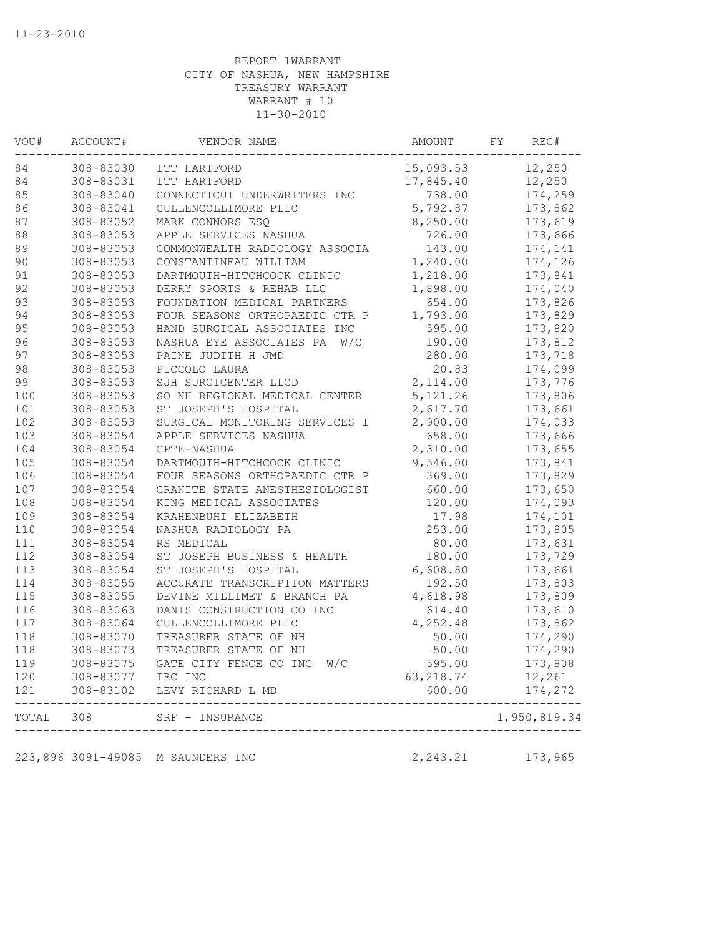| 84<br>308-83030<br>15,093.53<br>ITT HARTFORD<br>84<br>308-83031<br>ITT HARTFORD<br>17,845.40<br>85<br>308-83040<br>CONNECTICUT UNDERWRITERS INC<br>86<br>308-83041<br>5,792.87<br>CULLENCOLLIMORE PLLC<br>87<br>8,250.00<br>308-83052<br>MARK CONNORS ESQ<br>88<br>308-83053<br>APPLE SERVICES NASHUA<br>89<br>308-83053<br>COMMONWEALTH RADIOLOGY ASSOCIA<br>90<br>308-83053<br>1,240.00<br>CONSTANTINEAU WILLIAM<br>91<br>1,218.00<br>308-83053<br>DARTMOUTH-HITCHCOCK CLINIC<br>92<br>308-83053<br>DERRY SPORTS & REHAB LLC<br>1,898.00<br>93<br>308-83053<br>FOUNDATION MEDICAL PARTNERS<br>94<br>FOUR SEASONS ORTHOPAEDIC CTR P<br>1,793.00<br>308-83053<br>95<br>308-83053<br>HAND SURGICAL ASSOCIATES INC<br>96<br>308-83053<br>NASHUA EYE ASSOCIATES PA<br>W/C<br>97<br>308-83053<br>PAINE JUDITH H JMD<br>98<br>308-83053<br>PICCOLO LAURA<br>99<br>308-83053<br>2,114.00<br>SJH SURGICENTER LLCD<br>100<br>5, 121.26<br>308-83053<br>SO NH REGIONAL MEDICAL CENTER<br>101<br>308-83053<br>ST JOSEPH'S HOSPITAL<br>2,617.70<br>102<br>308-83053<br>SURGICAL MONITORING SERVICES I<br>2,900.00<br>103<br>308-83054<br>APPLE SERVICES NASHUA<br>104<br>308-83054<br>CPTE-NASHUA<br>2,310.00<br>105<br>308-83054<br>DARTMOUTH-HITCHCOCK CLINIC<br>9,546.00<br>106<br>308-83054<br>FOUR SEASONS ORTHOPAEDIC CTR P<br>107<br>308-83054<br>GRANITE STATE ANESTHESIOLOGIST | 12,250<br>12,250<br>738.00<br>174,259<br>173,862<br>173,619 |
|------------------------------------------------------------------------------------------------------------------------------------------------------------------------------------------------------------------------------------------------------------------------------------------------------------------------------------------------------------------------------------------------------------------------------------------------------------------------------------------------------------------------------------------------------------------------------------------------------------------------------------------------------------------------------------------------------------------------------------------------------------------------------------------------------------------------------------------------------------------------------------------------------------------------------------------------------------------------------------------------------------------------------------------------------------------------------------------------------------------------------------------------------------------------------------------------------------------------------------------------------------------------------------------------------------------------------------------------------------------------------|-------------------------------------------------------------|
|                                                                                                                                                                                                                                                                                                                                                                                                                                                                                                                                                                                                                                                                                                                                                                                                                                                                                                                                                                                                                                                                                                                                                                                                                                                                                                                                                                              |                                                             |
|                                                                                                                                                                                                                                                                                                                                                                                                                                                                                                                                                                                                                                                                                                                                                                                                                                                                                                                                                                                                                                                                                                                                                                                                                                                                                                                                                                              |                                                             |
|                                                                                                                                                                                                                                                                                                                                                                                                                                                                                                                                                                                                                                                                                                                                                                                                                                                                                                                                                                                                                                                                                                                                                                                                                                                                                                                                                                              |                                                             |
|                                                                                                                                                                                                                                                                                                                                                                                                                                                                                                                                                                                                                                                                                                                                                                                                                                                                                                                                                                                                                                                                                                                                                                                                                                                                                                                                                                              |                                                             |
|                                                                                                                                                                                                                                                                                                                                                                                                                                                                                                                                                                                                                                                                                                                                                                                                                                                                                                                                                                                                                                                                                                                                                                                                                                                                                                                                                                              |                                                             |
|                                                                                                                                                                                                                                                                                                                                                                                                                                                                                                                                                                                                                                                                                                                                                                                                                                                                                                                                                                                                                                                                                                                                                                                                                                                                                                                                                                              | 726.00<br>173,666                                           |
|                                                                                                                                                                                                                                                                                                                                                                                                                                                                                                                                                                                                                                                                                                                                                                                                                                                                                                                                                                                                                                                                                                                                                                                                                                                                                                                                                                              | 143.00<br>174,141                                           |
|                                                                                                                                                                                                                                                                                                                                                                                                                                                                                                                                                                                                                                                                                                                                                                                                                                                                                                                                                                                                                                                                                                                                                                                                                                                                                                                                                                              | 174,126                                                     |
|                                                                                                                                                                                                                                                                                                                                                                                                                                                                                                                                                                                                                                                                                                                                                                                                                                                                                                                                                                                                                                                                                                                                                                                                                                                                                                                                                                              | 173,841                                                     |
|                                                                                                                                                                                                                                                                                                                                                                                                                                                                                                                                                                                                                                                                                                                                                                                                                                                                                                                                                                                                                                                                                                                                                                                                                                                                                                                                                                              | 174,040                                                     |
|                                                                                                                                                                                                                                                                                                                                                                                                                                                                                                                                                                                                                                                                                                                                                                                                                                                                                                                                                                                                                                                                                                                                                                                                                                                                                                                                                                              | 654.00<br>173,826                                           |
|                                                                                                                                                                                                                                                                                                                                                                                                                                                                                                                                                                                                                                                                                                                                                                                                                                                                                                                                                                                                                                                                                                                                                                                                                                                                                                                                                                              | 173,829                                                     |
|                                                                                                                                                                                                                                                                                                                                                                                                                                                                                                                                                                                                                                                                                                                                                                                                                                                                                                                                                                                                                                                                                                                                                                                                                                                                                                                                                                              | 595.00<br>173,820                                           |
|                                                                                                                                                                                                                                                                                                                                                                                                                                                                                                                                                                                                                                                                                                                                                                                                                                                                                                                                                                                                                                                                                                                                                                                                                                                                                                                                                                              | 190.00<br>173,812                                           |
|                                                                                                                                                                                                                                                                                                                                                                                                                                                                                                                                                                                                                                                                                                                                                                                                                                                                                                                                                                                                                                                                                                                                                                                                                                                                                                                                                                              | 173,718<br>280.00                                           |
|                                                                                                                                                                                                                                                                                                                                                                                                                                                                                                                                                                                                                                                                                                                                                                                                                                                                                                                                                                                                                                                                                                                                                                                                                                                                                                                                                                              | 20.83<br>174,099                                            |
|                                                                                                                                                                                                                                                                                                                                                                                                                                                                                                                                                                                                                                                                                                                                                                                                                                                                                                                                                                                                                                                                                                                                                                                                                                                                                                                                                                              | 173,776                                                     |
|                                                                                                                                                                                                                                                                                                                                                                                                                                                                                                                                                                                                                                                                                                                                                                                                                                                                                                                                                                                                                                                                                                                                                                                                                                                                                                                                                                              | 173,806                                                     |
|                                                                                                                                                                                                                                                                                                                                                                                                                                                                                                                                                                                                                                                                                                                                                                                                                                                                                                                                                                                                                                                                                                                                                                                                                                                                                                                                                                              | 173,661                                                     |
|                                                                                                                                                                                                                                                                                                                                                                                                                                                                                                                                                                                                                                                                                                                                                                                                                                                                                                                                                                                                                                                                                                                                                                                                                                                                                                                                                                              | 174,033                                                     |
|                                                                                                                                                                                                                                                                                                                                                                                                                                                                                                                                                                                                                                                                                                                                                                                                                                                                                                                                                                                                                                                                                                                                                                                                                                                                                                                                                                              | 658.00<br>173,666                                           |
|                                                                                                                                                                                                                                                                                                                                                                                                                                                                                                                                                                                                                                                                                                                                                                                                                                                                                                                                                                                                                                                                                                                                                                                                                                                                                                                                                                              | 173,655                                                     |
|                                                                                                                                                                                                                                                                                                                                                                                                                                                                                                                                                                                                                                                                                                                                                                                                                                                                                                                                                                                                                                                                                                                                                                                                                                                                                                                                                                              | 173,841                                                     |
|                                                                                                                                                                                                                                                                                                                                                                                                                                                                                                                                                                                                                                                                                                                                                                                                                                                                                                                                                                                                                                                                                                                                                                                                                                                                                                                                                                              | 369.00<br>173,829                                           |
|                                                                                                                                                                                                                                                                                                                                                                                                                                                                                                                                                                                                                                                                                                                                                                                                                                                                                                                                                                                                                                                                                                                                                                                                                                                                                                                                                                              | 660.00<br>173,650                                           |
| 108<br>308-83054<br>KING MEDICAL ASSOCIATES                                                                                                                                                                                                                                                                                                                                                                                                                                                                                                                                                                                                                                                                                                                                                                                                                                                                                                                                                                                                                                                                                                                                                                                                                                                                                                                                  | 120.00<br>174,093                                           |
| 109<br>308-83054<br>KRAHENBUHI ELIZABETH                                                                                                                                                                                                                                                                                                                                                                                                                                                                                                                                                                                                                                                                                                                                                                                                                                                                                                                                                                                                                                                                                                                                                                                                                                                                                                                                     | 17.98<br>174,101                                            |
| 110<br>308-83054<br>NASHUA RADIOLOGY PA                                                                                                                                                                                                                                                                                                                                                                                                                                                                                                                                                                                                                                                                                                                                                                                                                                                                                                                                                                                                                                                                                                                                                                                                                                                                                                                                      | 253.00<br>173,805                                           |
| 111<br>308-83054<br>RS MEDICAL                                                                                                                                                                                                                                                                                                                                                                                                                                                                                                                                                                                                                                                                                                                                                                                                                                                                                                                                                                                                                                                                                                                                                                                                                                                                                                                                               | 80.00<br>173,631                                            |
| 112<br>308-83054<br>ST JOSEPH BUSINESS & HEALTH                                                                                                                                                                                                                                                                                                                                                                                                                                                                                                                                                                                                                                                                                                                                                                                                                                                                                                                                                                                                                                                                                                                                                                                                                                                                                                                              | 180.00<br>173,729                                           |
| 113<br>308-83054<br>6,608.80<br>ST JOSEPH'S HOSPITAL                                                                                                                                                                                                                                                                                                                                                                                                                                                                                                                                                                                                                                                                                                                                                                                                                                                                                                                                                                                                                                                                                                                                                                                                                                                                                                                         | 173,661                                                     |
| 114<br>308-83055<br>ACCURATE TRANSCRIPTION MATTERS                                                                                                                                                                                                                                                                                                                                                                                                                                                                                                                                                                                                                                                                                                                                                                                                                                                                                                                                                                                                                                                                                                                                                                                                                                                                                                                           | 192.50<br>173,803                                           |
| 115<br>308-83055<br>DEVINE MILLIMET & BRANCH PA<br>4,618.98                                                                                                                                                                                                                                                                                                                                                                                                                                                                                                                                                                                                                                                                                                                                                                                                                                                                                                                                                                                                                                                                                                                                                                                                                                                                                                                  | 173,809                                                     |
| 116<br>308-83063<br>DANIS CONSTRUCTION CO INC                                                                                                                                                                                                                                                                                                                                                                                                                                                                                                                                                                                                                                                                                                                                                                                                                                                                                                                                                                                                                                                                                                                                                                                                                                                                                                                                | 614.40<br>173,610                                           |
| 4,252.48<br>117<br>308-83064<br>CULLENCOLLIMORE PLLC                                                                                                                                                                                                                                                                                                                                                                                                                                                                                                                                                                                                                                                                                                                                                                                                                                                                                                                                                                                                                                                                                                                                                                                                                                                                                                                         | 173,862                                                     |
| 118<br>308-83070<br>TREASURER STATE OF NH                                                                                                                                                                                                                                                                                                                                                                                                                                                                                                                                                                                                                                                                                                                                                                                                                                                                                                                                                                                                                                                                                                                                                                                                                                                                                                                                    | 50.00<br>174,290                                            |
| 118<br>308-83073<br>TREASURER STATE OF NH                                                                                                                                                                                                                                                                                                                                                                                                                                                                                                                                                                                                                                                                                                                                                                                                                                                                                                                                                                                                                                                                                                                                                                                                                                                                                                                                    | 50.00<br>174,290                                            |
| 119<br>308-83075<br>GATE CITY FENCE CO INC<br>W/C                                                                                                                                                                                                                                                                                                                                                                                                                                                                                                                                                                                                                                                                                                                                                                                                                                                                                                                                                                                                                                                                                                                                                                                                                                                                                                                            | 595.00<br>173,808                                           |
| 120<br>308-83077 IRC INC<br>63, 218.74                                                                                                                                                                                                                                                                                                                                                                                                                                                                                                                                                                                                                                                                                                                                                                                                                                                                                                                                                                                                                                                                                                                                                                                                                                                                                                                                       | 12,261                                                      |
| 121<br>308-83102<br>LEVY RICHARD L MD                                                                                                                                                                                                                                                                                                                                                                                                                                                                                                                                                                                                                                                                                                                                                                                                                                                                                                                                                                                                                                                                                                                                                                                                                                                                                                                                        | 600.00<br>174,272<br>$--- -$                                |
| 308<br>TOTAL<br>SRF - INSURANCE                                                                                                                                                                                                                                                                                                                                                                                                                                                                                                                                                                                                                                                                                                                                                                                                                                                                                                                                                                                                                                                                                                                                                                                                                                                                                                                                              | 1,950,819.34                                                |
| 2,243.21<br>223,896 3091-49085 M SAUNDERS INC                                                                                                                                                                                                                                                                                                                                                                                                                                                                                                                                                                                                                                                                                                                                                                                                                                                                                                                                                                                                                                                                                                                                                                                                                                                                                                                                | 173,965                                                     |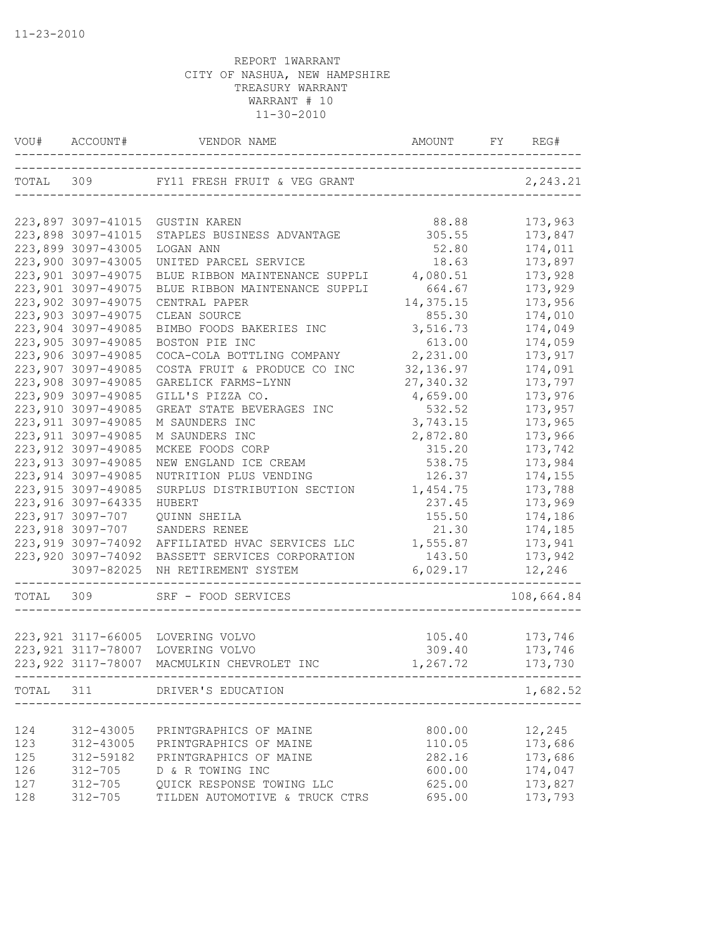|           | VOU# ACCOUNT#       |                                              |                | REG#       |
|-----------|---------------------|----------------------------------------------|----------------|------------|
|           |                     |                                              |                | 2, 243.21  |
|           |                     |                                              |                |            |
|           |                     | 223,897 3097-41015 GUSTIN KAREN              | 88.88          | 173,963    |
|           | 223,898 3097-41015  | STAPLES BUSINESS ADVANTAGE                   | 305.55         | 173,847    |
|           | 223,899 3097-43005  | LOGAN ANN                                    | 52.80          | 174,011    |
|           | 223,900 3097-43005  | UNITED PARCEL SERVICE                        | 18.63          | 173,897    |
|           | 223,901 3097-49075  | BLUE RIBBON MAINTENANCE SUPPLI               | 4,080.51       | 173,928    |
|           | 223,901 3097-49075  | BLUE RIBBON MAINTENANCE SUPPLI               | 664.67         | 173,929    |
|           | 223,902 3097-49075  | CENTRAL PAPER                                | 14,375.15      | 173,956    |
|           | 223,903 3097-49075  | CLEAN SOURCE                                 | 855.30         | 174,010    |
|           | 223,904 3097-49085  | BIMBO FOODS BAKERIES INC                     | 3,516.73       | 174,049    |
|           | 223,905 3097-49085  | BOSTON PIE INC                               | 613.00         | 174,059    |
|           | 223,906 3097-49085  | COCA-COLA BOTTLING COMPANY                   | 2,231.00       | 173,917    |
|           | 223,907 3097-49085  | COSTA FRUIT & PRODUCE CO INC                 | 32, 136.97     | 174,091    |
|           | 223,908 3097-49085  | GARELICK FARMS-LYNN                          | 27,340.32      | 173,797    |
|           | 223,909 3097-49085  | GILL'S PIZZA CO.                             | 4,659.00       | 173,976    |
|           | 223,910 3097-49085  | GREAT STATE BEVERAGES INC                    | 532.52         | 173,957    |
|           | 223, 911 3097-49085 | M SAUNDERS INC                               | 3,743.15       | 173,965    |
|           | 223, 911 3097-49085 | M SAUNDERS INC                               | 2,872.80       | 173,966    |
|           | 223, 912 3097-49085 | MCKEE FOODS CORP                             | 315.20         | 173,742    |
|           | 223, 913 3097-49085 | NEW ENGLAND ICE CREAM                        | 538.75         | 173,984    |
|           | 223, 914 3097-49085 | NUTRITION PLUS VENDING                       | 126.37         | 174,155    |
|           | 223, 915 3097-49085 | SURPLUS DISTRIBUTION SECTION                 | 1,454.75       | 173,788    |
|           | 223, 916 3097-64335 | HUBERT                                       | 237.45         | 173,969    |
|           | 223,917 3097-707    | QUINN SHEILA                                 | 155.50         | 174,186    |
|           | 223,918 3097-707    | SANDERS RENEE                                | 21.30          | 174,185    |
|           | 223,919 3097-74092  | AFFILIATED HVAC SERVICES LLC                 | 1,555.87       | 173,941    |
|           | 223,920 3097-74092  | BASSETT SERVICES CORPORATION                 | 143.50         | 173,942    |
|           | 3097-82025          | NH RETIREMENT SYSTEM                         | 6,029.17       | 12,246     |
| TOTAL 309 |                     | SRF - FOOD SERVICES<br>_____________________ |                | 108,664.84 |
|           |                     |                                              |                |            |
|           |                     | 223,921 3117-66005 LOVERING VOLVO            | 105.40         | 173,746    |
|           | 223, 921 3117-78007 | LOVERING VOLVO                               | 309.40 173,746 |            |
|           |                     | 223,922 3117-78007 MACMULKIN CHEVROLET INC   | 1,267.72       | 173,730    |
|           |                     | TOTAL 311 DRIVER'S EDUCATION                 |                | 1,682.52   |
|           |                     |                                              |                |            |
| 124       | 312-43005           | PRINTGRAPHICS OF MAINE                       | 800.00         | 12,245     |
| 123       | 312-43005           | PRINTGRAPHICS OF MAINE                       | 110.05         | 173,686    |
| 125       | 312-59182           | PRINTGRAPHICS OF MAINE                       | 282.16         | 173,686    |
| 126       | $312 - 705$         | D & R TOWING INC                             | 600.00         | 174,047    |
| 127       | $312 - 705$         | QUICK RESPONSE TOWING LLC                    | 625.00         | 173,827    |
| 128       | $312 - 705$         | TILDEN AUTOMOTIVE & TRUCK CTRS               | 695.00         | 173,793    |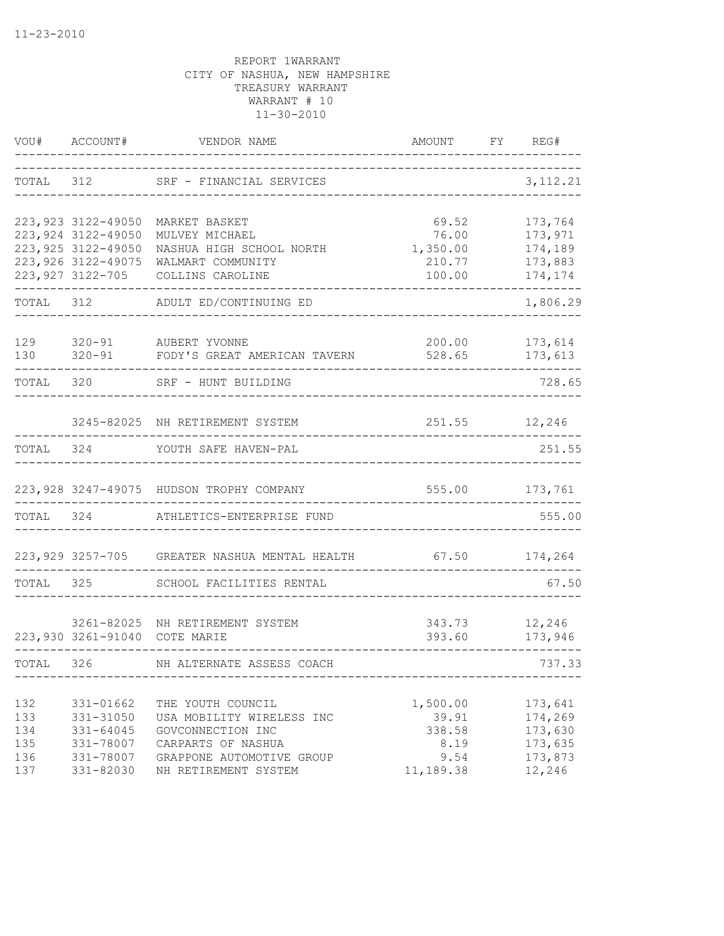| VOU#       | ACCOUNT#                                   | VENDOR NAME                                       | AMOUNT              | FY | REG#               |
|------------|--------------------------------------------|---------------------------------------------------|---------------------|----|--------------------|
| TOTAL 312  |                                            | SRF - FINANCIAL SERVICES                          | ___________________ |    | 3, 112. 21         |
|            | 223, 923 3122-49050                        | MARKET BASKET                                     | 69.52               |    | 173,764            |
|            | 223, 924 3122-49050<br>223, 925 3122-49050 | MULVEY MICHAEL<br>NASHUA HIGH SCHOOL NORTH        | 76.00<br>1,350.00   |    | 173,971<br>174,189 |
|            | 223, 926 3122-49075                        | WALMART COMMUNITY                                 | 210.77              |    | 173,883            |
|            | 223, 927 3122-705                          | COLLINS CAROLINE                                  | 100.00<br>--------- |    | 174,174            |
| TOTAL 312  |                                            | ADULT ED/CONTINUING ED                            |                     |    | 1,806.29           |
| 129        |                                            | 320-91 AUBERT YVONNE                              | 200.00              |    | 173,614            |
| 130        | $320 - 91$                                 | FODY'S GREAT AMERICAN TAVERN                      | 528.65              |    | 173,613            |
| TOTAL      | 320                                        | SRF - HUNT BUILDING                               |                     |    | 728.65             |
|            |                                            | 3245-82025 NH RETIREMENT SYSTEM                   | 251.55 12,246       |    |                    |
| TOTAL      | 324                                        | YOUTH SAFE HAVEN-PAL                              |                     |    | 251.55             |
|            |                                            | 223,928 3247-49075 HUDSON TROPHY COMPANY          |                     |    | 555.00 173,761     |
| TOTAL 324  |                                            | ATHLETICS-ENTERPRISE FUND                         |                     |    | 555.00             |
|            |                                            | 223,929 3257-705 GREATER NASHUA MENTAL HEALTH     | $67.50$ $174,264$   |    |                    |
| TOTAL      | 325                                        | SCHOOL FACILITIES RENTAL                          |                     |    | 67.50              |
|            |                                            | 3261-82025 NH RETIREMENT SYSTEM                   | 343.73 12,246       |    |                    |
|            | 223,930 3261-91040 COTE MARIE              |                                                   | 393.60              |    | 173,946            |
| TOTAL 326  |                                            | NH ALTERNATE ASSESS COACH                         |                     |    | 737.33             |
| 132        | 331-01662                                  | THE YOUTH COUNCIL                                 | 1,500.00            |    | 173,641            |
| 133        | 331-31050                                  | USA MOBILITY WIRELESS INC                         | 39.91               |    | 174,269            |
| 134        | $331 - 64045$                              | GOVCONNECTION INC                                 | 338.58              |    | 173,630            |
| 135        | 331-78007                                  | CARPARTS OF NASHUA                                | 8.19                |    | 173,635            |
| 136<br>137 | 331-78007<br>331-82030                     | GRAPPONE AUTOMOTIVE GROUP<br>NH RETIREMENT SYSTEM | 9.54<br>11,189.38   |    | 173,873<br>12,246  |
|            |                                            |                                                   |                     |    |                    |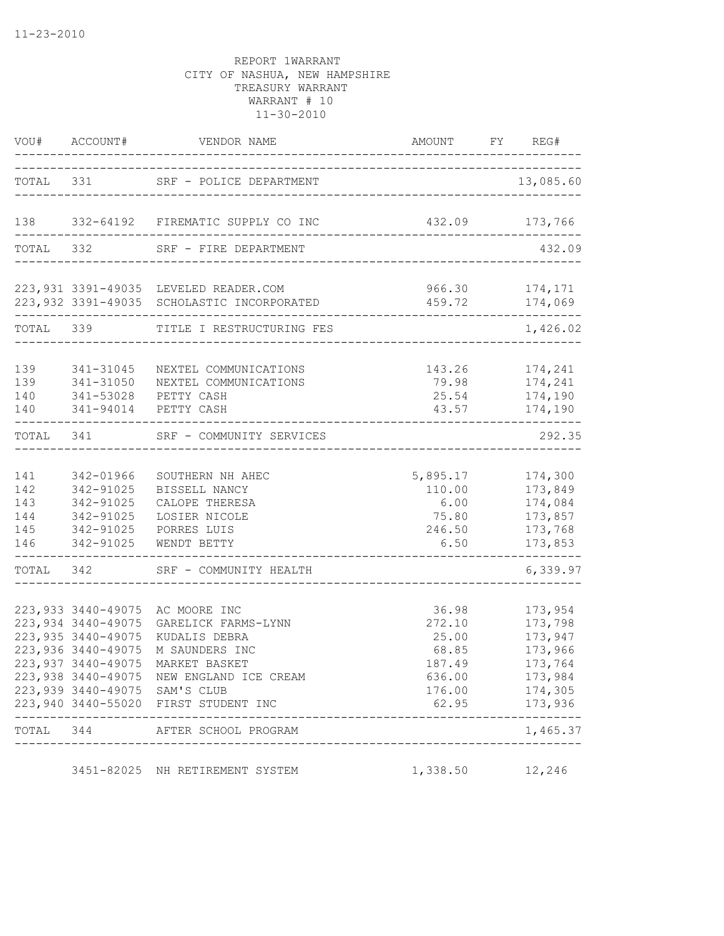|                                        | VOU# ACCOUNT#                                                                          | VENDOR NAME                                                                                                                                                                                                                                                       | AMOUNT                                                         | FY REG#                                                                                                               |
|----------------------------------------|----------------------------------------------------------------------------------------|-------------------------------------------------------------------------------------------------------------------------------------------------------------------------------------------------------------------------------------------------------------------|----------------------------------------------------------------|-----------------------------------------------------------------------------------------------------------------------|
|                                        |                                                                                        | TOTAL 331 SRF - POLICE DEPARTMENT                                                                                                                                                                                                                                 |                                                                | 13,085.60                                                                                                             |
| 138                                    |                                                                                        | 332-64192 FIREMATIC SUPPLY CO INC                                                                                                                                                                                                                                 | 432.09                                                         | 173,766                                                                                                               |
| TOTAL 332                              |                                                                                        | SRF - FIRE DEPARTMENT                                                                                                                                                                                                                                             | ____________________                                           | 432.09                                                                                                                |
|                                        |                                                                                        | 223,931 3391-49035 LEVELED READER.COM<br>223, 932 3391-49035 SCHOLASTIC INCORPORATED                                                                                                                                                                              | 459.72                                                         | 966.30 174,171<br>174,069                                                                                             |
|                                        | TOTAL 339                                                                              | TITLE I RESTRUCTURING FES                                                                                                                                                                                                                                         |                                                                | 1,426.02                                                                                                              |
| 139<br>139<br>140<br>140               | 341-31045<br>341-31050<br>341-53028                                                    | NEXTEL COMMUNICATIONS<br>NEXTEL COMMUNICATIONS<br>PETTY CASH<br>341-94014 PETTY CASH                                                                                                                                                                              | 143.26<br>79.98<br>25.54<br>43.57                              | 174,241<br>174,241<br>174,190<br>174,190                                                                              |
| TOTAL 341                              |                                                                                        | SRF - COMMUNITY SERVICES                                                                                                                                                                                                                                          |                                                                | 292.35                                                                                                                |
| 141<br>142<br>143<br>144<br>145<br>146 | 342-01966<br>342-91025<br>342-91025<br>342-91025<br>342-91025<br>342-91025             | SOUTHERN NH AHEC<br>BISSELL NANCY<br>CALOPE THERESA<br>LOSIER NICOLE<br>PORRES LUIS<br>WENDT BETTY                                                                                                                                                                | 5,895.17<br>110.00<br>6.00<br>75.80<br>246.50<br>6.50          | 174,300<br>173,849<br>174,084<br>173,857<br>173,768<br>173,853                                                        |
| TOTAL 342                              |                                                                                        | SRF - COMMUNITY HEALTH                                                                                                                                                                                                                                            |                                                                | 6,339.97                                                                                                              |
|                                        | 223, 934 3440-49075<br>223, 935 3440-49075<br>223,936 3440-49075<br>223,937 3440-49075 | 223,933 3440-49075 AC MOORE INC<br>GARELICK FARMS-LYNN<br>KUDALIS DEBRA<br>M SAUNDERS INC<br>MARKET BASKET<br>223,938 3440-49075 NEW ENGLAND ICE CREAM<br>223,939 3440-49075 SAM'S CLUB<br>223,940 3440-55020 FIRST STUDENT INC<br>TOTAL 344 AFTER SCHOOL PROGRAM | 36.98<br>272.10<br>25.00<br>68.85<br>187.49<br>636.00<br>62.95 | 173,954<br>173,798<br>173,947<br>173,966<br>173,764<br>173,984<br>176.00 174,305<br>173,936<br>----------<br>1,465.37 |
|                                        |                                                                                        | ------------------------------<br>3451-82025 NH RETIREMENT SYSTEM                                                                                                                                                                                                 | 1,338.50                                                       | 12,246                                                                                                                |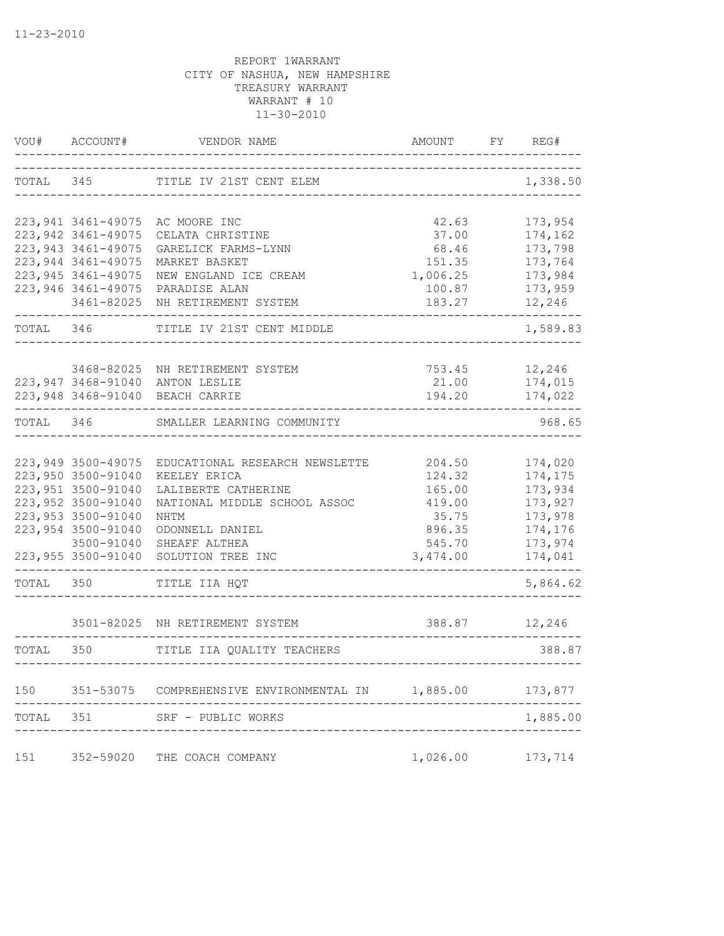| VOU#      | ACCOUNT#                          | VENDOR NAME                                                        | AMOUNT                          | FY | REG#               |
|-----------|-----------------------------------|--------------------------------------------------------------------|---------------------------------|----|--------------------|
| TOTAL 345 |                                   | TITLE IV 21ST CENT ELEM                                            |                                 |    | 1,338.50           |
|           |                                   | 223,941 3461-49075 AC MOORE INC                                    | 42.63                           |    | 173,954            |
|           | 223, 942 3461-49075               | CELATA CHRISTINE                                                   | 37.00                           |    | 174,162            |
|           | 223, 943 3461-49075               | GARELICK FARMS-LYNN                                                | 68.46                           |    | 173,798            |
|           | 223, 944 3461-49075               | MARKET BASKET                                                      | 151.35                          |    | 173,764            |
|           | 223, 945 3461-49075               | NEW ENGLAND ICE CREAM                                              | 1,006.25                        |    | 173,984            |
|           | 223, 946 3461-49075<br>3461-82025 | PARADISE ALAN<br>NH RETIREMENT SYSTEM                              | 100.87<br>183.27                |    | 173,959<br>12,246  |
| TOTAL 346 |                                   | TITLE IV 21ST CENT MIDDLE                                          |                                 |    | 1,589.83           |
|           |                                   |                                                                    |                                 |    |                    |
|           |                                   | 3468-82025 NH RETIREMENT SYSTEM<br>223,947 3468-91040 ANTON LESLIE | 753.45<br>21.00                 |    | 12,246<br>174,015  |
|           |                                   | 223,948 3468-91040 BEACH CARRIE                                    | 194.20                          |    | 174,022            |
| TOTAL 346 |                                   | SMALLER LEARNING COMMUNITY                                         |                                 |    | 968.65             |
|           |                                   |                                                                    |                                 |    |                    |
|           | 223,949 3500-49075                | EDUCATIONAL RESEARCH NEWSLETTE                                     | 204.50                          |    | 174,020            |
|           | 223,950 3500-91040                | KEELEY ERICA                                                       | 124.32                          |    | 174,175            |
|           | 223,951 3500-91040                | LALIBERTE CATHERINE                                                | 165.00                          |    | 173,934            |
|           | 223,952 3500-91040                | NATIONAL MIDDLE SCHOOL ASSOC                                       | 419.00                          |    | 173,927            |
|           | 223,953 3500-91040                | NHTM                                                               | 35.75                           |    | 173,978            |
|           | 223, 954 3500-91040               | ODONNELL DANIEL                                                    | 896.35                          |    | 174,176            |
|           | 3500-91040<br>223,955 3500-91040  | SHEAFF ALTHEA<br>SOLUTION TREE INC                                 | 545.70<br>3,474.00              |    | 173,974<br>174,041 |
| TOTAL     | 350                               | TITLE IIA HQT                                                      |                                 |    | 5,864.62           |
|           |                                   | 3501-82025 NH RETIREMENT SYSTEM                                    | 388.87                          |    | 12,246             |
| TOTAL     | 350                               | TITLE IIA QUALITY TEACHERS                                         |                                 |    | 388.87             |
|           |                                   |                                                                    | ------------------------------- |    |                    |
| 150       | 351-53075                         | COMPREHENSIVE ENVIRONMENTAL IN                                     | 1,885.00                        |    | 173,877            |
| TOTAL     | 351                               | SRF - PUBLIC WORKS                                                 |                                 |    | 1,885.00           |
|           |                                   |                                                                    |                                 |    |                    |
| 151       | 352-59020                         | THE COACH COMPANY                                                  | 1,026.00                        |    | 173,714            |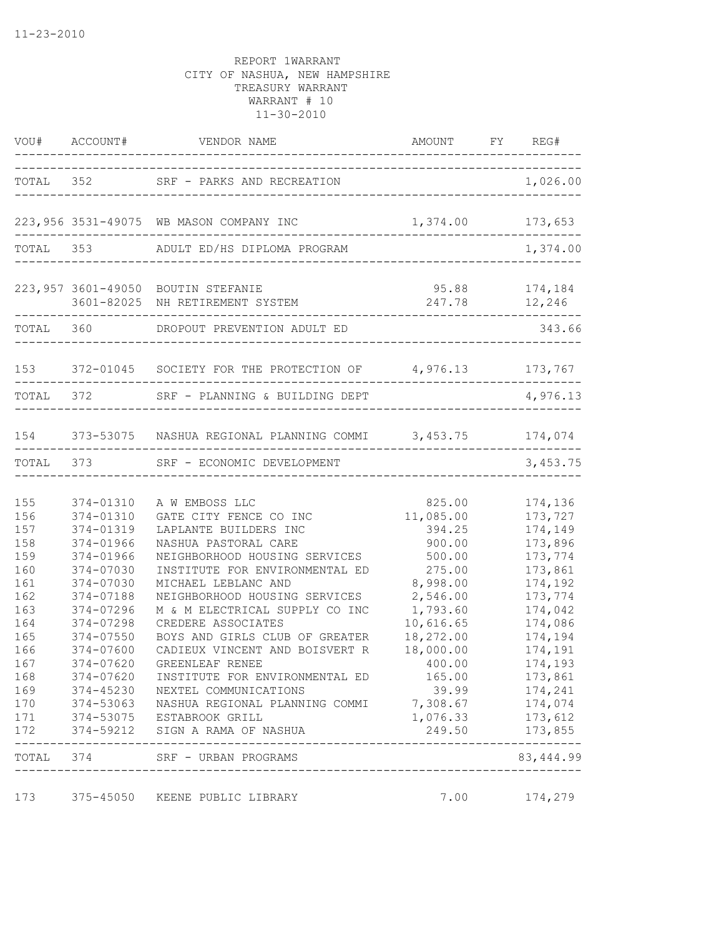|                                                                                                                            |                                                                                                                                                                                                 | VOU# ACCOUNT# VENDOR NAME AMOUNT FY RE                                                                                                                                                                                                                                                                                                                                                                                                                                                                                                     | AMOUNT FY REG#                                                                                                                                                                                                |                                                                                                                                                                                                           |
|----------------------------------------------------------------------------------------------------------------------------|-------------------------------------------------------------------------------------------------------------------------------------------------------------------------------------------------|--------------------------------------------------------------------------------------------------------------------------------------------------------------------------------------------------------------------------------------------------------------------------------------------------------------------------------------------------------------------------------------------------------------------------------------------------------------------------------------------------------------------------------------------|---------------------------------------------------------------------------------------------------------------------------------------------------------------------------------------------------------------|-----------------------------------------------------------------------------------------------------------------------------------------------------------------------------------------------------------|
|                                                                                                                            |                                                                                                                                                                                                 | TOTAL 352 SRF - PARKS AND RECREATION                                                                                                                                                                                                                                                                                                                                                                                                                                                                                                       | --------------------------------                                                                                                                                                                              | 1,026.00                                                                                                                                                                                                  |
|                                                                                                                            |                                                                                                                                                                                                 | 223,956 3531-49075 WB MASON COMPANY INC                                                                                                                                                                                                                                                                                                                                                                                                                                                                                                    | 1,374.00 173,653                                                                                                                                                                                              | -----------------                                                                                                                                                                                         |
|                                                                                                                            |                                                                                                                                                                                                 | TOTAL 353 ADULT ED/HS DIPLOMA PROGRAM                                                                                                                                                                                                                                                                                                                                                                                                                                                                                                      |                                                                                                                                                                                                               | 1,374.00                                                                                                                                                                                                  |
|                                                                                                                            |                                                                                                                                                                                                 | 223,957 3601-49050 BOUTIN STEFANIE<br>3601-82025 NH RETIREMENT SYSTEM                                                                                                                                                                                                                                                                                                                                                                                                                                                                      | 247.78<br>----------------------------                                                                                                                                                                        | $95.88$ $174,184$<br>12,246                                                                                                                                                                               |
|                                                                                                                            |                                                                                                                                                                                                 | TOTAL 360 DROPOUT PREVENTION ADULT ED<br>---------------------------                                                                                                                                                                                                                                                                                                                                                                                                                                                                       |                                                                                                                                                                                                               | 343.66                                                                                                                                                                                                    |
|                                                                                                                            |                                                                                                                                                                                                 | 153 372-01045 SOCIETY FOR THE PROTECTION OF 4,976.13 173,767                                                                                                                                                                                                                                                                                                                                                                                                                                                                               |                                                                                                                                                                                                               |                                                                                                                                                                                                           |
|                                                                                                                            | TOTAL 372                                                                                                                                                                                       | SRF - PLANNING & BUILDING DEPT                                                                                                                                                                                                                                                                                                                                                                                                                                                                                                             |                                                                                                                                                                                                               | 4,976.13                                                                                                                                                                                                  |
|                                                                                                                            |                                                                                                                                                                                                 | 154 373-53075 NASHUA REGIONAL PLANNING COMMI 3,453.75 174,074                                                                                                                                                                                                                                                                                                                                                                                                                                                                              |                                                                                                                                                                                                               | ---------------                                                                                                                                                                                           |
|                                                                                                                            |                                                                                                                                                                                                 | TOTAL 373 SRF - ECONOMIC DEVELOPMENT                                                                                                                                                                                                                                                                                                                                                                                                                                                                                                       |                                                                                                                                                                                                               | 3,453.75                                                                                                                                                                                                  |
| 155<br>156<br>157<br>158<br>159<br>160<br>161<br>162<br>163<br>164<br>165<br>166<br>167<br>168<br>169<br>170<br>171<br>172 | 374-01310<br>374-01310<br>374-01319<br>374-01966<br>374-01966<br>374-07030<br>374-07030<br>374-07188<br>374-07296<br>374-07298<br>374-07550<br>374-07600<br>374-07620<br>374-07620<br>374-45230 | A W EMBOSS LLC<br>GATE CITY FENCE CO INC<br>LAPLANTE BUILDERS INC<br>NASHUA PASTORAL CARE<br>NEIGHBORHOOD HOUSING SERVICES<br>INSTITUTE FOR ENVIRONMENTAL ED<br>MICHAEL LEBLANC AND<br>NEIGHBORHOOD HOUSING SERVICES<br>M & M ELECTRICAL SUPPLY CO INC<br>CREDERE ASSOCIATES<br>BOYS AND GIRLS CLUB OF GREATER<br>CADIEUX VINCENT AND BOISVERT R<br>GREENLEAF RENEE<br>INSTITUTE FOR ENVIRONMENTAL ED<br>NEXTEL COMMUNICATIONS<br>374-53063 NASHUA REGIONAL PLANNING COMMI<br>374-53075 ESTABROOK GRILL<br>374-59212 SIGN A RAMA OF NASHUA | 825.00<br>11,085.00<br>394.25<br>900.00<br>500.00<br>275.00<br>8,998.00<br>2,546.00<br>1,793.60<br>10,616.65<br>18,272.00<br>18,000.00<br>400.00<br>165.00<br>39.99<br>7,308.67 174,074<br>1,076.33<br>249.50 | 174,136<br>173,727<br>174,149<br>173,896<br>173,774<br>173,861<br>174,192<br>173,774<br>174,042<br>174,086<br>174,194<br>174,191<br>174,193<br>173,861<br>174,241<br>173,612<br>173,855<br>-------------- |
|                                                                                                                            | TOTAL 374                                                                                                                                                                                       | SRF - URBAN PROGRAMS<br>--------------------------------                                                                                                                                                                                                                                                                                                                                                                                                                                                                                   |                                                                                                                                                                                                               | 83, 444.99                                                                                                                                                                                                |
| 173                                                                                                                        |                                                                                                                                                                                                 | 375-45050 KEENE PUBLIC LIBRARY                                                                                                                                                                                                                                                                                                                                                                                                                                                                                                             | 7.00                                                                                                                                                                                                          | 174,279                                                                                                                                                                                                   |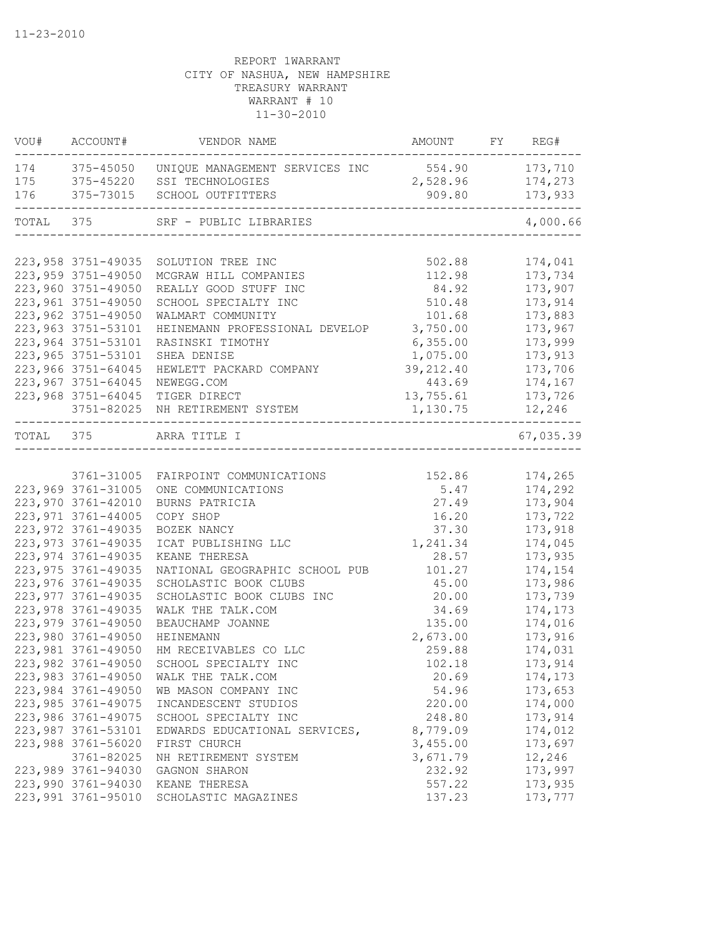| 174 375-45050 UNIQUE MANAGEMENT SERVICES INC 554.90 173,710<br>175 375-45220 SSI TECHNOLOGIES<br>2,528.96 174,273<br>375-73015<br>173,933<br>SCHOOL OUTFITTERS<br>909.80<br>TOTAL 375<br>SRF - PUBLIC LIBRARIES<br>4,000.66<br>-----------------------<br>223, 958 3751-49035<br>502.88<br>174,041<br>SOLUTION TREE INC<br>223, 959 3751-49050<br>112.98<br>173,734<br>MCGRAW HILL COMPANIES<br>223,960 3751-49050<br>REALLY GOOD STUFF INC<br>84.92<br>173,907<br>223,961 3751-49050<br>SCHOOL SPECIALTY INC<br>510.48<br>173,914<br>223,962 3751-49050<br>101.68<br>173,883<br>WALMART COMMUNITY<br>223, 963 3751-53101<br>HEINEMANN PROFESSIONAL DEVELOP<br>3,750.00<br>173,967<br>223,964 3751-53101<br>RASINSKI TIMOTHY<br>6,355.00<br>173,999<br>223, 965 3751-53101<br>1,075.00<br>173,913<br>SHEA DENISE<br>223,966 3751-64045<br>39, 212.40<br>173,706<br>HEWLETT PACKARD COMPANY<br>223,967 3751-64045<br>443.69<br>174,167<br>NEWEGG.COM<br>223,968 3751-64045<br>13,755.61<br>173,726<br>TIGER DIRECT<br>3751-82025 NH RETIREMENT SYSTEM<br>1,130.75<br>12,246<br>-----<br>TOTAL 375<br>67,035.39<br>ARRA TITLE I<br>3761-31005 FAIRPOINT COMMUNICATIONS<br>152.86<br>174,265<br>223,969 3761-31005<br>5.47<br>174,292<br>ONE COMMUNICATIONS<br>27.49<br>223,970 3761-42010<br>173,904<br>BURNS PATRICIA<br>223, 971 3761-44005<br>173,722<br>COPY SHOP<br>16.20<br>223, 972 3761-49035<br>BOZEK NANCY<br>37.30<br>173,918<br>223, 973 3761-49035<br>1,241.34<br>174,045<br>ICAT PUBLISHING LLC<br>223, 974 3761-49035<br>KEANE THERESA<br>28.57<br>173,935<br>223, 975 3761-49035<br>NATIONAL GEOGRAPHIC SCHOOL PUB<br>101.27<br>174,154<br>223,976 3761-49035<br>SCHOLASTIC BOOK CLUBS<br>45.00<br>173,986<br>173,739<br>223, 977 3761-49035<br>SCHOLASTIC BOOK CLUBS INC<br>20.00<br>223,978 3761-49035<br>WALK THE TALK.COM<br>34.69<br>174,173<br>223,979 3761-49050<br>135.00<br>174,016<br>BEAUCHAMP JOANNE<br>223,980 3761-49050<br>2,673.00<br>HEINEMANN<br>173,916<br>223,981 3761-49050<br>HM RECEIVABLES CO LLC<br>259.88<br>174,031<br>223,982 3761-49050<br>SCHOOL SPECIALTY INC<br>102.18<br>173,914<br>223,983 3761-49050<br>WALK THE TALK.COM<br>20.69<br>174,173<br>223,984 3761-49050<br>54.96<br>173,653<br>WB MASON COMPANY INC<br>223, 985 3761-49075<br>220.00<br>174,000<br>INCANDESCENT STUDIOS<br>223,986 3761-49075<br>173,914<br>SCHOOL SPECIALTY INC<br>248.80<br>223,987 3761-53101<br>8,779.09<br>174,012<br>EDWARDS EDUCATIONAL SERVICES,<br>223,988 3761-56020<br>3,455.00<br>173,697<br>FIRST CHURCH<br>3,671.79<br>3761-82025<br>12,246<br>NH RETIREMENT SYSTEM<br>223,989 3761-94030<br>232.92<br>173,997<br>GAGNON SHARON<br>223,990 3761-94030<br>557.22<br>173,935<br>KEANE THERESA<br>223,991 3761-95010<br>SCHOLASTIC MAGAZINES<br>137.23<br>173,777 |     | VOU# ACCOUNT# | VENDOR NAME | AMOUNT FY REG# |  |
|-----------------------------------------------------------------------------------------------------------------------------------------------------------------------------------------------------------------------------------------------------------------------------------------------------------------------------------------------------------------------------------------------------------------------------------------------------------------------------------------------------------------------------------------------------------------------------------------------------------------------------------------------------------------------------------------------------------------------------------------------------------------------------------------------------------------------------------------------------------------------------------------------------------------------------------------------------------------------------------------------------------------------------------------------------------------------------------------------------------------------------------------------------------------------------------------------------------------------------------------------------------------------------------------------------------------------------------------------------------------------------------------------------------------------------------------------------------------------------------------------------------------------------------------------------------------------------------------------------------------------------------------------------------------------------------------------------------------------------------------------------------------------------------------------------------------------------------------------------------------------------------------------------------------------------------------------------------------------------------------------------------------------------------------------------------------------------------------------------------------------------------------------------------------------------------------------------------------------------------------------------------------------------------------------------------------------------------------------------------------------------------------------------------------------------------------------------------------------------------------------------------------------------------------------------------------------------------------------------------------------------------------------------------------------------------------------------------------------------------------------------------------------------------------------------------|-----|---------------|-------------|----------------|--|
|                                                                                                                                                                                                                                                                                                                                                                                                                                                                                                                                                                                                                                                                                                                                                                                                                                                                                                                                                                                                                                                                                                                                                                                                                                                                                                                                                                                                                                                                                                                                                                                                                                                                                                                                                                                                                                                                                                                                                                                                                                                                                                                                                                                                                                                                                                                                                                                                                                                                                                                                                                                                                                                                                                                                                                                                           |     |               |             |                |  |
|                                                                                                                                                                                                                                                                                                                                                                                                                                                                                                                                                                                                                                                                                                                                                                                                                                                                                                                                                                                                                                                                                                                                                                                                                                                                                                                                                                                                                                                                                                                                                                                                                                                                                                                                                                                                                                                                                                                                                                                                                                                                                                                                                                                                                                                                                                                                                                                                                                                                                                                                                                                                                                                                                                                                                                                                           |     |               |             |                |  |
|                                                                                                                                                                                                                                                                                                                                                                                                                                                                                                                                                                                                                                                                                                                                                                                                                                                                                                                                                                                                                                                                                                                                                                                                                                                                                                                                                                                                                                                                                                                                                                                                                                                                                                                                                                                                                                                                                                                                                                                                                                                                                                                                                                                                                                                                                                                                                                                                                                                                                                                                                                                                                                                                                                                                                                                                           | 176 |               |             |                |  |
|                                                                                                                                                                                                                                                                                                                                                                                                                                                                                                                                                                                                                                                                                                                                                                                                                                                                                                                                                                                                                                                                                                                                                                                                                                                                                                                                                                                                                                                                                                                                                                                                                                                                                                                                                                                                                                                                                                                                                                                                                                                                                                                                                                                                                                                                                                                                                                                                                                                                                                                                                                                                                                                                                                                                                                                                           |     |               |             |                |  |
|                                                                                                                                                                                                                                                                                                                                                                                                                                                                                                                                                                                                                                                                                                                                                                                                                                                                                                                                                                                                                                                                                                                                                                                                                                                                                                                                                                                                                                                                                                                                                                                                                                                                                                                                                                                                                                                                                                                                                                                                                                                                                                                                                                                                                                                                                                                                                                                                                                                                                                                                                                                                                                                                                                                                                                                                           |     |               |             |                |  |
|                                                                                                                                                                                                                                                                                                                                                                                                                                                                                                                                                                                                                                                                                                                                                                                                                                                                                                                                                                                                                                                                                                                                                                                                                                                                                                                                                                                                                                                                                                                                                                                                                                                                                                                                                                                                                                                                                                                                                                                                                                                                                                                                                                                                                                                                                                                                                                                                                                                                                                                                                                                                                                                                                                                                                                                                           |     |               |             |                |  |
|                                                                                                                                                                                                                                                                                                                                                                                                                                                                                                                                                                                                                                                                                                                                                                                                                                                                                                                                                                                                                                                                                                                                                                                                                                                                                                                                                                                                                                                                                                                                                                                                                                                                                                                                                                                                                                                                                                                                                                                                                                                                                                                                                                                                                                                                                                                                                                                                                                                                                                                                                                                                                                                                                                                                                                                                           |     |               |             |                |  |
|                                                                                                                                                                                                                                                                                                                                                                                                                                                                                                                                                                                                                                                                                                                                                                                                                                                                                                                                                                                                                                                                                                                                                                                                                                                                                                                                                                                                                                                                                                                                                                                                                                                                                                                                                                                                                                                                                                                                                                                                                                                                                                                                                                                                                                                                                                                                                                                                                                                                                                                                                                                                                                                                                                                                                                                                           |     |               |             |                |  |
|                                                                                                                                                                                                                                                                                                                                                                                                                                                                                                                                                                                                                                                                                                                                                                                                                                                                                                                                                                                                                                                                                                                                                                                                                                                                                                                                                                                                                                                                                                                                                                                                                                                                                                                                                                                                                                                                                                                                                                                                                                                                                                                                                                                                                                                                                                                                                                                                                                                                                                                                                                                                                                                                                                                                                                                                           |     |               |             |                |  |
|                                                                                                                                                                                                                                                                                                                                                                                                                                                                                                                                                                                                                                                                                                                                                                                                                                                                                                                                                                                                                                                                                                                                                                                                                                                                                                                                                                                                                                                                                                                                                                                                                                                                                                                                                                                                                                                                                                                                                                                                                                                                                                                                                                                                                                                                                                                                                                                                                                                                                                                                                                                                                                                                                                                                                                                                           |     |               |             |                |  |
|                                                                                                                                                                                                                                                                                                                                                                                                                                                                                                                                                                                                                                                                                                                                                                                                                                                                                                                                                                                                                                                                                                                                                                                                                                                                                                                                                                                                                                                                                                                                                                                                                                                                                                                                                                                                                                                                                                                                                                                                                                                                                                                                                                                                                                                                                                                                                                                                                                                                                                                                                                                                                                                                                                                                                                                                           |     |               |             |                |  |
|                                                                                                                                                                                                                                                                                                                                                                                                                                                                                                                                                                                                                                                                                                                                                                                                                                                                                                                                                                                                                                                                                                                                                                                                                                                                                                                                                                                                                                                                                                                                                                                                                                                                                                                                                                                                                                                                                                                                                                                                                                                                                                                                                                                                                                                                                                                                                                                                                                                                                                                                                                                                                                                                                                                                                                                                           |     |               |             |                |  |
|                                                                                                                                                                                                                                                                                                                                                                                                                                                                                                                                                                                                                                                                                                                                                                                                                                                                                                                                                                                                                                                                                                                                                                                                                                                                                                                                                                                                                                                                                                                                                                                                                                                                                                                                                                                                                                                                                                                                                                                                                                                                                                                                                                                                                                                                                                                                                                                                                                                                                                                                                                                                                                                                                                                                                                                                           |     |               |             |                |  |
|                                                                                                                                                                                                                                                                                                                                                                                                                                                                                                                                                                                                                                                                                                                                                                                                                                                                                                                                                                                                                                                                                                                                                                                                                                                                                                                                                                                                                                                                                                                                                                                                                                                                                                                                                                                                                                                                                                                                                                                                                                                                                                                                                                                                                                                                                                                                                                                                                                                                                                                                                                                                                                                                                                                                                                                                           |     |               |             |                |  |
|                                                                                                                                                                                                                                                                                                                                                                                                                                                                                                                                                                                                                                                                                                                                                                                                                                                                                                                                                                                                                                                                                                                                                                                                                                                                                                                                                                                                                                                                                                                                                                                                                                                                                                                                                                                                                                                                                                                                                                                                                                                                                                                                                                                                                                                                                                                                                                                                                                                                                                                                                                                                                                                                                                                                                                                                           |     |               |             |                |  |
|                                                                                                                                                                                                                                                                                                                                                                                                                                                                                                                                                                                                                                                                                                                                                                                                                                                                                                                                                                                                                                                                                                                                                                                                                                                                                                                                                                                                                                                                                                                                                                                                                                                                                                                                                                                                                                                                                                                                                                                                                                                                                                                                                                                                                                                                                                                                                                                                                                                                                                                                                                                                                                                                                                                                                                                                           |     |               |             |                |  |
|                                                                                                                                                                                                                                                                                                                                                                                                                                                                                                                                                                                                                                                                                                                                                                                                                                                                                                                                                                                                                                                                                                                                                                                                                                                                                                                                                                                                                                                                                                                                                                                                                                                                                                                                                                                                                                                                                                                                                                                                                                                                                                                                                                                                                                                                                                                                                                                                                                                                                                                                                                                                                                                                                                                                                                                                           |     |               |             |                |  |
|                                                                                                                                                                                                                                                                                                                                                                                                                                                                                                                                                                                                                                                                                                                                                                                                                                                                                                                                                                                                                                                                                                                                                                                                                                                                                                                                                                                                                                                                                                                                                                                                                                                                                                                                                                                                                                                                                                                                                                                                                                                                                                                                                                                                                                                                                                                                                                                                                                                                                                                                                                                                                                                                                                                                                                                                           |     |               |             |                |  |
|                                                                                                                                                                                                                                                                                                                                                                                                                                                                                                                                                                                                                                                                                                                                                                                                                                                                                                                                                                                                                                                                                                                                                                                                                                                                                                                                                                                                                                                                                                                                                                                                                                                                                                                                                                                                                                                                                                                                                                                                                                                                                                                                                                                                                                                                                                                                                                                                                                                                                                                                                                                                                                                                                                                                                                                                           |     |               |             |                |  |
|                                                                                                                                                                                                                                                                                                                                                                                                                                                                                                                                                                                                                                                                                                                                                                                                                                                                                                                                                                                                                                                                                                                                                                                                                                                                                                                                                                                                                                                                                                                                                                                                                                                                                                                                                                                                                                                                                                                                                                                                                                                                                                                                                                                                                                                                                                                                                                                                                                                                                                                                                                                                                                                                                                                                                                                                           |     |               |             |                |  |
|                                                                                                                                                                                                                                                                                                                                                                                                                                                                                                                                                                                                                                                                                                                                                                                                                                                                                                                                                                                                                                                                                                                                                                                                                                                                                                                                                                                                                                                                                                                                                                                                                                                                                                                                                                                                                                                                                                                                                                                                                                                                                                                                                                                                                                                                                                                                                                                                                                                                                                                                                                                                                                                                                                                                                                                                           |     |               |             |                |  |
|                                                                                                                                                                                                                                                                                                                                                                                                                                                                                                                                                                                                                                                                                                                                                                                                                                                                                                                                                                                                                                                                                                                                                                                                                                                                                                                                                                                                                                                                                                                                                                                                                                                                                                                                                                                                                                                                                                                                                                                                                                                                                                                                                                                                                                                                                                                                                                                                                                                                                                                                                                                                                                                                                                                                                                                                           |     |               |             |                |  |
|                                                                                                                                                                                                                                                                                                                                                                                                                                                                                                                                                                                                                                                                                                                                                                                                                                                                                                                                                                                                                                                                                                                                                                                                                                                                                                                                                                                                                                                                                                                                                                                                                                                                                                                                                                                                                                                                                                                                                                                                                                                                                                                                                                                                                                                                                                                                                                                                                                                                                                                                                                                                                                                                                                                                                                                                           |     |               |             |                |  |
|                                                                                                                                                                                                                                                                                                                                                                                                                                                                                                                                                                                                                                                                                                                                                                                                                                                                                                                                                                                                                                                                                                                                                                                                                                                                                                                                                                                                                                                                                                                                                                                                                                                                                                                                                                                                                                                                                                                                                                                                                                                                                                                                                                                                                                                                                                                                                                                                                                                                                                                                                                                                                                                                                                                                                                                                           |     |               |             |                |  |
|                                                                                                                                                                                                                                                                                                                                                                                                                                                                                                                                                                                                                                                                                                                                                                                                                                                                                                                                                                                                                                                                                                                                                                                                                                                                                                                                                                                                                                                                                                                                                                                                                                                                                                                                                                                                                                                                                                                                                                                                                                                                                                                                                                                                                                                                                                                                                                                                                                                                                                                                                                                                                                                                                                                                                                                                           |     |               |             |                |  |
|                                                                                                                                                                                                                                                                                                                                                                                                                                                                                                                                                                                                                                                                                                                                                                                                                                                                                                                                                                                                                                                                                                                                                                                                                                                                                                                                                                                                                                                                                                                                                                                                                                                                                                                                                                                                                                                                                                                                                                                                                                                                                                                                                                                                                                                                                                                                                                                                                                                                                                                                                                                                                                                                                                                                                                                                           |     |               |             |                |  |
|                                                                                                                                                                                                                                                                                                                                                                                                                                                                                                                                                                                                                                                                                                                                                                                                                                                                                                                                                                                                                                                                                                                                                                                                                                                                                                                                                                                                                                                                                                                                                                                                                                                                                                                                                                                                                                                                                                                                                                                                                                                                                                                                                                                                                                                                                                                                                                                                                                                                                                                                                                                                                                                                                                                                                                                                           |     |               |             |                |  |
|                                                                                                                                                                                                                                                                                                                                                                                                                                                                                                                                                                                                                                                                                                                                                                                                                                                                                                                                                                                                                                                                                                                                                                                                                                                                                                                                                                                                                                                                                                                                                                                                                                                                                                                                                                                                                                                                                                                                                                                                                                                                                                                                                                                                                                                                                                                                                                                                                                                                                                                                                                                                                                                                                                                                                                                                           |     |               |             |                |  |
|                                                                                                                                                                                                                                                                                                                                                                                                                                                                                                                                                                                                                                                                                                                                                                                                                                                                                                                                                                                                                                                                                                                                                                                                                                                                                                                                                                                                                                                                                                                                                                                                                                                                                                                                                                                                                                                                                                                                                                                                                                                                                                                                                                                                                                                                                                                                                                                                                                                                                                                                                                                                                                                                                                                                                                                                           |     |               |             |                |  |
|                                                                                                                                                                                                                                                                                                                                                                                                                                                                                                                                                                                                                                                                                                                                                                                                                                                                                                                                                                                                                                                                                                                                                                                                                                                                                                                                                                                                                                                                                                                                                                                                                                                                                                                                                                                                                                                                                                                                                                                                                                                                                                                                                                                                                                                                                                                                                                                                                                                                                                                                                                                                                                                                                                                                                                                                           |     |               |             |                |  |
|                                                                                                                                                                                                                                                                                                                                                                                                                                                                                                                                                                                                                                                                                                                                                                                                                                                                                                                                                                                                                                                                                                                                                                                                                                                                                                                                                                                                                                                                                                                                                                                                                                                                                                                                                                                                                                                                                                                                                                                                                                                                                                                                                                                                                                                                                                                                                                                                                                                                                                                                                                                                                                                                                                                                                                                                           |     |               |             |                |  |
|                                                                                                                                                                                                                                                                                                                                                                                                                                                                                                                                                                                                                                                                                                                                                                                                                                                                                                                                                                                                                                                                                                                                                                                                                                                                                                                                                                                                                                                                                                                                                                                                                                                                                                                                                                                                                                                                                                                                                                                                                                                                                                                                                                                                                                                                                                                                                                                                                                                                                                                                                                                                                                                                                                                                                                                                           |     |               |             |                |  |
|                                                                                                                                                                                                                                                                                                                                                                                                                                                                                                                                                                                                                                                                                                                                                                                                                                                                                                                                                                                                                                                                                                                                                                                                                                                                                                                                                                                                                                                                                                                                                                                                                                                                                                                                                                                                                                                                                                                                                                                                                                                                                                                                                                                                                                                                                                                                                                                                                                                                                                                                                                                                                                                                                                                                                                                                           |     |               |             |                |  |
|                                                                                                                                                                                                                                                                                                                                                                                                                                                                                                                                                                                                                                                                                                                                                                                                                                                                                                                                                                                                                                                                                                                                                                                                                                                                                                                                                                                                                                                                                                                                                                                                                                                                                                                                                                                                                                                                                                                                                                                                                                                                                                                                                                                                                                                                                                                                                                                                                                                                                                                                                                                                                                                                                                                                                                                                           |     |               |             |                |  |
|                                                                                                                                                                                                                                                                                                                                                                                                                                                                                                                                                                                                                                                                                                                                                                                                                                                                                                                                                                                                                                                                                                                                                                                                                                                                                                                                                                                                                                                                                                                                                                                                                                                                                                                                                                                                                                                                                                                                                                                                                                                                                                                                                                                                                                                                                                                                                                                                                                                                                                                                                                                                                                                                                                                                                                                                           |     |               |             |                |  |
|                                                                                                                                                                                                                                                                                                                                                                                                                                                                                                                                                                                                                                                                                                                                                                                                                                                                                                                                                                                                                                                                                                                                                                                                                                                                                                                                                                                                                                                                                                                                                                                                                                                                                                                                                                                                                                                                                                                                                                                                                                                                                                                                                                                                                                                                                                                                                                                                                                                                                                                                                                                                                                                                                                                                                                                                           |     |               |             |                |  |
|                                                                                                                                                                                                                                                                                                                                                                                                                                                                                                                                                                                                                                                                                                                                                                                                                                                                                                                                                                                                                                                                                                                                                                                                                                                                                                                                                                                                                                                                                                                                                                                                                                                                                                                                                                                                                                                                                                                                                                                                                                                                                                                                                                                                                                                                                                                                                                                                                                                                                                                                                                                                                                                                                                                                                                                                           |     |               |             |                |  |
|                                                                                                                                                                                                                                                                                                                                                                                                                                                                                                                                                                                                                                                                                                                                                                                                                                                                                                                                                                                                                                                                                                                                                                                                                                                                                                                                                                                                                                                                                                                                                                                                                                                                                                                                                                                                                                                                                                                                                                                                                                                                                                                                                                                                                                                                                                                                                                                                                                                                                                                                                                                                                                                                                                                                                                                                           |     |               |             |                |  |
|                                                                                                                                                                                                                                                                                                                                                                                                                                                                                                                                                                                                                                                                                                                                                                                                                                                                                                                                                                                                                                                                                                                                                                                                                                                                                                                                                                                                                                                                                                                                                                                                                                                                                                                                                                                                                                                                                                                                                                                                                                                                                                                                                                                                                                                                                                                                                                                                                                                                                                                                                                                                                                                                                                                                                                                                           |     |               |             |                |  |
|                                                                                                                                                                                                                                                                                                                                                                                                                                                                                                                                                                                                                                                                                                                                                                                                                                                                                                                                                                                                                                                                                                                                                                                                                                                                                                                                                                                                                                                                                                                                                                                                                                                                                                                                                                                                                                                                                                                                                                                                                                                                                                                                                                                                                                                                                                                                                                                                                                                                                                                                                                                                                                                                                                                                                                                                           |     |               |             |                |  |
|                                                                                                                                                                                                                                                                                                                                                                                                                                                                                                                                                                                                                                                                                                                                                                                                                                                                                                                                                                                                                                                                                                                                                                                                                                                                                                                                                                                                                                                                                                                                                                                                                                                                                                                                                                                                                                                                                                                                                                                                                                                                                                                                                                                                                                                                                                                                                                                                                                                                                                                                                                                                                                                                                                                                                                                                           |     |               |             |                |  |
|                                                                                                                                                                                                                                                                                                                                                                                                                                                                                                                                                                                                                                                                                                                                                                                                                                                                                                                                                                                                                                                                                                                                                                                                                                                                                                                                                                                                                                                                                                                                                                                                                                                                                                                                                                                                                                                                                                                                                                                                                                                                                                                                                                                                                                                                                                                                                                                                                                                                                                                                                                                                                                                                                                                                                                                                           |     |               |             |                |  |
|                                                                                                                                                                                                                                                                                                                                                                                                                                                                                                                                                                                                                                                                                                                                                                                                                                                                                                                                                                                                                                                                                                                                                                                                                                                                                                                                                                                                                                                                                                                                                                                                                                                                                                                                                                                                                                                                                                                                                                                                                                                                                                                                                                                                                                                                                                                                                                                                                                                                                                                                                                                                                                                                                                                                                                                                           |     |               |             |                |  |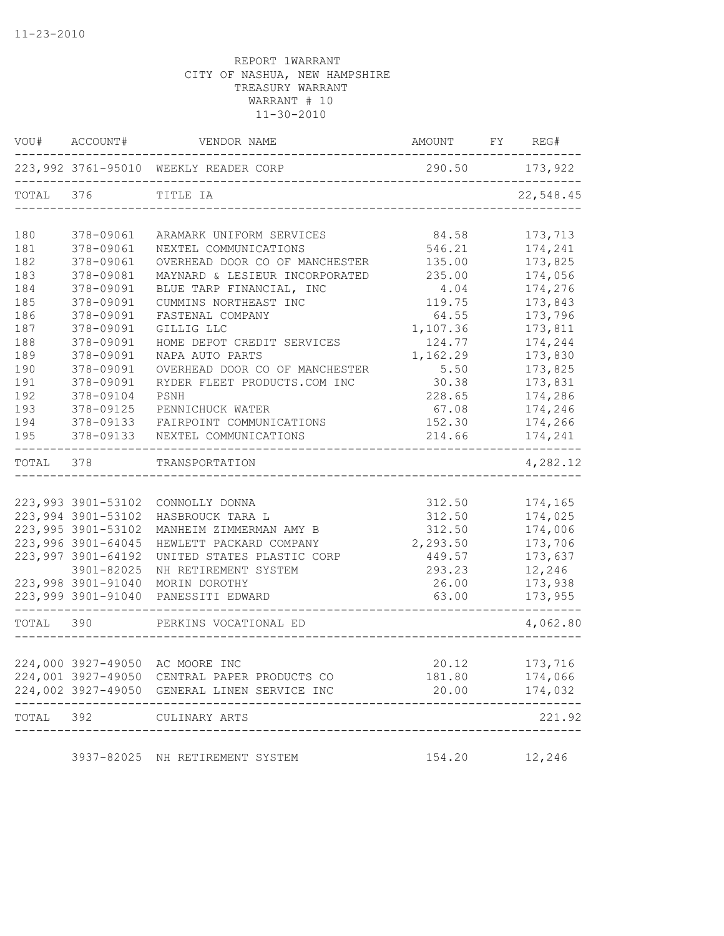|           | VOU# ACCOUNT#      | VENDOR NAME                                  | AMOUNT FY REG# |               |
|-----------|--------------------|----------------------------------------------|----------------|---------------|
|           |                    | 223,992 3761-95010 WEEKLY READER CORP        | 290.50 173,922 |               |
| TOTAL 376 |                    | TITLE IA                                     |                | 22,548.45     |
| 180       | 378-09061          | ARAMARK UNIFORM SERVICES                     | 84.58          | 173,713       |
| 181       | 378-09061          | NEXTEL COMMUNICATIONS                        | 546.21         | 174,241       |
| 182       | 378-09061          | OVERHEAD DOOR CO OF MANCHESTER               | 135.00         | 173,825       |
| 183       | 378-09081          | MAYNARD & LESIEUR INCORPORATED               | 235.00         | 174,056       |
| 184       | 378-09091          | BLUE TARP FINANCIAL, INC                     | 4.04           | 174,276       |
| 185       | 378-09091          | CUMMINS NORTHEAST INC                        | 119.75         | 173,843       |
| 186       | 378-09091          | FASTENAL COMPANY                             | 64.55          | 173,796       |
| 187       | 378-09091          | GILLIG LLC                                   | 1,107.36       | 173,811       |
| 188       | 378-09091          | HOME DEPOT CREDIT SERVICES                   | 124.77         | 174,244       |
| 189       | 378-09091          | NAPA AUTO PARTS                              | 1,162.29       | 173,830       |
| 190       | 378-09091          | OVERHEAD DOOR CO OF MANCHESTER               | 5.50           | 173,825       |
| 191       | 378-09091          | RYDER FLEET PRODUCTS.COM INC                 | 30.38          | 173,831       |
| 192       | 378-09104          | PSNH                                         | 228.65         | 174,286       |
| 193       | 378-09125          | PENNICHUCK WATER                             | 67.08          | 174,246       |
| 194       | 378-09133          | FAIRPOINT COMMUNICATIONS                     | 152.30         | 174,266       |
| 195       | 378-09133          | NEXTEL COMMUNICATIONS                        | 214.66         | 174,241       |
| TOTAL 378 |                    | TRANSPORTATION                               |                | 4,282.12      |
|           |                    |                                              |                |               |
|           | 223,993 3901-53102 | CONNOLLY DONNA                               | 312.50         | 174,165       |
|           | 223,994 3901-53102 | HASBROUCK TARA L                             | 312.50         | 174,025       |
|           | 223,995 3901-53102 | MANHEIM ZIMMERMAN AMY B                      | 312.50         | 174,006       |
|           | 223,996 3901-64045 | HEWLETT PACKARD COMPANY                      | 2,293.50       | 173,706       |
|           | 223,997 3901-64192 | UNITED STATES PLASTIC CORP                   | 449.57         | 173,637       |
|           | 3901-82025         | NH RETIREMENT SYSTEM                         | 293.23         | 12,246        |
|           | 223,998 3901-91040 | MORIN DOROTHY                                | 26.00          | 173,938       |
|           | 223,999 3901-91040 | PANESSITI EDWARD                             | 63.00          | 173,955       |
| TOTAL     | 390                | PERKINS VOCATIONAL ED                        |                | 4,062.80      |
|           |                    |                                              |                |               |
|           |                    | 224,000 3927-49050 AC MOORE INC              | 20.12          | 173,716       |
|           |                    | 224,001 3927-49050 CENTRAL PAPER PRODUCTS CO | 181.80         | 174,066       |
|           |                    | 224,002 3927-49050 GENERAL LINEN SERVICE INC | 20.00          | 174,032       |
|           | TOTAL 392          | CULINARY ARTS                                |                | 221.92        |
|           |                    | 3937-82025 NH RETIREMENT SYSTEM              |                | 154.20 12,246 |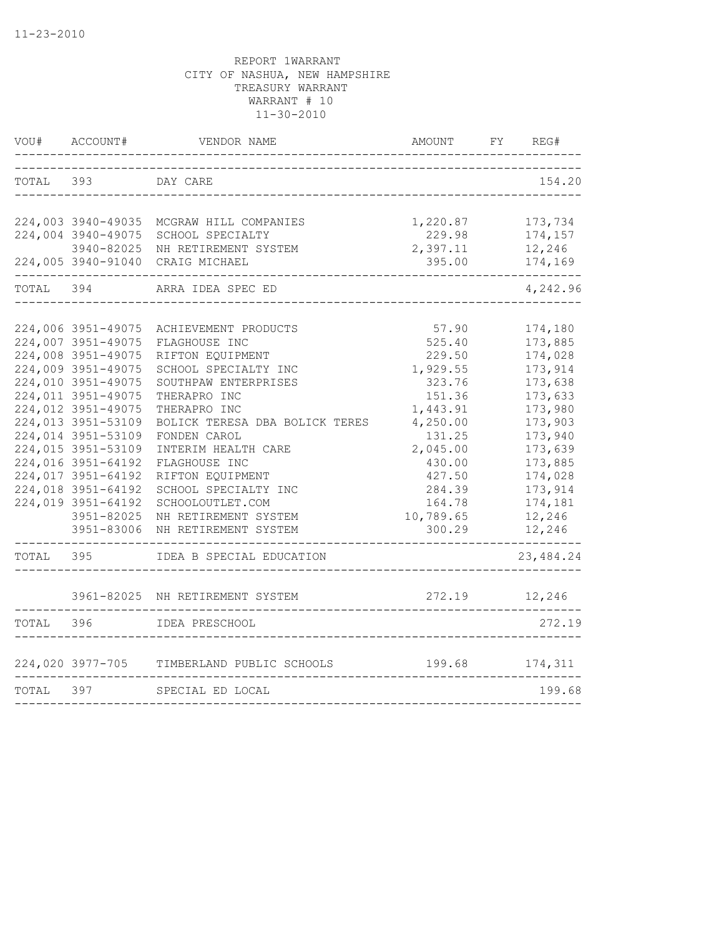|           | VOU# ACCOUNT#      | VENDOR NAME                                              | AMOUNT             | FY REG#           |
|-----------|--------------------|----------------------------------------------------------|--------------------|-------------------|
| TOTAL     | 393                | DAY CARE                                                 |                    | 154.20            |
|           | 224,003 3940-49035 | MCGRAW HILL COMPANIES                                    | 1,220.87           | 173,734           |
|           | 224,004 3940-49075 | SCHOOL SPECIALTY                                         | 229.98             | 174,157           |
|           | 3940-82025         | NH RETIREMENT SYSTEM<br>224,005 3940-91040 CRAIG MICHAEL | 2,397.11<br>395.00 | 12,246<br>174,169 |
| TOTAL     | 394                | ARRA IDEA SPEC ED                                        |                    | 4,242.96          |
|           |                    |                                                          |                    |                   |
|           | 224,006 3951-49075 | ACHIEVEMENT PRODUCTS                                     | 57.90              | 174,180           |
|           | 224,007 3951-49075 | FLAGHOUSE INC                                            | 525.40             | 173,885           |
|           | 224,008 3951-49075 | RIFTON EQUIPMENT                                         | 229.50             | 174,028           |
|           | 224,009 3951-49075 | SCHOOL SPECIALTY INC                                     | 1,929.55           | 173,914           |
|           | 224,010 3951-49075 | SOUTHPAW ENTERPRISES                                     | 323.76             | 173,638           |
|           | 224,011 3951-49075 | THERAPRO INC                                             | 151.36             | 173,633           |
|           | 224,012 3951-49075 | THERAPRO INC                                             | 1,443.91           | 173,980           |
|           | 224,013 3951-53109 | BOLICK TERESA DBA BOLICK TERES                           | 4,250.00           | 173,903           |
|           | 224,014 3951-53109 | FONDEN CAROL                                             | 131.25             | 173,940           |
|           | 224,015 3951-53109 | INTERIM HEALTH CARE                                      | 2,045.00           | 173,639           |
|           | 224,016 3951-64192 | FLAGHOUSE INC                                            | 430.00             | 173,885           |
|           | 224,017 3951-64192 | RIFTON EQUIPMENT                                         | 427.50             | 174,028           |
|           | 224,018 3951-64192 | SCHOOL SPECIALTY INC                                     | 284.39             | 173,914           |
|           | 224,019 3951-64192 | SCHOOLOUTLET.COM                                         | 164.78             | 174,181           |
|           | 3951-82025         | NH RETIREMENT SYSTEM                                     | 10,789.65          | 12,246            |
|           | 3951-83006         | NH RETIREMENT SYSTEM                                     | 300.29             | 12,246            |
| TOTAL 395 |                    | IDEA B SPECIAL EDUCATION                                 |                    | 23, 484. 24       |
|           |                    | 3961-82025 NH RETIREMENT SYSTEM                          | 272.19             | 12,246            |
|           |                    |                                                          |                    |                   |
| TOTAL 396 |                    | IDEA PRESCHOOL                                           |                    | 272.19            |
|           |                    | 224,020 3977-705 TIMBERLAND PUBLIC SCHOOLS               |                    | 199.68 174,311    |
| TOTAL 397 |                    | SPECIAL ED LOCAL                                         |                    | 199.68            |
|           |                    |                                                          |                    |                   |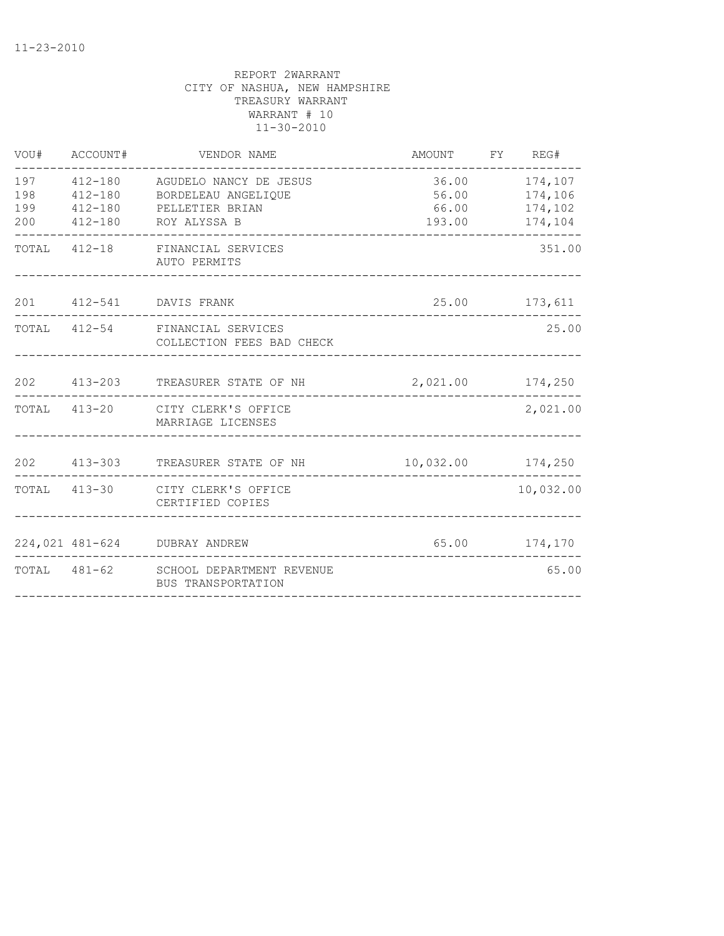| VOU#                     | ACCOUNT#    | VENDOR NAME                                                                                              | AMOUNT FY REG#                   |                                     |
|--------------------------|-------------|----------------------------------------------------------------------------------------------------------|----------------------------------|-------------------------------------|
| 197<br>198<br>199<br>200 | $412 - 180$ | 412-180 AGUDELO NANCY DE JESUS<br>412-180 BORDELEAU ANGELIQUE<br>PELLETIER BRIAN<br>412-180 ROY ALYSSA B | 56.00 174,106<br>66.00<br>193.00 | 36.00 174,107<br>174,102<br>174,104 |
|                          |             | TOTAL 412-18 FINANCIAL SERVICES<br>AUTO PERMITS                                                          | ________________________________ | 351.00                              |
|                          |             | 201  412-541  DAVIS FRANK                                                                                |                                  | 25.00 173,611                       |
|                          |             | TOTAL 412-54 FINANCIAL SERVICES<br>COLLECTION FEES BAD CHECK                                             |                                  | 25.00                               |
|                          |             | 202 413-203 TREASURER STATE OF NH                                                                        | 2,021.00 174,250                 |                                     |
|                          |             | TOTAL 413-20 CITY CLERK'S OFFICE<br>MARRIAGE LICENSES                                                    |                                  | 2,021.00                            |
|                          |             | 202 413-303 TREASURER STATE OF NH                                                                        | 10,032.00 174,250                |                                     |
|                          |             | TOTAL 413-30 CITY CLERK'S OFFICE<br>CERTIFIED COPIES                                                     |                                  | 10,032.00                           |
|                          |             | 224,021 481-624 DUBRAY ANDREW                                                                            |                                  | 65.00 174,170                       |
|                          |             | TOTAL 481-62 SCHOOL DEPARTMENT REVENUE<br>BUS TRANSPORTATION                                             |                                  | 65.00                               |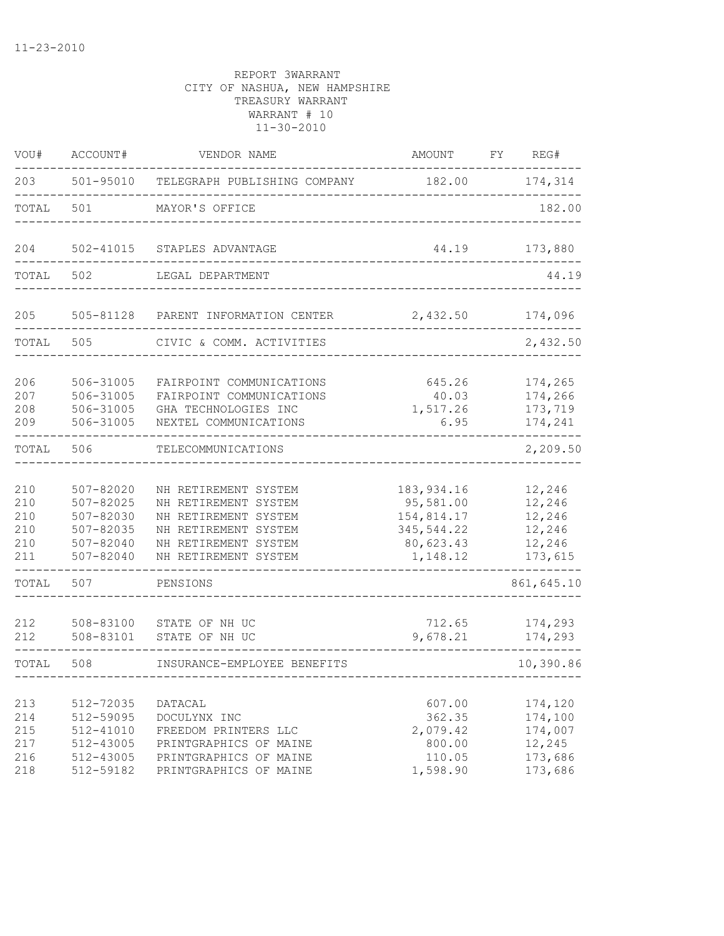| VOU#                                   | ACCOUNT#                                                                           | VENDOR NAME                                                                                                                                  | AMOUNT                                                                        | REG#<br>FY                                                    |
|----------------------------------------|------------------------------------------------------------------------------------|----------------------------------------------------------------------------------------------------------------------------------------------|-------------------------------------------------------------------------------|---------------------------------------------------------------|
| 203                                    | 501-95010                                                                          | TELEGRAPH PUBLISHING COMPANY                                                                                                                 | 182.00                                                                        | 174,314                                                       |
| TOTAL                                  | 501                                                                                | MAYOR'S OFFICE                                                                                                                               |                                                                               | 182.00                                                        |
| 204                                    | 502-41015                                                                          | STAPLES ADVANTAGE                                                                                                                            | 44.19                                                                         | 173,880                                                       |
| TOTAL                                  | 502                                                                                | LEGAL DEPARTMENT                                                                                                                             |                                                                               | 44.19                                                         |
| 205                                    | 505-81128                                                                          | PARENT INFORMATION CENTER                                                                                                                    | 2,432.50                                                                      | 174,096                                                       |
| TOTAL                                  | 505                                                                                | CIVIC & COMM. ACTIVITIES                                                                                                                     |                                                                               | 2,432.50                                                      |
| 206<br>207<br>208<br>209               | 506-31005<br>506-31005<br>506-31005<br>506-31005                                   | FAIRPOINT COMMUNICATIONS<br>FAIRPOINT COMMUNICATIONS<br>GHA TECHNOLOGIES INC<br>NEXTEL COMMUNICATIONS                                        | 645.26<br>40.03<br>1,517.26<br>6.95                                           | 174,265<br>174,266<br>173,719<br>174,241                      |
| TOTAL                                  | 506                                                                                | TELECOMMUNICATIONS                                                                                                                           |                                                                               | 2,209.50                                                      |
| 210<br>210<br>210<br>210<br>210<br>211 | $507 - 82020$<br>507-82025<br>507-82030<br>507-82035<br>507-82040<br>$507 - 82040$ | NH RETIREMENT SYSTEM<br>NH RETIREMENT SYSTEM<br>NH RETIREMENT SYSTEM<br>NH RETIREMENT SYSTEM<br>NH RETIREMENT SYSTEM<br>NH RETIREMENT SYSTEM | 183, 934.16<br>95,581.00<br>154,814.17<br>345,544.22<br>80,623.43<br>1,148.12 | 12,246<br>12,246<br>12,246<br>12,246<br>12,246<br>173,615     |
| TOTAL                                  | 507                                                                                | PENSIONS                                                                                                                                     |                                                                               | 861,645.10                                                    |
| 212<br>212                             | 508-83100<br>508-83101                                                             | STATE OF NH UC<br>STATE OF NH UC                                                                                                             | 712.65<br>9,678.21                                                            | 174,293<br>174,293                                            |
| TOTAL                                  | 508                                                                                | INSURANCE-EMPLOYEE BENEFITS                                                                                                                  |                                                                               | 10,390.86                                                     |
| 213<br>214<br>215<br>217<br>216<br>218 | 512-72035<br>512-59095<br>512-41010<br>512-43005<br>512-43005<br>512-59182         | DATACAL<br>DOCULYNX INC<br>FREEDOM PRINTERS LLC<br>PRINTGRAPHICS OF MAINE<br>PRINTGRAPHICS OF MAINE<br>PRINTGRAPHICS OF MAINE                | 607.00<br>362.35<br>2,079.42<br>800.00<br>110.05<br>1,598.90                  | 174,120<br>174,100<br>174,007<br>12,245<br>173,686<br>173,686 |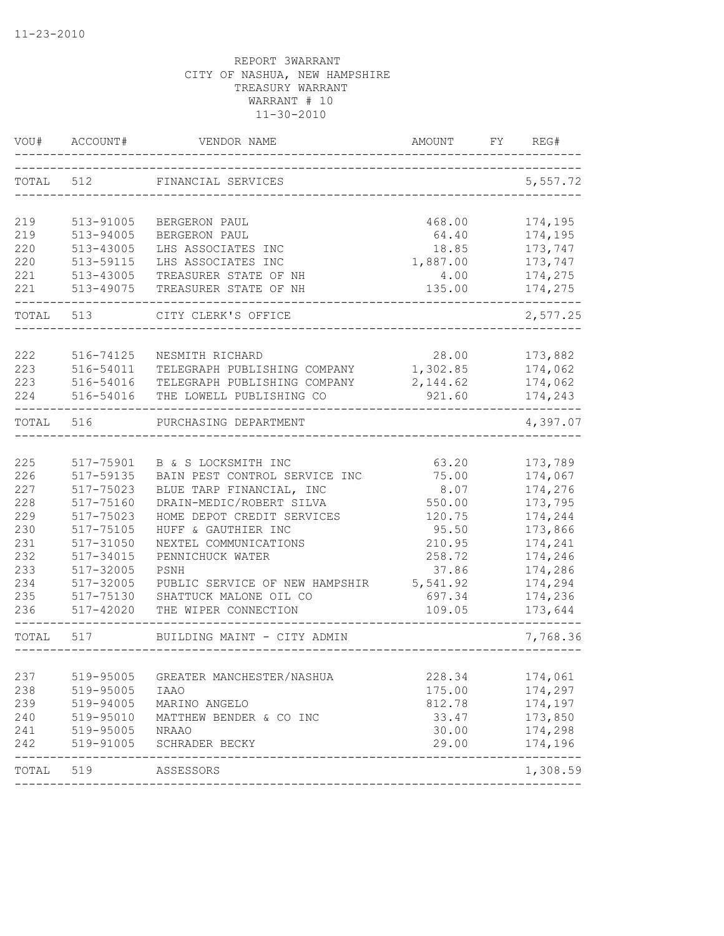| WOU#  | ACCOUNT#               | VENDOR NAME                               | AMOUNT          | FY. | REG#                       |
|-------|------------------------|-------------------------------------------|-----------------|-----|----------------------------|
| TOTAL | 512                    | FINANCIAL SERVICES                        |                 |     | 5,557.72                   |
| 219   |                        | BERGERON PAUL                             |                 |     |                            |
| 219   | 513-91005<br>513-94005 | BERGERON PAUL                             | 468.00<br>64.40 |     | 174,195<br>174,195         |
| 220   | 513-43005              | LHS ASSOCIATES INC                        | 18.85           |     | 173,747                    |
| 220   | 513-59115              | LHS ASSOCIATES INC                        | 1,887.00        |     | 173,747                    |
| 221   | 513-43005              | TREASURER STATE OF NH                     | 4.00            |     | 174,275                    |
| 221   | 513-49075              | TREASURER STATE OF NH                     | 135.00          |     | 174,275                    |
| TOTAL | 513                    | CITY CLERK'S OFFICE                       |                 |     | 2,577.25                   |
| 222   | 516-74125              | NESMITH RICHARD                           | 28.00           |     | 173,882                    |
| 223   | 516-54011              | TELEGRAPH PUBLISHING COMPANY              | 1,302.85        |     | 174,062                    |
| 223   | 516-54016              | TELEGRAPH PUBLISHING COMPANY              | 2, 144.62       |     | 174,062                    |
| 224   | 516-54016              | THE LOWELL PUBLISHING CO                  | 921.60          |     | 174,243                    |
| TOTAL | 516                    | PURCHASING DEPARTMENT                     |                 |     | 4,397.07                   |
|       |                        |                                           |                 |     |                            |
| 225   | 517-75901              | B & S LOCKSMITH INC                       | 63.20           |     | 173,789                    |
| 226   | 517-59135              | BAIN PEST CONTROL SERVICE INC             | 75.00           |     | 174,067                    |
| 227   | 517-75023              | BLUE TARP FINANCIAL, INC                  | 8.07            |     | 174,276                    |
| 228   | 517-75160              | DRAIN-MEDIC/ROBERT SILVA                  | 550.00          |     | 173,795                    |
| 229   | 517-75023              | HOME DEPOT CREDIT SERVICES                | 120.75          |     | 174,244                    |
| 230   | 517-75105              | HUFF & GAUTHIER INC                       | 95.50           |     | 173,866                    |
| 231   | 517-31050              | NEXTEL COMMUNICATIONS                     | 210.95          |     | 174,241                    |
| 232   | 517-34015              | PENNICHUCK WATER                          | 258.72          |     | 174,246                    |
| 233   | 517-32005              | PSNH                                      | 37.86           |     | 174,286                    |
| 234   | 517-32005              | PUBLIC SERVICE OF NEW HAMPSHIR            | 5,541.92        |     | 174,294                    |
| 235   | 517-75130              | SHATTUCK MALONE OIL CO                    | 697.34          |     | 174,236                    |
| 236   | $517 - 42020$          | THE WIPER CONNECTION                      | 109.05          |     | 173,644                    |
| TOTAL | 517                    | BUILDING MAINT - CITY ADMIN               |                 |     | 7,768.36                   |
| 237   | 519-95005              | GREATER MANCHESTER/NASHUA                 | 228.34          |     | 174,061                    |
| 238   | 519-95005              | <b>IAAO</b>                               | 175.00          |     | 174,297                    |
| 239   | 519-94005              | MARINO ANGELO                             | 812.78          |     | 174,197                    |
| 240   | 519-95010              | MATTHEW BENDER & CO INC                   | 33.47           |     | 173,850                    |
| 241   | 519-95005              | NRAAO                                     | 30.00           |     | 174,298                    |
| 242   | 519-91005              | SCHRADER BECKY                            | 29.00           |     | 174,196                    |
| TOTAL | 519                    | ----------------------------<br>ASSESSORS |                 |     | --------------<br>1,308.59 |
|       |                        |                                           |                 |     |                            |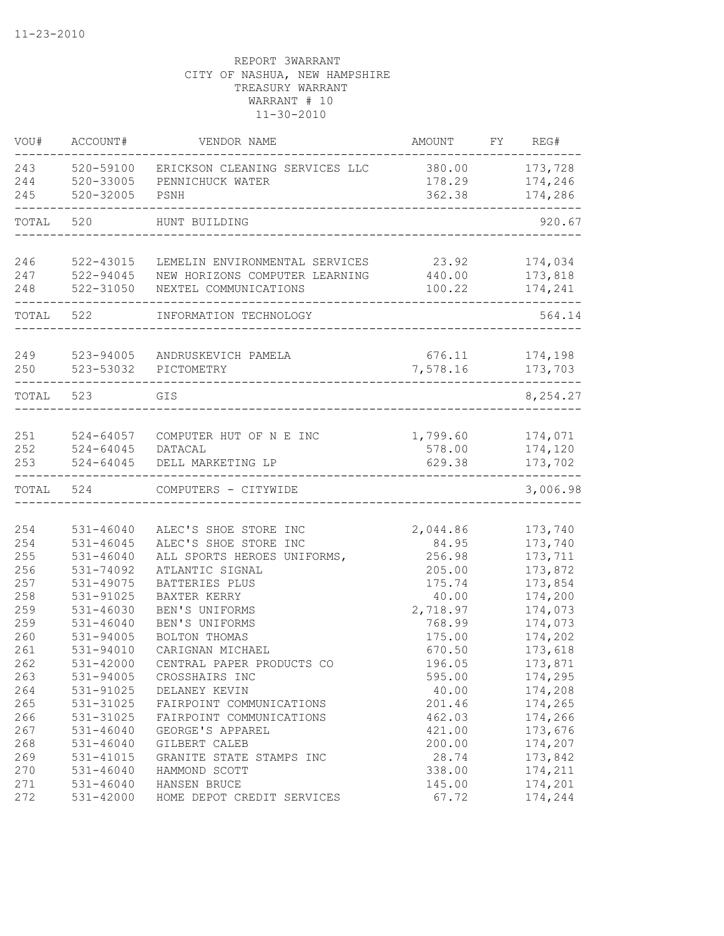| VOU#       | ACCOUNT#                       | VENDOR NAME                                                      | AMOUNT             | FY | REG#               |
|------------|--------------------------------|------------------------------------------------------------------|--------------------|----|--------------------|
| 243        | 520-59100                      | ERICKSON CLEANING SERVICES LLC                                   | 380.00             |    | 173,728            |
| 244        | $520 - 33005$                  | PENNICHUCK WATER                                                 | 178.29             |    | 174,246            |
| 245        | 520-32005                      | PSNH                                                             | 362.38             |    | 174,286            |
| TOTAL      | 520                            | HUNT BUILDING                                                    |                    |    | 920.67             |
|            |                                |                                                                  |                    |    |                    |
| 246<br>247 | 522-43015<br>$522 - 94045$     | LEMELIN ENVIRONMENTAL SERVICES<br>NEW HORIZONS COMPUTER LEARNING | 23.92<br>440.00    |    | 174,034<br>173,818 |
| 248        | 522-31050                      | NEXTEL COMMUNICATIONS                                            | 100.22             |    | 174,241            |
|            |                                |                                                                  |                    |    |                    |
| TOTAL      | 522                            | INFORMATION TECHNOLOGY                                           |                    |    | 564.14             |
|            |                                |                                                                  |                    |    |                    |
| 249<br>250 | 523-94005<br>523-53032         | ANDRUSKEVICH PAMELA<br>PICTOMETRY                                | 676.11<br>7,578.16 |    | 174,198<br>173,703 |
|            |                                |                                                                  |                    |    |                    |
| TOTAL      | 523                            | GIS                                                              |                    |    | 8,254.27           |
|            |                                |                                                                  |                    |    |                    |
| 251        | $524 - 64057$                  | COMPUTER HUT OF N E INC                                          | 1,799.60           |    | 174,071            |
| 252        | $524 - 64045$                  | DATACAL                                                          | 578.00             |    | 174,120            |
| 253        | $524 - 64045$                  | DELL MARKETING LP                                                | 629.38             |    | 173,702            |
| TOTAL      | 524                            | COMPUTERS - CITYWIDE                                             |                    |    | 3,006.98           |
|            |                                |                                                                  |                    |    |                    |
| 254        | $531 - 46040$                  | ALEC'S SHOE STORE INC                                            | 2,044.86           |    | 173,740            |
| 254        | $531 - 46045$                  | ALEC'S SHOE STORE INC                                            | 84.95              |    | 173,740            |
| 255        | $531 - 46040$                  | ALL SPORTS HEROES UNIFORMS,                                      | 256.98             |    | 173,711            |
| 256        | 531-74092                      | ATLANTIC SIGNAL                                                  | 205.00             |    | 173,872            |
| 257        | 531-49075                      | BATTERIES PLUS                                                   | 175.74             |    | 173,854            |
| 258        | 531-91025                      | BAXTER KERRY                                                     | 40.00              |    | 174,200            |
| 259        | $531 - 46030$<br>$531 - 46040$ | BEN'S UNIFORMS                                                   | 2,718.97           |    | 174,073            |
| 259        |                                | BEN'S UNIFORMS                                                   | 768.99             |    | 174,073            |
| 260        | 531-94005<br>531-94010         | BOLTON THOMAS                                                    | 175.00             |    | 174,202            |
| 261        |                                | CARIGNAN MICHAEL                                                 | 670.50             |    | 173,618            |
| 262        | 531-42000                      | CENTRAL PAPER PRODUCTS CO                                        | 196.05             |    | 173,871            |
| 263        | 531-94005                      | CROSSHAIRS INC                                                   | 595.00             |    | 174,295            |
| 264        | 531-91025                      | DELANEY KEVIN                                                    | 40.00              |    | 174,208            |
| 265        | 531-31025                      | FAIRPOINT COMMUNICATIONS                                         | 201.46             |    | 174,265            |
| 266        | 531-31025                      | FAIRPOINT COMMUNICATIONS                                         | 462.03             |    | 174,266            |
| 267        | $531 - 46040$                  | GEORGE'S APPAREL                                                 | 421.00             |    | 173,676            |
| 268        | $531 - 46040$                  | GILBERT CALEB                                                    | 200.00             |    | 174,207            |
| 269        | 531-41015                      | GRANITE STATE STAMPS INC                                         | 28.74              |    | 173,842            |
| 270        | $531 - 46040$                  | HAMMOND SCOTT                                                    | 338.00             |    | 174,211            |
| 271        | 531-46040                      | HANSEN BRUCE                                                     | 145.00             |    | 174,201            |
| 272        | 531-42000                      | HOME DEPOT CREDIT SERVICES                                       | 67.72              |    | 174,244            |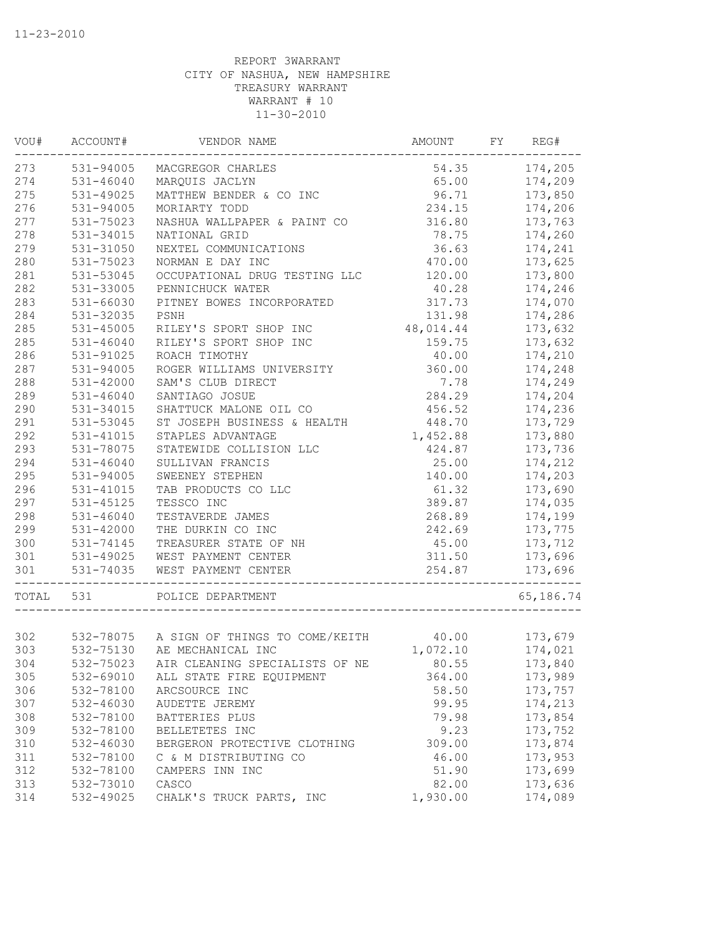| VOU#  | ACCOUNT#      | VENDOR NAME                              | AMOUNT    | FY | REG#      |
|-------|---------------|------------------------------------------|-----------|----|-----------|
| 273   | 531-94005     | MACGREGOR CHARLES                        | 54.35     |    | 174,205   |
| 274   | $531 - 46040$ | MARQUIS JACLYN                           | 65.00     |    | 174,209   |
| 275   | 531-49025     | MATTHEW BENDER & CO INC                  | 96.71     |    | 173,850   |
| 276   | 531-94005     | MORIARTY TODD                            | 234.15    |    | 174,206   |
| 277   | 531-75023     | NASHUA WALLPAPER & PAINT CO              | 316.80    |    | 173,763   |
| 278   | 531-34015     | NATIONAL GRID                            | 78.75     |    | 174,260   |
| 279   | 531-31050     | NEXTEL COMMUNICATIONS                    | 36.63     |    | 174,241   |
| 280   | 531-75023     | NORMAN E DAY INC                         | 470.00    |    | 173,625   |
| 281   | 531-53045     | OCCUPATIONAL DRUG TESTING LLC            | 120.00    |    | 173,800   |
| 282   | 531-33005     | PENNICHUCK WATER                         | 40.28     |    | 174,246   |
| 283   | 531-66030     | PITNEY BOWES INCORPORATED                | 317.73    |    | 174,070   |
| 284   | 531-32035     | PSNH                                     | 131.98    |    | 174,286   |
| 285   | 531-45005     | RILEY'S SPORT SHOP INC                   | 48,014.44 |    | 173,632   |
| 285   | $531 - 46040$ | RILEY'S SPORT SHOP INC                   | 159.75    |    | 173,632   |
| 286   | 531-91025     | ROACH TIMOTHY                            | 40.00     |    | 174,210   |
| 287   | 531-94005     | ROGER WILLIAMS UNIVERSITY                | 360.00    |    | 174,248   |
| 288   | 531-42000     | SAM'S CLUB DIRECT                        | 7.78      |    | 174,249   |
| 289   | $531 - 46040$ | SANTIAGO JOSUE                           | 284.29    |    | 174,204   |
| 290   | 531-34015     | SHATTUCK MALONE OIL CO                   | 456.52    |    | 174,236   |
| 291   | 531-53045     | ST JOSEPH BUSINESS & HEALTH              | 448.70    |    | 173,729   |
| 292   | 531-41015     | STAPLES ADVANTAGE                        | 1,452.88  |    | 173,880   |
| 293   | 531-78075     | STATEWIDE COLLISION LLC                  | 424.87    |    | 173,736   |
| 294   | $531 - 46040$ | SULLIVAN FRANCIS                         | 25.00     |    | 174,212   |
| 295   | 531-94005     | SWEENEY STEPHEN                          | 140.00    |    | 174,203   |
| 296   | 531-41015     | TAB PRODUCTS CO LLC                      | 61.32     |    | 173,690   |
| 297   | 531-45125     | TESSCO INC                               | 389.87    |    | 174,035   |
| 298   | 531-46040     | TESTAVERDE JAMES                         | 268.89    |    | 174,199   |
| 299   | $531 - 42000$ | THE DURKIN CO INC                        | 242.69    |    | 173,775   |
| 300   | 531-74145     | TREASURER STATE OF NH                    | 45.00     |    | 173,712   |
| 301   | 531-49025     | WEST PAYMENT CENTER                      | 311.50    |    | 173,696   |
| 301   | 531-74035     | WEST PAYMENT CENTER                      | 254.87    |    | 173,696   |
| TOTAL | 531           | POLICE DEPARTMENT                        |           |    | 65,186.74 |
|       |               |                                          |           |    |           |
| 302   |               | 532-78075 A SIGN OF THINGS TO COME/KEITH | 40.00     |    | 173,679   |
| 303   |               | 532-75130 AE MECHANICAL INC              | 1,072.10  |    | 174,021   |
| 304   | 532-75023     | AIR CLEANING SPECIALISTS OF NE           | 80.55     |    | 173,840   |
| 305   | 532-69010     | ALL STATE FIRE EQUIPMENT                 | 364.00    |    | 173,989   |
| 306   | 532-78100     | ARCSOURCE INC                            | 58.50     |    | 173,757   |
| 307   | 532-46030     | AUDETTE JEREMY                           | 99.95     |    | 174,213   |
| 308   | 532-78100     | BATTERIES PLUS                           | 79.98     |    | 173,854   |
| 309   | 532-78100     | BELLETETES INC                           | 9.23      |    | 173,752   |
| 310   | 532-46030     | BERGERON PROTECTIVE CLOTHING             | 309.00    |    | 173,874   |
| 311   | 532-78100     | C & M DISTRIBUTING CO                    | 46.00     |    | 173,953   |
| 312   | 532-78100     | CAMPERS INN INC                          | 51.90     |    | 173,699   |
| 313   | 532-73010     | CASCO                                    | 82.00     |    | 173,636   |
| 314   | 532-49025     | CHALK'S TRUCK PARTS, INC                 | 1,930.00  |    | 174,089   |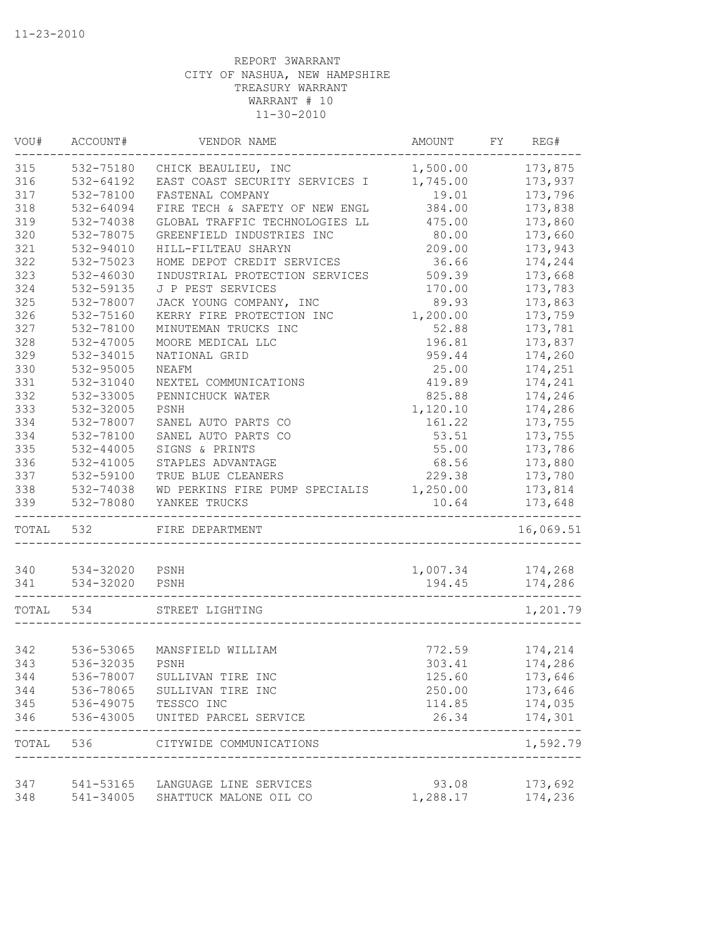| VOU#       | ACCOUNT#               | VENDOR NAME                         | AMOUNT                             | FY | REG#               |
|------------|------------------------|-------------------------------------|------------------------------------|----|--------------------|
| 315        | 532-75180              | CHICK BEAULIEU, INC                 | 1,500.00                           |    | 173,875            |
| 316        | 532-64192              | EAST COAST SECURITY SERVICES I      | 1,745.00                           |    | 173,937            |
| 317        | 532-78100              | FASTENAL COMPANY                    | 19.01                              |    | 173,796            |
| 318        | 532-64094              | FIRE TECH & SAFETY OF NEW ENGL      | 384.00                             |    | 173,838            |
| 319        | 532-74038              | GLOBAL TRAFFIC TECHNOLOGIES LL      | 475.00                             |    | 173,860            |
| 320        | 532-78075              | GREENFIELD INDUSTRIES INC           | 80.00                              |    | 173,660            |
| 321        | 532-94010              | HILL-FILTEAU SHARYN                 | 209.00                             |    | 173,943            |
| 322        | 532-75023              | HOME DEPOT CREDIT SERVICES          | 36.66                              |    | 174,244            |
| 323        | 532-46030              | INDUSTRIAL PROTECTION SERVICES      | 509.39                             |    | 173,668            |
| 324        | 532-59135              | J P PEST SERVICES                   | 170.00                             |    | 173,783            |
| 325        | 532-78007              | JACK YOUNG COMPANY, INC             | 89.93                              |    | 173,863            |
| 326        | 532-75160              | KERRY FIRE PROTECTION INC           | 1,200.00                           |    | 173,759            |
| 327        | 532-78100              | MINUTEMAN TRUCKS INC                | 52.88                              |    | 173,781            |
| 328        | 532-47005              | MOORE MEDICAL LLC                   | 196.81                             |    | 173,837            |
| 329        | 532-34015              | NATIONAL GRID                       | 959.44                             |    | 174,260            |
| 330        | 532-95005              | <b>NEAFM</b>                        | 25.00                              |    | 174,251            |
| 331        | 532-31040              | NEXTEL COMMUNICATIONS               | 419.89                             |    | 174,241            |
| 332        | 532-33005              | PENNICHUCK WATER                    | 825.88                             |    | 174,246            |
| 333        | 532-32005              | PSNH                                | 1,120.10                           |    | 174,286            |
| 334        | 532-78007              | SANEL AUTO PARTS CO                 | 161.22                             |    | 173,755            |
| 334        | 532-78100              | SANEL AUTO PARTS CO                 | 53.51                              |    | 173,755            |
| 335        | 532-44005              | SIGNS & PRINTS                      | 55.00                              |    | 173,786            |
| 336        | 532-41005              | STAPLES ADVANTAGE                   | 68.56                              |    | 173,880            |
| 337        | 532-59100              | TRUE BLUE CLEANERS                  | 229.38                             |    | 173,780            |
| 338        | 532-74038              | WD PERKINS FIRE PUMP SPECIALIS      | 1,250.00                           |    | 173,814            |
| 339        | 532-78080              | YANKEE TRUCKS                       | 10.64                              |    | 173,648            |
| TOTAL      | 532                    | FIRE DEPARTMENT                     |                                    |    | 16,069.51          |
| 340        | 534-32020              | PSNH                                | 1,007.34                           |    | 174,268            |
| 341        | 534-32020              | PSNH                                | 194.45                             |    | 174,286            |
|            |                        |                                     |                                    |    |                    |
| TOTAL 534  |                        | STREET LIGHTING                     |                                    |    | 1,201.79           |
|            | 536-53065              | MANSFIELD WILLIAM                   |                                    |    |                    |
| 342<br>343 |                        | PSNH                                | 772.59                             |    | 174,214            |
|            | 536-32035              |                                     | 303.41                             |    | 174,286            |
| 344        | 536-78007              | SULLIVAN TIRE INC                   | 125.60                             |    | 173,646            |
| 344        | 536-78065              | SULLIVAN TIRE INC                   | 250.00                             |    | 173,646            |
| 345<br>346 | 536-49075<br>536-43005 | TESSCO INC<br>UNITED PARCEL SERVICE | 114.85<br>26.34                    |    | 174,035<br>174,301 |
| TOTAL      | 536                    | CITYWIDE COMMUNICATIONS             |                                    |    | 1,592.79           |
|            |                        |                                     | __________________________________ |    |                    |
| 347        |                        | 541-53165 LANGUAGE LINE SERVICES    | 93.08                              |    | 173,692            |
| 348        | 541-34005              | SHATTUCK MALONE OIL CO              | 1,288.17                           |    | 174,236            |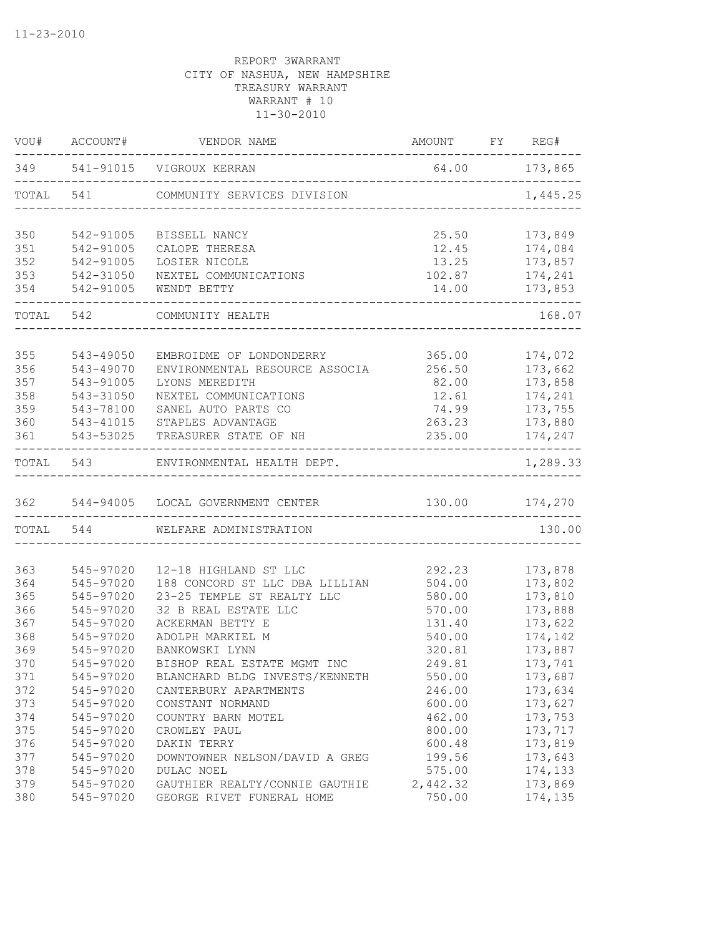| VOU#  | ACCOUNT#      | VENDOR NAME                                                     | AMOUNT FY REG#                   |                      |
|-------|---------------|-----------------------------------------------------------------|----------------------------------|----------------------|
|       |               | 349 541-91015 VIGROUX KERRAN<br>_______________________________ | 64.00 173,865                    |                      |
| TOTAL |               | 541 COMMUNITY SERVICES DIVISION                                 |                                  | 1,445.25             |
| 350   | 542-91005     | BISSELL NANCY                                                   | 25.50                            | 173,849              |
| 351   | 542-91005     | CALOPE THERESA                                                  | 12.45                            | 174,084              |
| 352   | 542-91005     | LOSIER NICOLE                                                   | 13.25                            | 173,857              |
| 353   | 542-31050     | NEXTEL COMMUNICATIONS                                           | 102.87                           | 174,241              |
|       | 354 542-91005 | WENDT BETTY                                                     | 14.00                            | 173,853              |
|       | TOTAL 542     | COMMUNITY HEALTH                                                |                                  | 168.07               |
|       |               |                                                                 |                                  |                      |
| 355   | 543-49050     | EMBROIDME OF LONDONDERRY                                        | 365.00                           | 174,072              |
| 356   | 543-49070     | ENVIRONMENTAL RESOURCE ASSOCIA                                  | 256.50                           | 173,662              |
| 357   | 543-91005     | LYONS MEREDITH                                                  | 82.00                            | 173,858              |
| 358   | 543-31050     | NEXTEL COMMUNICATIONS                                           | 12.61                            | 174,241              |
| 359   | 543-78100     | SANEL AUTO PARTS CO                                             | 74.99                            | 173,755              |
| 360   | 543-41015     | STAPLES ADVANTAGE                                               | 263.23                           | 173,880              |
| 361   | 543-53025     | TREASURER STATE OF NH                                           | 235.00                           | 174,247<br>--------- |
|       |               | TOTAL 543 ENVIRONMENTAL HEALTH DEPT.                            |                                  | 1,289.33             |
|       |               | 362 544-94005 LOCAL GOVERNMENT CENTER                           | 130.00 174,270                   |                      |
|       | TOTAL 544     | WELFARE ADMINISTRATION                                          | -------------------------------- | 130.00               |
|       |               |                                                                 |                                  |                      |
| 363   | 545-97020     | 12-18 HIGHLAND ST LLC                                           | 292.23                           | 173,878              |
| 364   | 545-97020     | 188 CONCORD ST LLC DBA LILLIAN                                  | 504.00                           | 173,802              |
| 365   | 545-97020     | 23-25 TEMPLE ST REALTY LLC                                      | 580.00                           | 173,810              |
| 366   | 545-97020     | 32 B REAL ESTATE LLC                                            | 570.00                           | 173,888              |
| 367   | 545-97020     | ACKERMAN BETTY E                                                | 131.40                           | 173,622              |
| 368   | 545-97020     | ADOLPH MARKIEL M                                                | 540.00                           | 174,142              |
| 369   | 545-97020     | BANKOWSKI LYNN                                                  | 320.81                           | 173,887              |
| 370   | 545-97020     | BISHOP REAL ESTATE MGMT INC                                     | 249.81                           | 173,741              |
| 371   | 545-97020     | BLANCHARD BLDG INVESTS/KENNETH                                  | 550.00                           | 173,687              |
| 372   | 545-97020     | CANTERBURY APARTMENTS                                           | 246.00                           | 173,634              |
| 373   | 545-97020     | CONSTANT NORMAND                                                | 600.00                           | 173,627              |
| 374   | 545-97020     | COUNTRY BARN MOTEL                                              | 462.00                           | 173,753              |
| 375   | 545-97020     | CROWLEY PAUL                                                    | 800.00                           | 173,717              |
| 376   | 545-97020     | DAKIN TERRY                                                     | 600.48                           | 173,819              |
| 377   | 545-97020     | DOWNTOWNER NELSON/DAVID A GREG                                  | 199.56                           | 173,643              |
| 378   | 545-97020     | DULAC NOEL                                                      | 575.00                           | 174,133              |
| 379   | 545-97020     | GAUTHIER REALTY/CONNIE GAUTHIE                                  | 2,442.32                         | 173,869              |
| 380   | 545-97020     | GEORGE RIVET FUNERAL HOME                                       | 750.00                           | 174,135              |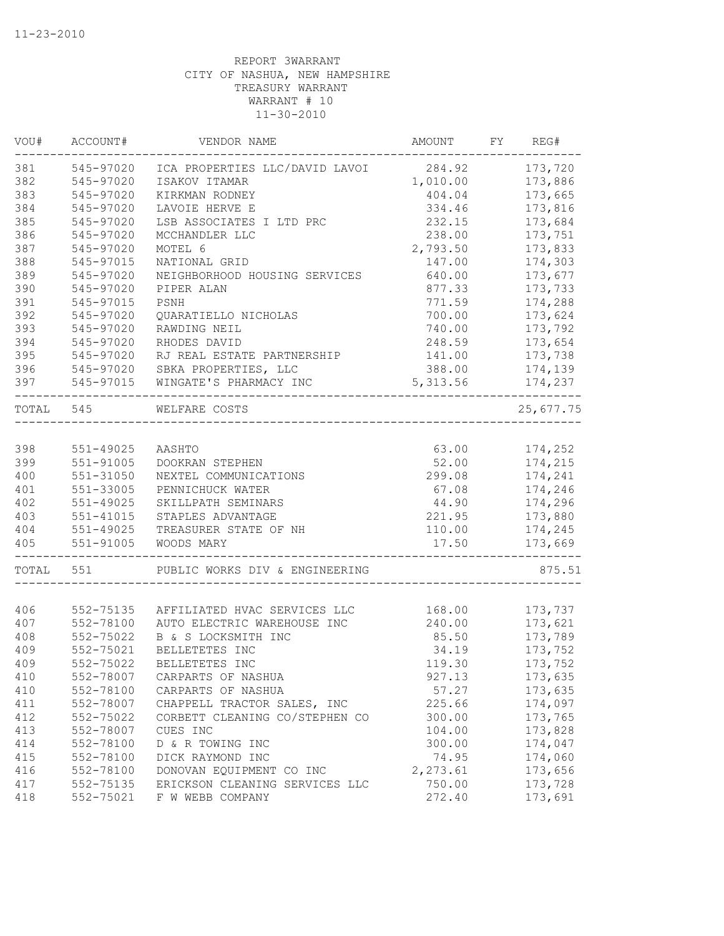| VOU#      | ACCOUNT#      | VENDOR NAME                                     | AMOUNT   | FY | REG#      |
|-----------|---------------|-------------------------------------------------|----------|----|-----------|
| 381       | 545-97020     | ICA PROPERTIES LLC/DAVID LAVOI 284.92           |          |    | 173,720   |
| 382       | 545-97020     | ISAKOV ITAMAR                                   | 1,010.00 |    | 173,886   |
| 383       | 545-97020     | KIRKMAN RODNEY                                  | 404.04   |    | 173,665   |
| 384       | 545-97020     | LAVOIE HERVE E                                  | 334.46   |    | 173,816   |
| 385       | 545-97020     | LSB ASSOCIATES I LTD PRC                        | 232.15   |    | 173,684   |
| 386       | 545-97020     | MCCHANDLER LLC                                  | 238.00   |    | 173,751   |
| 387       | 545-97020     | MOTEL 6                                         | 2,793.50 |    | 173,833   |
| 388       | 545-97015     | NATIONAL GRID                                   | 147.00   |    | 174,303   |
| 389       | 545-97020     | NEIGHBORHOOD HOUSING SERVICES                   | 640.00   |    | 173,677   |
| 390       | 545-97020     | PIPER ALAN                                      | 877.33   |    | 173,733   |
| 391       | 545-97015     | PSNH                                            | 771.59   |    | 174,288   |
| 392       | 545-97020     | QUARATIELLO NICHOLAS                            | 700.00   |    | 173,624   |
| 393       | 545-97020     | RAWDING NEIL                                    | 740.00   |    | 173,792   |
| 394       | 545-97020     | RHODES DAVID                                    | 248.59   |    | 173,654   |
| 395       | 545-97020     | RJ REAL ESTATE PARTNERSHIP                      | 141.00   |    | 173,738   |
| 396       | 545-97020     | SBKA PROPERTIES, LLC                            | 388.00   |    | 174,139   |
| 397       | 545-97015     | WINGATE'S PHARMACY INC                          | 5,313.56 |    | 174,237   |
| TOTAL 545 |               | WELFARE COSTS<br>______________________________ |          |    | 25,677.75 |
|           |               |                                                 |          |    |           |
| 398       | 551-49025     | AASHTO                                          | 63.00    |    | 174,252   |
| 399       | 551-91005     | DOOKRAN STEPHEN                                 | 52.00    |    | 174,215   |
| 400       | 551-31050     | NEXTEL COMMUNICATIONS                           | 299.08   |    | 174,241   |
| 401       | 551-33005     | PENNICHUCK WATER                                | 67.08    |    | 174,246   |
| 402       | $551 - 49025$ | SKILLPATH SEMINARS                              | 44.90    |    | 174,296   |
| 403       | 551-41015     | STAPLES ADVANTAGE                               | 221.95   |    | 173,880   |
| 404       | 551-49025     | TREASURER STATE OF NH                           | 110.00   |    | 174,245   |
| 405       | 551-91005     | WOODS MARY                                      | 17.50    |    | 173,669   |
| TOTAL     | 551           | PUBLIC WORKS DIV & ENGINEERING                  |          |    | 875.51    |
|           |               |                                                 |          |    |           |
| 406       | 552-75135     | AFFILIATED HVAC SERVICES LLC                    | 168.00   |    | 173,737   |
| 407       | 552-78100     | AUTO ELECTRIC WAREHOUSE INC                     | 240.00   |    | 173,621   |
| 408       | 552-75022     | B & S LOCKSMITH INC                             | 85.50    |    | 173,789   |
| 409       | 552-75021     | BELLETETES INC                                  | 34.19    |    | 173,752   |
| 409       | 552-75022     | BELLETETES INC                                  | 119.30   |    | 173,752   |
| 410       | 552-78007     | CARPARTS OF NASHUA                              | 927.13   |    | 173,635   |
| 410       | 552-78100     | CARPARTS OF NASHUA                              | 57.27    |    | 173,635   |
| 411       | 552-78007     | CHAPPELL TRACTOR SALES, INC                     | 225.66   |    | 174,097   |
| 412       | 552-75022     | CORBETT CLEANING CO/STEPHEN CO                  | 300.00   |    | 173,765   |
| 413       | 552-78007     | CUES INC                                        | 104.00   |    | 173,828   |
| 414       | 552-78100     | D & R TOWING INC                                | 300.00   |    | 174,047   |
| 415       | 552-78100     | DICK RAYMOND INC                                | 74.95    |    | 174,060   |
| 416       | 552-78100     | DONOVAN EQUIPMENT CO INC                        | 2,273.61 |    | 173,656   |
| 417       | 552-75135     | ERICKSON CLEANING SERVICES LLC                  | 750.00   |    | 173,728   |
| 418       | 552-75021     | F W WEBB COMPANY                                | 272.40   |    | 173,691   |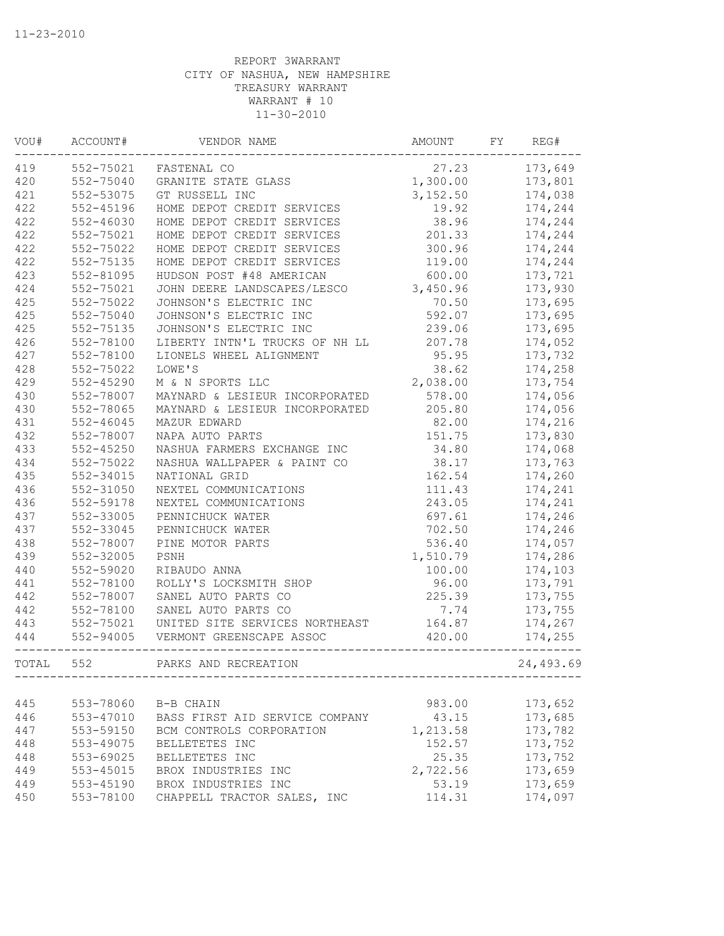| VOU#  | ACCOUNT#      | VENDOR NAME                    | AMOUNT   | FY | REG#      |
|-------|---------------|--------------------------------|----------|----|-----------|
| 419   | 552-75021     | FASTENAL CO                    | 27.23    |    | 173,649   |
| 420   | 552-75040     | GRANITE STATE GLASS            | 1,300.00 |    | 173,801   |
| 421   | 552-53075     | GT RUSSELL INC                 | 3,152.50 |    | 174,038   |
| 422   | 552-45196     | HOME DEPOT CREDIT SERVICES     | 19.92    |    | 174,244   |
| 422   | 552-46030     | HOME DEPOT CREDIT SERVICES     | 38.96    |    | 174,244   |
| 422   | 552-75021     | HOME DEPOT CREDIT SERVICES     | 201.33   |    | 174,244   |
| 422   | 552-75022     | HOME DEPOT CREDIT SERVICES     | 300.96   |    | 174,244   |
| 422   | 552-75135     | HOME DEPOT CREDIT SERVICES     | 119.00   |    | 174,244   |
| 423   | 552-81095     | HUDSON POST #48 AMERICAN       | 600.00   |    | 173,721   |
| 424   | 552-75021     | JOHN DEERE LANDSCAPES/LESCO    | 3,450.96 |    | 173,930   |
| 425   | 552-75022     | JOHNSON'S ELECTRIC INC         | 70.50    |    | 173,695   |
| 425   | 552-75040     | JOHNSON'S ELECTRIC INC         | 592.07   |    | 173,695   |
| 425   | 552-75135     | JOHNSON'S ELECTRIC INC         | 239.06   |    | 173,695   |
| 426   | 552-78100     | LIBERTY INTN'L TRUCKS OF NH LL | 207.78   |    | 174,052   |
| 427   | 552-78100     | LIONELS WHEEL ALIGNMENT        | 95.95    |    | 173,732   |
| 428   | 552-75022     | LOWE'S                         | 38.62    |    | 174,258   |
| 429   | 552-45290     | M & N SPORTS LLC               | 2,038.00 |    | 173,754   |
| 430   | 552-78007     | MAYNARD & LESIEUR INCORPORATED | 578.00   |    | 174,056   |
| 430   | 552-78065     | MAYNARD & LESIEUR INCORPORATED | 205.80   |    | 174,056   |
| 431   | $552 - 46045$ | MAZUR EDWARD                   | 82.00    |    | 174,216   |
| 432   | 552-78007     | NAPA AUTO PARTS                | 151.75   |    | 173,830   |
| 433   | $552 - 45250$ | NASHUA FARMERS EXCHANGE INC    | 34.80    |    | 174,068   |
| 434   | 552-75022     | NASHUA WALLPAPER & PAINT CO    | 38.17    |    | 173,763   |
| 435   | 552-34015     | NATIONAL GRID                  | 162.54   |    | 174,260   |
| 436   | 552-31050     | NEXTEL COMMUNICATIONS          | 111.43   |    | 174,241   |
| 436   | 552-59178     | NEXTEL COMMUNICATIONS          | 243.05   |    | 174,241   |
| 437   | 552-33005     | PENNICHUCK WATER               | 697.61   |    | 174,246   |
| 437   | 552-33045     | PENNICHUCK WATER               | 702.50   |    | 174,246   |
| 438   | 552-78007     | PINE MOTOR PARTS               | 536.40   |    | 174,057   |
| 439   | 552-32005     | PSNH                           | 1,510.79 |    | 174,286   |
| 440   | 552-59020     | RIBAUDO ANNA                   | 100.00   |    | 174,103   |
| 441   | 552-78100     | ROLLY'S LOCKSMITH SHOP         | 96.00    |    | 173,791   |
| 442   | 552-78007     | SANEL AUTO PARTS CO            | 225.39   |    | 173,755   |
| 442   | 552-78100     | SANEL AUTO PARTS CO            | 7.74     |    | 173,755   |
| 443   | 552-75021     | UNITED SITE SERVICES NORTHEAST | 164.87   |    | 174,267   |
| 444   | 552-94005     | VERMONT GREENSCAPE ASSOC       | 420.00   |    | 174,255   |
| TOTAL | 552           | PARKS AND RECREATION           |          |    | 24,493.69 |
|       |               |                                |          |    |           |
| 445   | 553-78060     | B-B CHAIN                      | 983.00   |    | 173,652   |
| 446   | 553-47010     | BASS FIRST AID SERVICE COMPANY | 43.15    |    | 173,685   |
| 447   | 553-59150     | BCM CONTROLS CORPORATION       | 1,213.58 |    | 173,782   |
| 448   | 553-49075     | BELLETETES INC                 | 152.57   |    | 173,752   |
| 448   | 553-69025     | BELLETETES INC                 | 25.35    |    | 173,752   |
| 449   | 553-45015     | BROX INDUSTRIES INC            | 2,722.56 |    | 173,659   |
| 449   | 553-45190     | BROX INDUSTRIES INC            | 53.19    |    | 173,659   |
| 450   | 553-78100     | CHAPPELL TRACTOR SALES, INC    | 114.31   |    | 174,097   |
|       |               |                                |          |    |           |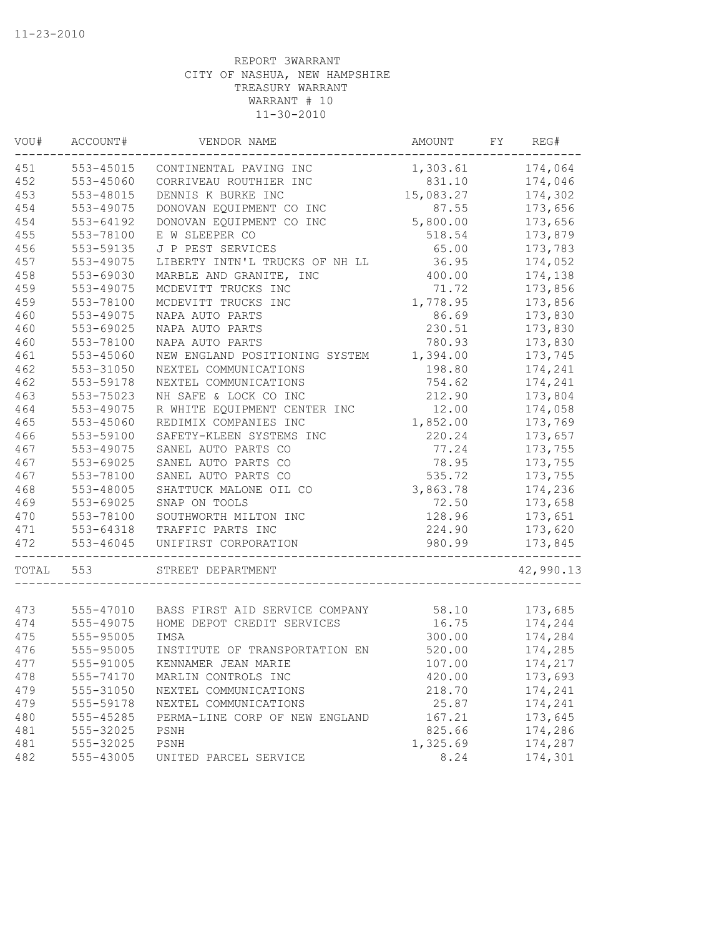| VOU#  | ACCOUNT#      | VENDOR NAME                    | AMOUNT    | FY | REG#      |
|-------|---------------|--------------------------------|-----------|----|-----------|
| 451   | $553 - 45015$ | CONTINENTAL PAVING INC         | 1,303.61  |    | 174,064   |
| 452   | 553-45060     | CORRIVEAU ROUTHIER INC         | 831.10    |    | 174,046   |
| 453   | 553-48015     | DENNIS K BURKE INC             | 15,083.27 |    | 174,302   |
| 454   | 553-49075     | DONOVAN EQUIPMENT CO INC       | 87.55     |    | 173,656   |
| 454   | 553-64192     | DONOVAN EQUIPMENT CO INC       | 5,800.00  |    | 173,656   |
| 455   | 553-78100     | E W SLEEPER CO                 | 518.54    |    | 173,879   |
| 456   | 553-59135     | J P PEST SERVICES              | 65.00     |    | 173,783   |
| 457   | 553-49075     | LIBERTY INTN'L TRUCKS OF NH LL | 36.95     |    | 174,052   |
| 458   | 553-69030     | MARBLE AND GRANITE, INC        | 400.00    |    | 174,138   |
| 459   | 553-49075     | MCDEVITT TRUCKS INC            | 71.72     |    | 173,856   |
| 459   | 553-78100     | MCDEVITT TRUCKS INC            | 1,778.95  |    | 173,856   |
| 460   | 553-49075     | NAPA AUTO PARTS                | 86.69     |    | 173,830   |
| 460   | 553-69025     | NAPA AUTO PARTS                | 230.51    |    | 173,830   |
| 460   | 553-78100     | NAPA AUTO PARTS                | 780.93    |    | 173,830   |
| 461   | 553-45060     | NEW ENGLAND POSITIONING SYSTEM | 1,394.00  |    | 173,745   |
| 462   | 553-31050     | NEXTEL COMMUNICATIONS          | 198.80    |    | 174,241   |
| 462   | 553-59178     | NEXTEL COMMUNICATIONS          | 754.62    |    | 174,241   |
| 463   | 553-75023     | NH SAFE & LOCK CO INC          | 212.90    |    | 173,804   |
| 464   | 553-49075     | R WHITE EQUIPMENT CENTER INC   | 12.00     |    | 174,058   |
| 465   | 553-45060     | REDIMIX COMPANIES INC          | 1,852.00  |    | 173,769   |
| 466   | 553-59100     | SAFETY-KLEEN SYSTEMS INC       | 220.24    |    | 173,657   |
| 467   | 553-49075     | SANEL AUTO PARTS CO            | 77.24     |    | 173,755   |
| 467   | 553-69025     | SANEL AUTO PARTS CO            | 78.95     |    | 173,755   |
| 467   | 553-78100     | SANEL AUTO PARTS CO            | 535.72    |    | 173,755   |
| 468   | 553-48005     | SHATTUCK MALONE OIL CO         | 3,863.78  |    | 174,236   |
| 469   | 553-69025     | SNAP ON TOOLS                  | 72.50     |    | 173,658   |
| 470   | 553-78100     | SOUTHWORTH MILTON INC          | 128.96    |    | 173,651   |
| 471   | 553-64318     | TRAFFIC PARTS INC              | 224.90    |    | 173,620   |
| 472   | 553-46045     | UNIFIRST CORPORATION           | 980.99    |    | 173,845   |
| TOTAL | 553           | STREET DEPARTMENT              |           |    | 42,990.13 |
|       |               |                                |           |    |           |
| 473   | 555-47010     | BASS FIRST AID SERVICE COMPANY | 58.10     |    | 173,685   |
| 474   | 555-49075     | HOME DEPOT CREDIT SERVICES     | 16.75     |    | 174,244   |
| 475   | 555-95005     | IMSA                           | 300.00    |    | 174,284   |
| 476   | 555-95005     | INSTITUTE OF TRANSPORTATION EN | 520.00    |    | 174,285   |
| 477   | 555-91005     | KENNAMER JEAN MARIE            | 107.00    |    | 174,217   |
| 478   | 555-74170     | MARLIN CONTROLS INC            | 420.00    |    | 173,693   |
| 479   | 555-31050     | NEXTEL COMMUNICATIONS          | 218.70    |    | 174,241   |
| 479   | 555-59178     | NEXTEL COMMUNICATIONS          | 25.87     |    | 174,241   |
| 480   | 555-45285     | PERMA-LINE CORP OF NEW ENGLAND | 167.21    |    | 173,645   |
| 481   | 555-32025     | PSNH                           | 825.66    |    | 174,286   |
| 481   | 555-32025     | PSNH                           | 1,325.69  |    | 174,287   |
| 482   | 555-43005     | UNITED PARCEL SERVICE          | 8.24      |    | 174,301   |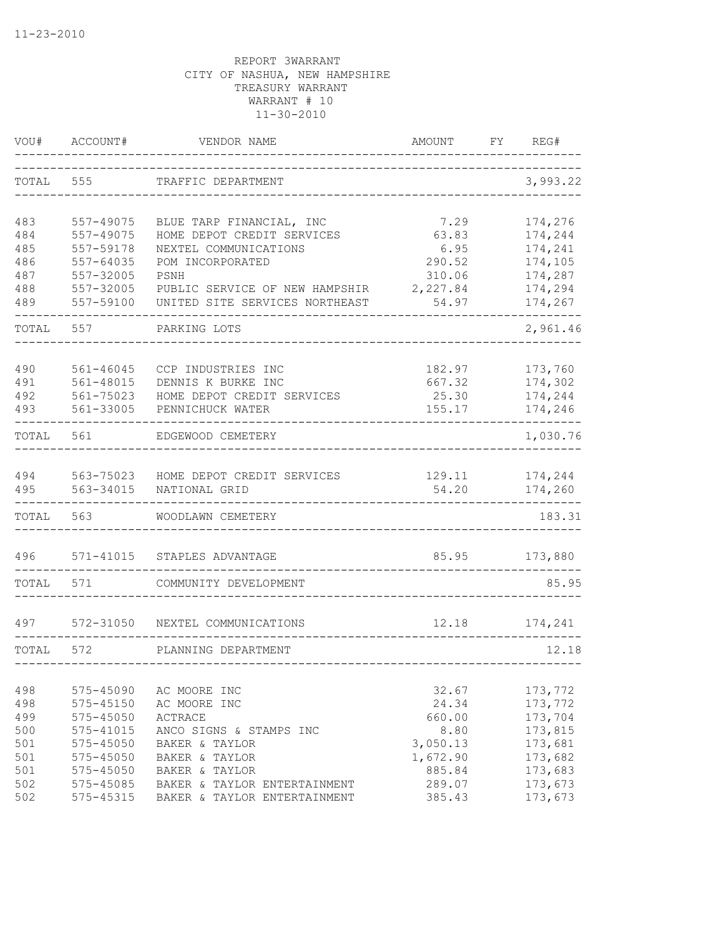| VOU#  | ACCOUNT#      | VENDOR NAME                    | AMOUNT   | FY. | REG#     |
|-------|---------------|--------------------------------|----------|-----|----------|
| TOTAL | 555           | TRAFFIC DEPARTMENT             |          |     | 3,993.22 |
| 483   | 557-49075     | BLUE TARP FINANCIAL, INC       | 7.29     |     | 174,276  |
| 484   | 557-49075     | HOME DEPOT CREDIT SERVICES     | 63.83    |     | 174,244  |
| 485   | 557-59178     | NEXTEL COMMUNICATIONS          | 6.95     |     | 174,241  |
| 486   | 557-64035     | POM INCORPORATED               | 290.52   |     | 174,105  |
| 487   | 557-32005     | PSNH                           | 310.06   |     | 174,287  |
| 488   | 557-32005     | PUBLIC SERVICE OF NEW HAMPSHIR | 2,227.84 |     | 174,294  |
| 489   | 557-59100     | UNITED SITE SERVICES NORTHEAST | 54.97    |     | 174,267  |
| TOTAL | 557           | PARKING LOTS                   |          |     | 2,961.46 |
| 490   | $561 - 46045$ | CCP INDUSTRIES INC             | 182.97   |     | 173,760  |
| 491   | 561-48015     | DENNIS K BURKE INC             | 667.32   |     | 174,302  |
| 492   | 561-75023     | HOME DEPOT CREDIT SERVICES     | 25.30    |     | 174,244  |
| 493   | 561-33005     | PENNICHUCK WATER               | 155.17   |     | 174,246  |
|       |               |                                |          |     |          |
| TOTAL | 561           | EDGEWOOD CEMETERY              |          |     | 1,030.76 |
|       |               |                                |          |     |          |
| 494   | 563-75023     | HOME DEPOT CREDIT SERVICES     | 129.11   |     | 174,244  |
| 495   | 563-34015     | NATIONAL GRID                  | 54.20    |     | 174,260  |
| TOTAL | 563           | WOODLAWN CEMETERY              |          |     | 183.31   |
| 496   | 571-41015     | STAPLES ADVANTAGE              | 85.95    |     | 173,880  |
| TOTAL | 571           | COMMUNITY DEVELOPMENT          |          |     | 85.95    |
| 497   | 572-31050     | NEXTEL COMMUNICATIONS          | 12.18    |     | 174,241  |
|       |               |                                |          |     |          |
| TOTAL | 572           | PLANNING DEPARTMENT            |          |     | 12.18    |
| 498   | 575-45090     | AC MOORE INC                   | 32.67    |     | 173,772  |
| 498   | 575-45150     | AC MOORE INC                   | 24.34    |     | 173,772  |
| 499   | 575-45050     | ACTRACE                        | 660.00   |     | 173,704  |
| 500   | 575-41015     | ANCO SIGNS & STAMPS INC        | 8.80     |     | 173,815  |
| 501   | 575-45050     | BAKER & TAYLOR                 | 3,050.13 |     | 173,681  |
| 501   | 575-45050     | BAKER & TAYLOR                 | 1,672.90 |     | 173,682  |
| 501   | 575-45050     | BAKER & TAYLOR                 | 885.84   |     | 173,683  |
| 502   | 575-45085     | BAKER & TAYLOR ENTERTAINMENT   | 289.07   |     | 173,673  |
| 502   | 575-45315     | BAKER & TAYLOR ENTERTAINMENT   | 385.43   |     | 173,673  |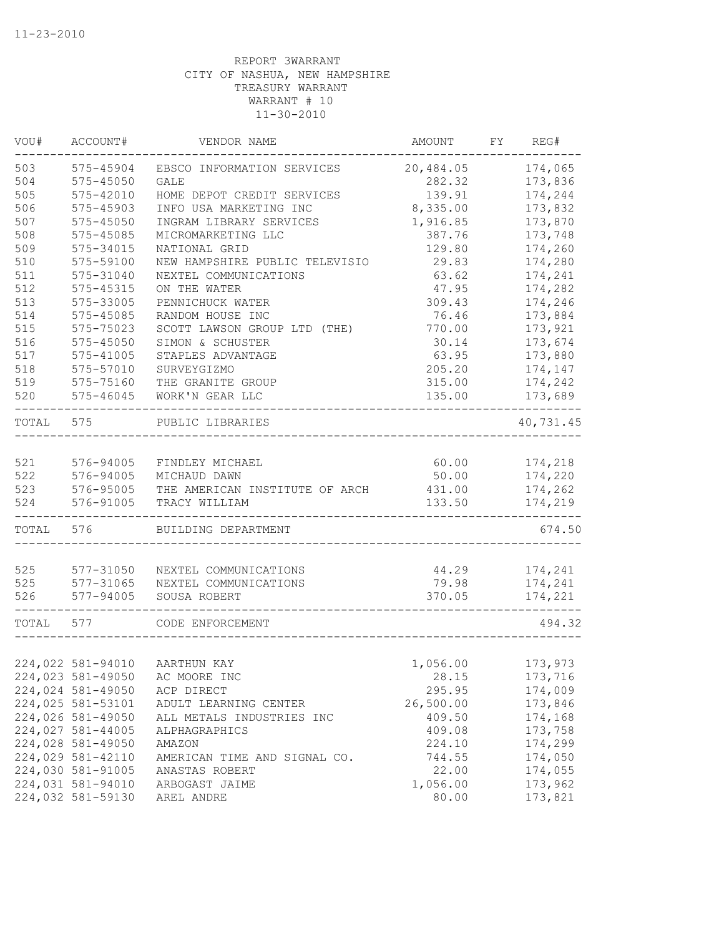| VOU#  | ACCOUNT#          | VENDOR NAME                    | AMOUNT    | FY | REG#      |
|-------|-------------------|--------------------------------|-----------|----|-----------|
| 503   | 575-45904         | EBSCO INFORMATION SERVICES     | 20,484.05 |    | 174,065   |
| 504   | $575 - 45050$     | <b>GALE</b>                    | 282.32    |    | 173,836   |
| 505   | 575-42010         | HOME DEPOT CREDIT SERVICES     | 139.91    |    | 174,244   |
| 506   | 575-45903         | INFO USA MARKETING INC         | 8,335.00  |    | 173,832   |
| 507   | $575 - 45050$     | INGRAM LIBRARY SERVICES        | 1,916.85  |    | 173,870   |
| 508   | 575-45085         | MICROMARKETING LLC             | 387.76    |    | 173,748   |
| 509   | 575-34015         | NATIONAL GRID                  | 129.80    |    | 174,260   |
| 510   | 575-59100         | NEW HAMPSHIRE PUBLIC TELEVISIO | 29.83     |    | 174,280   |
| 511   | 575-31040         | NEXTEL COMMUNICATIONS          | 63.62     |    | 174,241   |
| 512   | 575-45315         | ON THE WATER                   | 47.95     |    | 174,282   |
| 513   | 575-33005         | PENNICHUCK WATER               | 309.43    |    | 174,246   |
| 514   | 575-45085         | RANDOM HOUSE INC               | 76.46     |    | 173,884   |
| 515   | 575-75023         | SCOTT LAWSON GROUP LTD (THE)   | 770.00    |    | 173,921   |
| 516   | $575 - 45050$     | SIMON & SCHUSTER               | 30.14     |    | 173,674   |
| 517   | 575-41005         | STAPLES ADVANTAGE              | 63.95     |    | 173,880   |
| 518   | 575-57010         | SURVEYGIZMO                    | 205.20    |    | 174,147   |
| 519   | 575-75160         | THE GRANITE GROUP              | 315.00    |    | 174,242   |
| 520   | 575-46045         | WORK'N GEAR LLC                | 135.00    |    | 173,689   |
| TOTAL | 575               | PUBLIC LIBRARIES               |           |    | 40,731.45 |
| 521   | 576-94005         | FINDLEY MICHAEL                | 60.00     |    | 174,218   |
| 522   | 576-94005         | MICHAUD DAWN                   | 50.00     |    | 174,220   |
| 523   | 576-95005         | THE AMERICAN INSTITUTE OF ARCH | 431.00    |    | 174,262   |
| 524   | 576-91005         | TRACY WILLIAM                  | 133.50    |    | 174,219   |
| TOTAL | 576               | BUILDING DEPARTMENT            |           |    | 674.50    |
|       |                   |                                |           |    |           |
| 525   | 577-31050         | NEXTEL COMMUNICATIONS          | 44.29     |    | 174,241   |
| 525   | 577-31065         | NEXTEL COMMUNICATIONS          | 79.98     |    | 174,241   |
| 526   | 577-94005         | SOUSA ROBERT                   | 370.05    |    | 174,221   |
| TOTAL | 577               | CODE ENFORCEMENT               |           |    | 494.32    |
|       |                   |                                |           |    |           |
|       | 224,022 581-94010 | AARTHUN KAY                    | 1,056.00  |    | 173,973   |
|       | 224,023 581-49050 | AC MOORE INC                   | 28.15     |    | 173,716   |
|       | 224,024 581-49050 | ACP DIRECT                     | 295.95    |    | 174,009   |
|       | 224,025 581-53101 | ADULT LEARNING CENTER          | 26,500.00 |    | 173,846   |
|       | 224,026 581-49050 | ALL METALS INDUSTRIES INC      | 409.50    |    | 174,168   |
|       | 224,027 581-44005 | ALPHAGRAPHICS                  | 409.08    |    | 173,758   |
|       | 224,028 581-49050 | AMAZON                         | 224.10    |    | 174,299   |
|       | 224,029 581-42110 | AMERICAN TIME AND SIGNAL CO.   | 744.55    |    | 174,050   |
|       | 224,030 581-91005 | ANASTAS ROBERT                 | 22.00     |    | 174,055   |
|       | 224,031 581-94010 | ARBOGAST JAIME                 | 1,056.00  |    | 173,962   |
|       | 224,032 581-59130 | AREL ANDRE                     | 80.00     |    | 173,821   |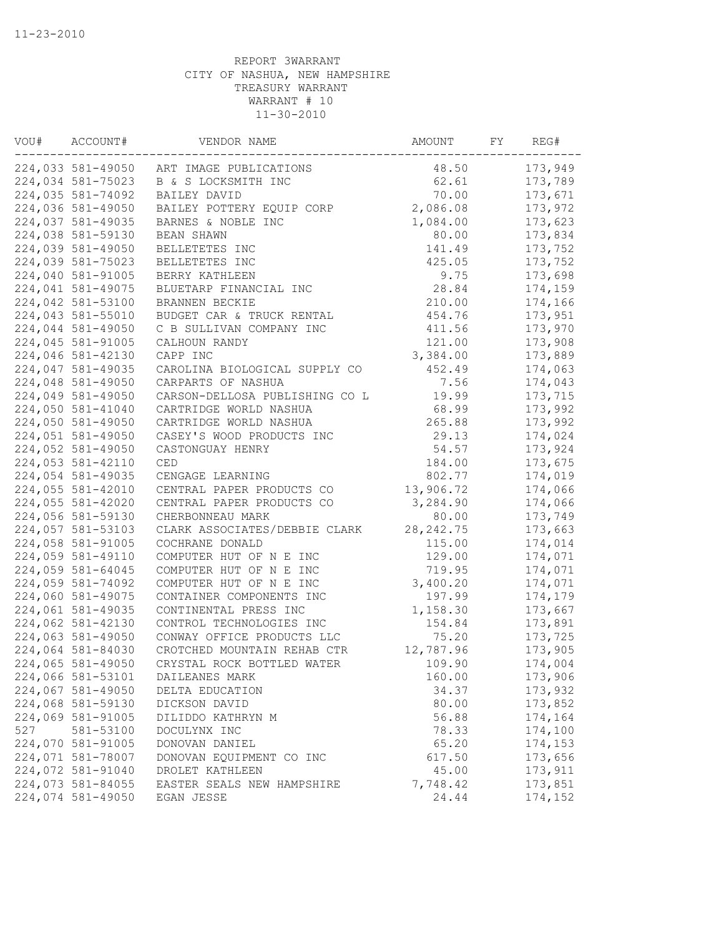| VOU# | ACCOUNT#          | VENDOR NAME                    | AMOUNT     | FY | REG#    |
|------|-------------------|--------------------------------|------------|----|---------|
|      | 224,033 581-49050 | ART IMAGE PUBLICATIONS         | 48.50      |    | 173,949 |
|      | 224,034 581-75023 | B & S LOCKSMITH INC            | 62.61      |    | 173,789 |
|      | 224,035 581-74092 | BAILEY DAVID                   | 70.00      |    | 173,671 |
|      | 224,036 581-49050 | BAILEY POTTERY EQUIP CORP      | 2,086.08   |    | 173,972 |
|      | 224,037 581-49035 | BARNES & NOBLE INC             | 1,084.00   |    | 173,623 |
|      | 224,038 581-59130 | BEAN SHAWN                     | 80.00      |    | 173,834 |
|      | 224,039 581-49050 | BELLETETES INC                 | 141.49     |    | 173,752 |
|      | 224,039 581-75023 | BELLETETES INC                 | 425.05     |    | 173,752 |
|      | 224,040 581-91005 | BERRY KATHLEEN                 | 9.75       |    | 173,698 |
|      | 224,041 581-49075 | BLUETARP FINANCIAL INC         | 28.84      |    | 174,159 |
|      | 224,042 581-53100 | BRANNEN BECKIE                 | 210.00     |    | 174,166 |
|      | 224,043 581-55010 | BUDGET CAR & TRUCK RENTAL      | 454.76     |    | 173,951 |
|      | 224,044 581-49050 | C B SULLIVAN COMPANY INC       | 411.56     |    | 173,970 |
|      | 224,045 581-91005 | CALHOUN RANDY                  | 121.00     |    | 173,908 |
|      | 224,046 581-42130 | CAPP INC                       | 3,384.00   |    | 173,889 |
|      | 224,047 581-49035 | CAROLINA BIOLOGICAL SUPPLY CO  | 452.49     |    | 174,063 |
|      | 224,048 581-49050 | CARPARTS OF NASHUA             | 7.56       |    | 174,043 |
|      | 224,049 581-49050 | CARSON-DELLOSA PUBLISHING CO L | 19.99      |    | 173,715 |
|      | 224,050 581-41040 | CARTRIDGE WORLD NASHUA         | 68.99      |    | 173,992 |
|      | 224,050 581-49050 | CARTRIDGE WORLD NASHUA         | 265.88     |    | 173,992 |
|      | 224,051 581-49050 | CASEY'S WOOD PRODUCTS INC      | 29.13      |    | 174,024 |
|      | 224,052 581-49050 | CASTONGUAY HENRY               | 54.57      |    | 173,924 |
|      | 224,053 581-42110 | <b>CED</b>                     | 184.00     |    | 173,675 |
|      | 224,054 581-49035 | CENGAGE LEARNING               | 802.77     |    | 174,019 |
|      | 224,055 581-42010 | CENTRAL PAPER PRODUCTS CO      | 13,906.72  |    | 174,066 |
|      | 224,055 581-42020 | CENTRAL PAPER PRODUCTS CO      | 3,284.90   |    | 174,066 |
|      | 224,056 581-59130 | CHERBONNEAU MARK               | 80.00      |    | 173,749 |
|      | 224,057 581-53103 | CLARK ASSOCIATES/DEBBIE CLARK  | 28, 242.75 |    | 173,663 |
|      | 224,058 581-91005 | COCHRANE DONALD                | 115.00     |    | 174,014 |
|      | 224,059 581-49110 | COMPUTER HUT OF N E INC        | 129.00     |    | 174,071 |
|      | 224,059 581-64045 | COMPUTER HUT OF N E INC        | 719.95     |    | 174,071 |
|      | 224,059 581-74092 | COMPUTER HUT OF N E INC        | 3,400.20   |    | 174,071 |
|      | 224,060 581-49075 | CONTAINER COMPONENTS INC       | 197.99     |    | 174,179 |
|      | 224,061 581-49035 | CONTINENTAL PRESS INC          | 1,158.30   |    | 173,667 |
|      | 224,062 581-42130 | CONTROL TECHNOLOGIES INC       | 154.84     |    | 173,891 |
|      | 224,063 581-49050 | CONWAY OFFICE PRODUCTS LLC     | 75.20      |    | 173,725 |
|      | 224,064 581-84030 | CROTCHED MOUNTAIN REHAB CTR    | 12,787.96  |    | 173,905 |
|      | 224,065 581-49050 | CRYSTAL ROCK BOTTLED WATER     | 109.90     |    | 174,004 |
|      | 224,066 581-53101 | DAILEANES MARK                 | 160.00     |    | 173,906 |
|      | 224,067 581-49050 | DELTA EDUCATION                | 34.37      |    | 173,932 |
|      | 224,068 581-59130 | DICKSON DAVID                  | 80.00      |    | 173,852 |
|      | 224,069 581-91005 | DILIDDO KATHRYN M              | 56.88      |    | 174,164 |
| 527  | 581-53100         | DOCULYNX INC                   | 78.33      |    | 174,100 |
|      | 224,070 581-91005 | DONOVAN DANIEL                 | 65.20      |    | 174,153 |
|      | 224,071 581-78007 | DONOVAN EQUIPMENT CO INC       | 617.50     |    | 173,656 |
|      | 224,072 581-91040 | DROLET KATHLEEN                | 45.00      |    | 173,911 |
|      | 224,073 581-84055 | EASTER SEALS NEW HAMPSHIRE     | 7,748.42   |    | 173,851 |
|      | 224,074 581-49050 | EGAN JESSE                     | 24.44      |    | 174,152 |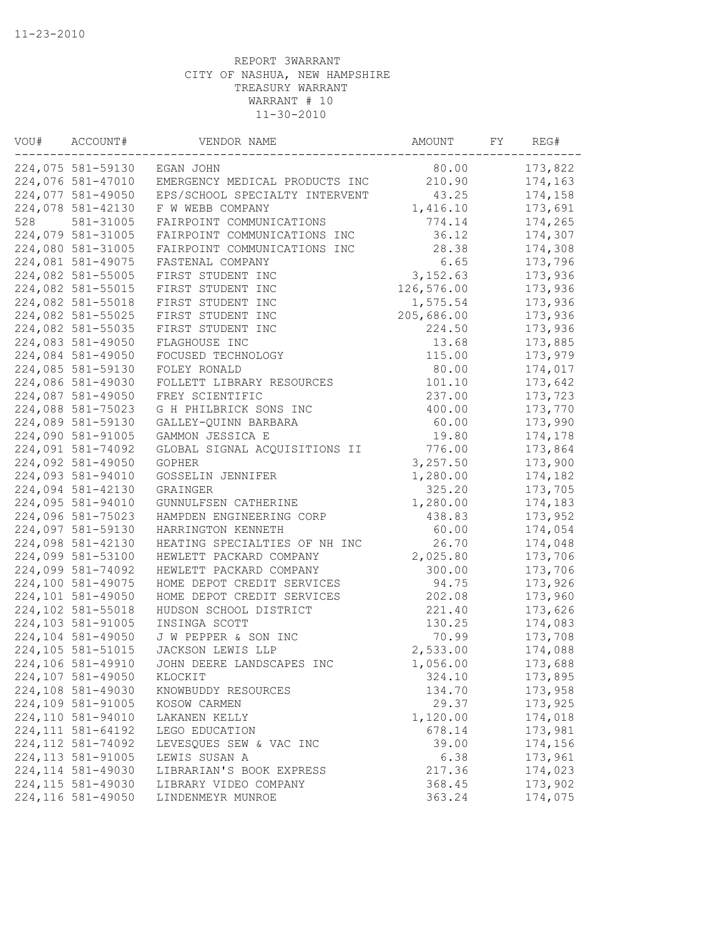| VOU# | ACCOUNT#           | VENDOR NAME                    | AMOUNT     | FY | REG#    |
|------|--------------------|--------------------------------|------------|----|---------|
|      | 224,075 581-59130  | EGAN JOHN                      | 80.00      |    | 173,822 |
|      | 224,076 581-47010  | EMERGENCY MEDICAL PRODUCTS INC | 210.90     |    | 174,163 |
|      | 224,077 581-49050  | EPS/SCHOOL SPECIALTY INTERVENT | 43.25      |    | 174,158 |
|      | 224,078 581-42130  | F W WEBB COMPANY               | 1,416.10   |    | 173,691 |
| 528  | 581-31005          | FAIRPOINT COMMUNICATIONS       | 774.14     |    | 174,265 |
|      | 224,079 581-31005  | FAIRPOINT COMMUNICATIONS INC   | 36.12      |    | 174,307 |
|      | 224,080 581-31005  | FAIRPOINT COMMUNICATIONS INC   | 28.38      |    | 174,308 |
|      | 224,081 581-49075  | FASTENAL COMPANY               | 6.65       |    | 173,796 |
|      | 224,082 581-55005  | FIRST STUDENT INC              | 3,152.63   |    | 173,936 |
|      | 224,082 581-55015  | FIRST STUDENT INC              | 126,576.00 |    | 173,936 |
|      | 224,082 581-55018  | FIRST STUDENT INC              | 1,575.54   |    | 173,936 |
|      | 224,082 581-55025  | FIRST STUDENT INC              | 205,686.00 |    | 173,936 |
|      | 224,082 581-55035  | FIRST STUDENT INC              | 224.50     |    | 173,936 |
|      | 224,083 581-49050  | FLAGHOUSE INC                  | 13.68      |    | 173,885 |
|      | 224,084 581-49050  | FOCUSED TECHNOLOGY             | 115.00     |    | 173,979 |
|      | 224,085 581-59130  | FOLEY RONALD                   | 80.00      |    | 174,017 |
|      | 224,086 581-49030  | FOLLETT LIBRARY RESOURCES      | 101.10     |    | 173,642 |
|      | 224,087 581-49050  | FREY SCIENTIFIC                | 237.00     |    | 173,723 |
|      | 224,088 581-75023  | G H PHILBRICK SONS INC         | 400.00     |    | 173,770 |
|      | 224,089 581-59130  | GALLEY-QUINN BARBARA           | 60.00      |    | 173,990 |
|      | 224,090 581-91005  | GAMMON JESSICA E               | 19.80      |    | 174,178 |
|      | 224,091 581-74092  | GLOBAL SIGNAL ACQUISITIONS II  | 776.00     |    | 173,864 |
|      | 224,092 581-49050  | GOPHER                         | 3,257.50   |    | 173,900 |
|      | 224,093 581-94010  | GOSSELIN JENNIFER              | 1,280.00   |    | 174,182 |
|      | 224,094 581-42130  | GRAINGER                       | 325.20     |    | 173,705 |
|      | 224,095 581-94010  | GUNNULFSEN CATHERINE           | 1,280.00   |    | 174,183 |
|      | 224,096 581-75023  | HAMPDEN ENGINEERING CORP       | 438.83     |    | 173,952 |
|      | 224,097 581-59130  | HARRINGTON KENNETH             | 60.00      |    | 174,054 |
|      | 224,098 581-42130  | HEATING SPECIALTIES OF NH INC  | 26.70      |    | 174,048 |
|      | 224,099 581-53100  | HEWLETT PACKARD COMPANY        | 2,025.80   |    | 173,706 |
|      | 224,099 581-74092  | HEWLETT PACKARD COMPANY        | 300.00     |    | 173,706 |
|      | 224,100 581-49075  | HOME DEPOT CREDIT SERVICES     | 94.75      |    | 173,926 |
|      | 224,101 581-49050  | HOME DEPOT CREDIT SERVICES     | 202.08     |    | 173,960 |
|      | 224,102 581-55018  | HUDSON SCHOOL DISTRICT         | 221.40     |    | 173,626 |
|      | 224,103 581-91005  | INSINGA SCOTT                  | 130.25     |    | 174,083 |
|      | 224,104 581-49050  | J W PEPPER & SON INC           | 70.99      |    | 173,708 |
|      | 224,105 581-51015  | JACKSON LEWIS LLP              | 2,533.00   |    | 174,088 |
|      | 224,106 581-49910  | JOHN DEERE LANDSCAPES INC      | 1,056.00   |    | 173,688 |
|      | 224,107 581-49050  | KLOCKIT                        | 324.10     |    | 173,895 |
|      | 224,108 581-49030  | KNOWBUDDY RESOURCES            | 134.70     |    | 173,958 |
|      | 224,109 581-91005  | KOSOW CARMEN                   | 29.37      |    | 173,925 |
|      | 224,110 581-94010  | LAKANEN KELLY                  | 1,120.00   |    | 174,018 |
|      | 224, 111 581-64192 | LEGO EDUCATION                 | 678.14     |    | 173,981 |
|      | 224, 112 581-74092 | LEVESQUES SEW & VAC INC        | 39.00      |    | 174,156 |
|      | 224, 113 581-91005 | LEWIS SUSAN A                  | 6.38       |    | 173,961 |
|      | 224, 114 581-49030 | LIBRARIAN'S BOOK EXPRESS       | 217.36     |    | 174,023 |
|      | 224, 115 581-49030 | LIBRARY VIDEO COMPANY          | 368.45     |    | 173,902 |
|      | 224,116 581-49050  | LINDENMEYR MUNROE              | 363.24     |    | 174,075 |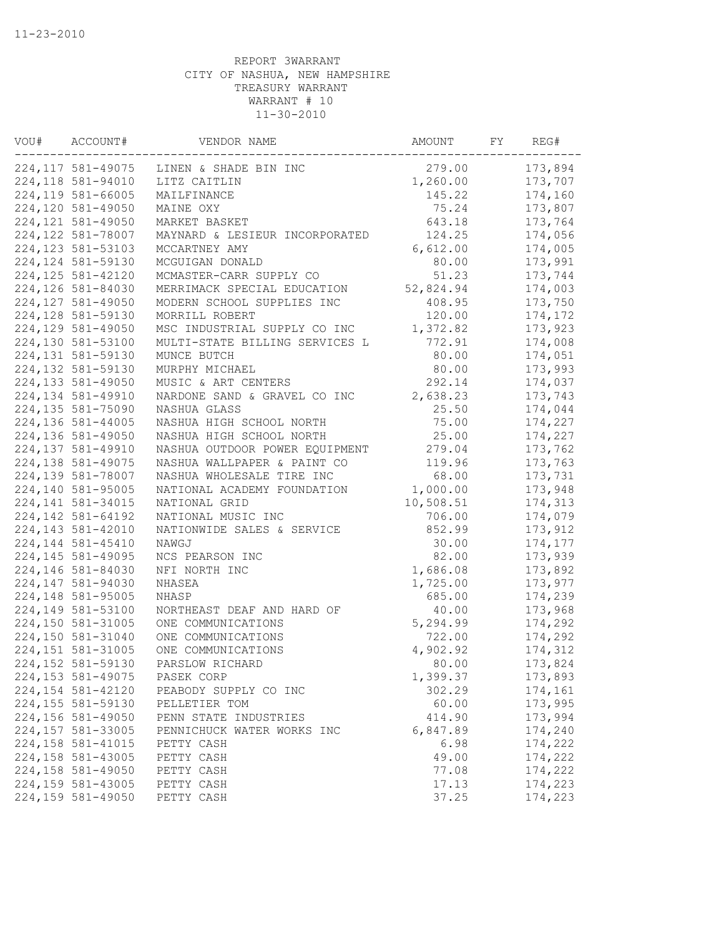| VOU# | ACCOUNT#           | VENDOR NAME                    | AMOUNT    | FY | REG#    |
|------|--------------------|--------------------------------|-----------|----|---------|
|      | 224, 117 581-49075 | LINEN & SHADE BIN INC          | 279.00    |    | 173,894 |
|      | 224,118 581-94010  | LITZ CAITLIN                   | 1,260.00  |    | 173,707 |
|      | 224,119 581-66005  | MAILFINANCE                    | 145.22    |    | 174,160 |
|      | 224,120 581-49050  | MAINE OXY                      | 75.24     |    | 173,807 |
|      | 224, 121 581-49050 | MARKET BASKET                  | 643.18    |    | 173,764 |
|      | 224, 122 581-78007 | MAYNARD & LESIEUR INCORPORATED | 124.25    |    | 174,056 |
|      | 224, 123 581-53103 | MCCARTNEY AMY                  | 6,612.00  |    | 174,005 |
|      | 224, 124 581-59130 | MCGUIGAN DONALD                | 80.00     |    | 173,991 |
|      | 224, 125 581-42120 | MCMASTER-CARR SUPPLY CO        | 51.23     |    | 173,744 |
|      | 224,126 581-84030  | MERRIMACK SPECIAL EDUCATION    | 52,824.94 |    | 174,003 |
|      | 224, 127 581-49050 | MODERN SCHOOL SUPPLIES INC     | 408.95    |    | 173,750 |
|      | 224,128 581-59130  | MORRILL ROBERT                 | 120.00    |    | 174,172 |
|      | 224,129 581-49050  | MSC INDUSTRIAL SUPPLY CO INC   | 1,372.82  |    | 173,923 |
|      | 224,130 581-53100  | MULTI-STATE BILLING SERVICES L | 772.91    |    | 174,008 |
|      | 224,131 581-59130  | MUNCE BUTCH                    | 80.00     |    | 174,051 |
|      | 224,132 581-59130  | MURPHY MICHAEL                 | 80.00     |    | 173,993 |
|      | 224,133 581-49050  | MUSIC & ART CENTERS            | 292.14    |    | 174,037 |
|      | 224,134 581-49910  | NARDONE SAND & GRAVEL CO INC   | 2,638.23  |    | 173,743 |
|      | 224,135 581-75090  | NASHUA GLASS                   | 25.50     |    | 174,044 |
|      | 224,136 581-44005  | NASHUA HIGH SCHOOL NORTH       | 75.00     |    | 174,227 |
|      | 224,136 581-49050  | NASHUA HIGH SCHOOL NORTH       | 25.00     |    | 174,227 |
|      | 224,137 581-49910  | NASHUA OUTDOOR POWER EQUIPMENT | 279.04    |    | 173,762 |
|      | 224,138 581-49075  | NASHUA WALLPAPER & PAINT CO    | 119.96    |    | 173,763 |
|      | 224,139 581-78007  | NASHUA WHOLESALE TIRE INC      | 68.00     |    | 173,731 |
|      | 224,140 581-95005  | NATIONAL ACADEMY FOUNDATION    | 1,000.00  |    | 173,948 |
|      | 224, 141 581-34015 | NATIONAL GRID                  | 10,508.51 |    | 174,313 |
|      | 224, 142 581-64192 | NATIONAL MUSIC INC             | 706.00    |    | 174,079 |
|      | 224, 143 581-42010 | NATIONWIDE SALES & SERVICE     | 852.99    |    | 173,912 |
|      | 224,144 581-45410  | NAWGJ                          | 30.00     |    | 174,177 |
|      | 224, 145 581-49095 | NCS PEARSON INC                | 82.00     |    | 173,939 |
|      | 224,146 581-84030  | NFI NORTH INC                  | 1,686.08  |    | 173,892 |
|      | 224,147 581-94030  | NHASEA                         | 1,725.00  |    | 173,977 |
|      | 224,148 581-95005  | NHASP                          | 685.00    |    | 174,239 |
|      | 224,149 581-53100  | NORTHEAST DEAF AND HARD OF     | 40.00     |    | 173,968 |
|      | 224,150 581-31005  | ONE COMMUNICATIONS             | 5,294.99  |    | 174,292 |
|      | 224,150 581-31040  | ONE COMMUNICATIONS             | 722.00    |    | 174,292 |
|      | 224, 151 581-31005 | ONE COMMUNICATIONS             | 4,902.92  |    | 174,312 |
|      | 224,152 581-59130  | PARSLOW RICHARD                | 80.00     |    | 173,824 |
|      | 224, 153 581-49075 | PASEK CORP                     | 1,399.37  |    | 173,893 |
|      | 224, 154 581-42120 | PEABODY SUPPLY CO INC          | 302.29    |    | 174,161 |
|      | 224,155 581-59130  | PELLETIER TOM                  | 60.00     |    | 173,995 |
|      | 224,156 581-49050  | PENN STATE INDUSTRIES          | 414.90    |    | 173,994 |
|      | 224,157 581-33005  | PENNICHUCK WATER WORKS INC     | 6,847.89  |    | 174,240 |
|      | 224, 158 581-41015 | PETTY CASH                     | 6.98      |    | 174,222 |
|      | 224,158 581-43005  | PETTY CASH                     | 49.00     |    | 174,222 |
|      | 224,158 581-49050  | PETTY CASH                     | 77.08     |    | 174,222 |
|      | 224,159 581-43005  | PETTY CASH                     | 17.13     |    | 174,223 |
|      | 224,159 581-49050  | PETTY CASH                     | 37.25     |    | 174,223 |
|      |                    |                                |           |    |         |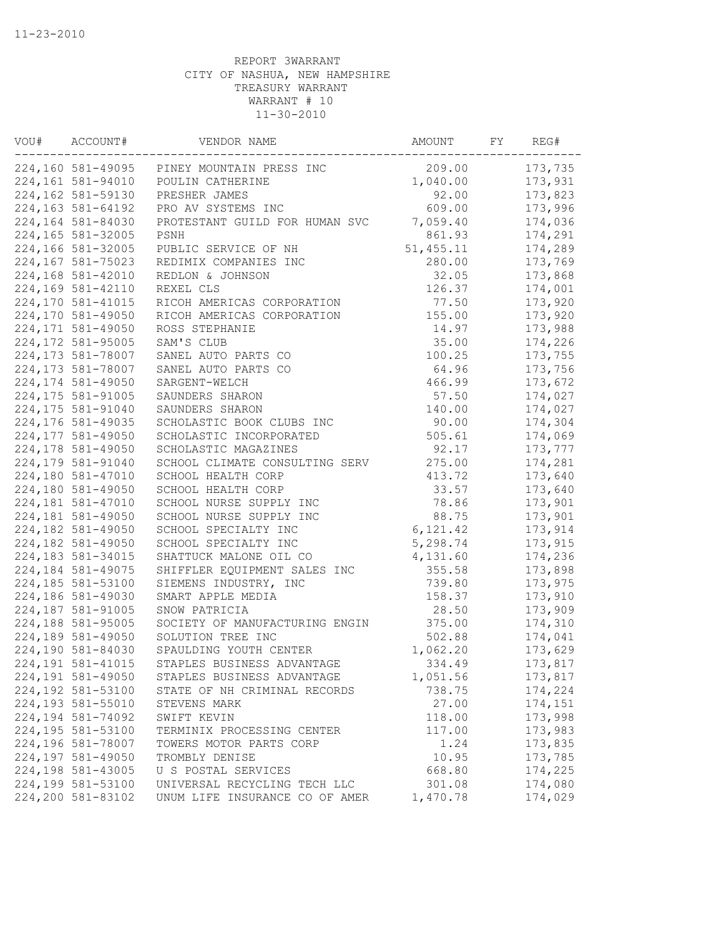| VOU# | ACCOUNT#           | VENDOR NAME                    | AMOUNT           | FY | REG#               |
|------|--------------------|--------------------------------|------------------|----|--------------------|
|      | 224,160 581-49095  | PINEY MOUNTAIN PRESS INC       | 209.00           |    | 173,735            |
|      | 224,161 581-94010  | POULIN CATHERINE               | 1,040.00         |    | 173,931            |
|      | 224,162 581-59130  | PRESHER JAMES                  | 92.00            |    | 173,823            |
|      | 224,163 581-64192  | PRO AV SYSTEMS INC             | 609.00           |    | 173,996            |
|      | 224,164 581-84030  | PROTESTANT GUILD FOR HUMAN SVC | 7,059.40         |    | 174,036            |
|      | 224,165 581-32005  | PSNH                           | 861.93           |    | 174,291            |
|      | 224,166 581-32005  | PUBLIC SERVICE OF NH           | 51,455.11        |    | 174,289            |
|      | 224,167 581-75023  | REDIMIX COMPANIES INC          | 280.00           |    | 173,769            |
|      | 224,168 581-42010  | REDLON & JOHNSON               | 32.05            |    | 173,868            |
|      | 224,169 581-42110  | REXEL CLS                      | 126.37           |    | 174,001            |
|      | 224,170 581-41015  | RICOH AMERICAS CORPORATION     | 77.50            |    | 173,920            |
|      | 224,170 581-49050  | RICOH AMERICAS CORPORATION     | 155.00           |    | 173,920            |
|      | 224,171 581-49050  | ROSS STEPHANIE                 | 14.97            |    | 173,988            |
|      | 224,172 581-95005  | SAM'S CLUB                     | 35.00            |    | 174,226            |
|      | 224, 173 581-78007 | SANEL AUTO PARTS CO            | 100.25           |    | 173,755            |
|      | 224,173 581-78007  | SANEL AUTO PARTS CO            | 64.96            |    | 173,756            |
|      | 224,174 581-49050  | SARGENT-WELCH                  | 466.99           |    | 173,672            |
|      | 224,175 581-91005  | SAUNDERS SHARON                | 57.50            |    | 174,027            |
|      | 224,175 581-91040  | SAUNDERS SHARON                | 140.00           |    | 174,027            |
|      | 224,176 581-49035  | SCHOLASTIC BOOK CLUBS INC      | 90.00            |    | 174,304            |
|      | 224,177 581-49050  | SCHOLASTIC INCORPORATED        | 505.61           |    | 174,069            |
|      | 224,178 581-49050  | SCHOLASTIC MAGAZINES           | 92.17            |    | 173,777            |
|      | 224,179 581-91040  | SCHOOL CLIMATE CONSULTING SERV | 275.00           |    | 174,281            |
|      | 224,180 581-47010  | SCHOOL HEALTH CORP             | 413.72           |    | 173,640            |
|      | 224,180 581-49050  | SCHOOL HEALTH CORP             | 33.57            |    | 173,640            |
|      | 224,181 581-47010  | SCHOOL NURSE SUPPLY INC        | 78.86            |    | 173,901            |
|      | 224,181 581-49050  | SCHOOL NURSE SUPPLY INC        | 88.75            |    | 173,901            |
|      | 224,182 581-49050  | SCHOOL SPECIALTY INC           | 6, 121.42        |    | 173,914            |
|      | 224,182 581-49050  | SCHOOL SPECIALTY INC           | 5,298.74         |    | 173,915            |
|      | 224,183 581-34015  | SHATTUCK MALONE OIL CO         | 4,131.60         |    | 174,236            |
|      |                    |                                |                  |    |                    |
|      | 224,184 581-49075  | SHIFFLER EQUIPMENT SALES INC   | 355.58<br>739.80 |    | 173,898            |
|      | 224,185 581-53100  | SIEMENS INDUSTRY, INC          |                  |    | 173,975<br>173,910 |
|      | 224,186 581-49030  | SMART APPLE MEDIA              | 158.37           |    |                    |
|      | 224,187 581-91005  | SNOW PATRICIA                  | 28.50            |    | 173,909            |
|      | 224,188 581-95005  | SOCIETY OF MANUFACTURING ENGIN | 375.00           |    | 174,310            |
|      | 224,189 581-49050  | SOLUTION TREE INC              | 502.88           |    | 174,041            |
|      | 224,190 581-84030  | SPAULDING YOUTH CENTER         | 1,062.20         |    | 173,629            |
|      | 224, 191 581-41015 | STAPLES BUSINESS ADVANTAGE     | 334.49           |    | 173,817            |
|      | 224,191 581-49050  | STAPLES BUSINESS ADVANTAGE     | 1,051.56         |    | 173,817            |
|      | 224,192 581-53100  | STATE OF NH CRIMINAL RECORDS   | 738.75           |    | 174,224            |
|      | 224,193 581-55010  | STEVENS MARK                   | 27.00            |    | 174,151            |
|      | 224,194 581-74092  | SWIFT KEVIN                    | 118.00           |    | 173,998            |
|      | 224,195 581-53100  | TERMINIX PROCESSING CENTER     | 117.00           |    | 173,983            |
|      | 224,196 581-78007  | TOWERS MOTOR PARTS CORP        | 1.24             |    | 173,835            |
|      | 224,197 581-49050  | TROMBLY DENISE                 | 10.95            |    | 173,785            |
|      | 224,198 581-43005  | U S POSTAL SERVICES            | 668.80           |    | 174,225            |
|      | 224,199 581-53100  | UNIVERSAL RECYCLING TECH LLC   | 301.08           |    | 174,080            |
|      | 224,200 581-83102  | UNUM LIFE INSURANCE CO OF AMER | 1,470.78         |    | 174,029            |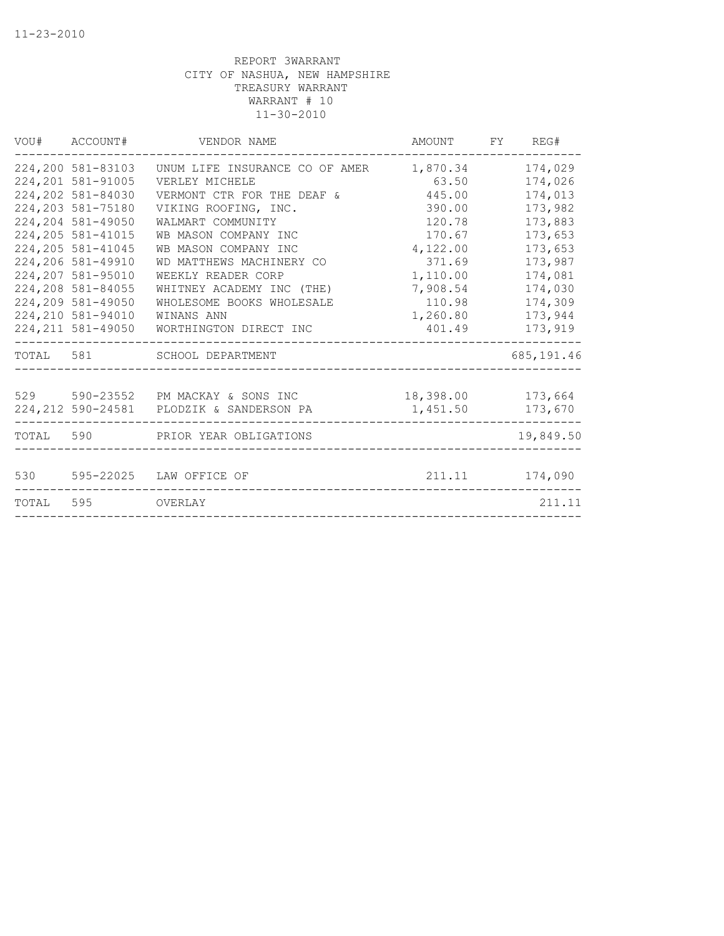|       | VOU# ACCOUNT#      | VENDOR NAME                              | AMOUNT FY REG#    |                |
|-------|--------------------|------------------------------------------|-------------------|----------------|
|       | 224,200 581-83103  | UNUM LIFE INSURANCE CO OF AMER           | 1,870.34          | 174,029        |
|       | 224, 201 581-91005 | VERLEY MICHELE                           | 63.50             | 174,026        |
|       | 224,202 581-84030  | VERMONT CTR FOR THE DEAF &               | 445.00            | 174,013        |
|       | 224, 203 581-75180 | VIKING ROOFING, INC.                     | 390.00            | 173,982        |
|       | 224,204 581-49050  | WALMART COMMUNITY                        | 120.78            | 173,883        |
|       | 224, 205 581-41015 | WB MASON COMPANY INC                     | 170.67            | 173,653        |
|       | 224, 205 581-41045 | WB MASON COMPANY INC                     | 4,122.00          | 173,653        |
|       | 224,206 581-49910  | WD MATTHEWS MACHINERY CO                 | 371.69            | 173,987        |
|       | 224,207 581-95010  | WEEKLY READER CORP                       | 1,110.00          | 174,081        |
|       | 224,208 581-84055  | WHITNEY ACADEMY INC (THE)                | 7,908.54          | 174,030        |
|       | 224,209 581-49050  | WHOLESOME BOOKS WHOLESALE                | 110.98            | 174,309        |
|       | 224, 210 581-94010 | WINANS ANN                               | 1,260.80          | 173,944        |
|       | 224, 211 581-49050 | WORTHINGTON DIRECT INC                   | 401.49            | 173,919        |
|       |                    | TOTAL 581 SCHOOL DEPARTMENT              |                   | 685,191.46     |
|       |                    |                                          |                   |                |
|       |                    | 529 590-23552 PM MACKAY & SONS INC       | 18,398.00 173,664 |                |
|       |                    | 224,212 590-24581 PLODZIK & SANDERSON PA | 1,451.50          | 173,670        |
| TOTAL |                    | 590 PRIOR YEAR OBLIGATIONS               |                   | 19,849.50      |
|       |                    |                                          |                   |                |
|       |                    | 530 595-22025 LAW OFFICE OF              |                   | 211.11 174,090 |
|       | TOTAL 595 OVERLAY  |                                          |                   | 211.11         |
|       |                    |                                          |                   |                |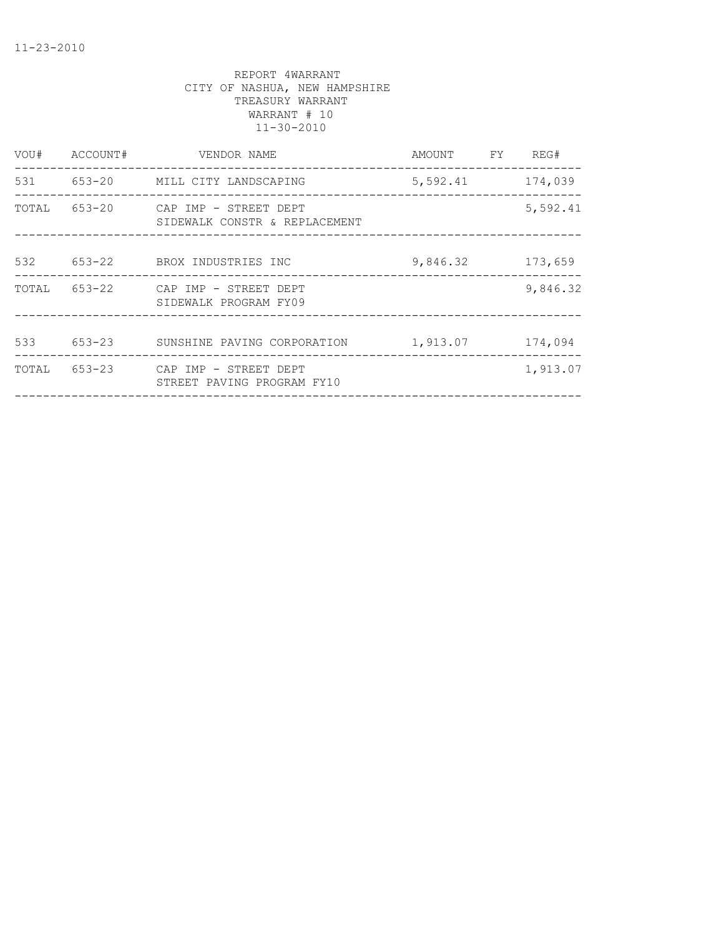| VOU#  | ACCOUNT#   | VENDOR NAME                                            | AMOUNT   | FY. | REG#     |
|-------|------------|--------------------------------------------------------|----------|-----|----------|
| 531   |            | 653-20 MILL CITY LANDSCAPING                           | 5,592.41 |     | 174,039  |
| TOTAL | 653-20     | CAP IMP - STREET DEPT<br>SIDEWALK CONSTR & REPLACEMENT |          |     | 5,592.41 |
| 532   | 653-22     | BROX INDUSTRIES INC                                    | 9,846.32 |     | 173,659  |
| TOTAL | 653-22     | CAP IMP - STREET DEPT<br>SIDEWALK PROGRAM FY09         |          |     | 9,846.32 |
| 533   | $653 - 23$ | SUNSHINE PAVING CORPORATION                            | 1,913.07 |     | 174,094  |
| TOTAL | $653 - 23$ | CAP IMP - STREET DEPT<br>STREET PAVING PROGRAM FY10    |          |     | 1,913.07 |
|       |            |                                                        |          |     |          |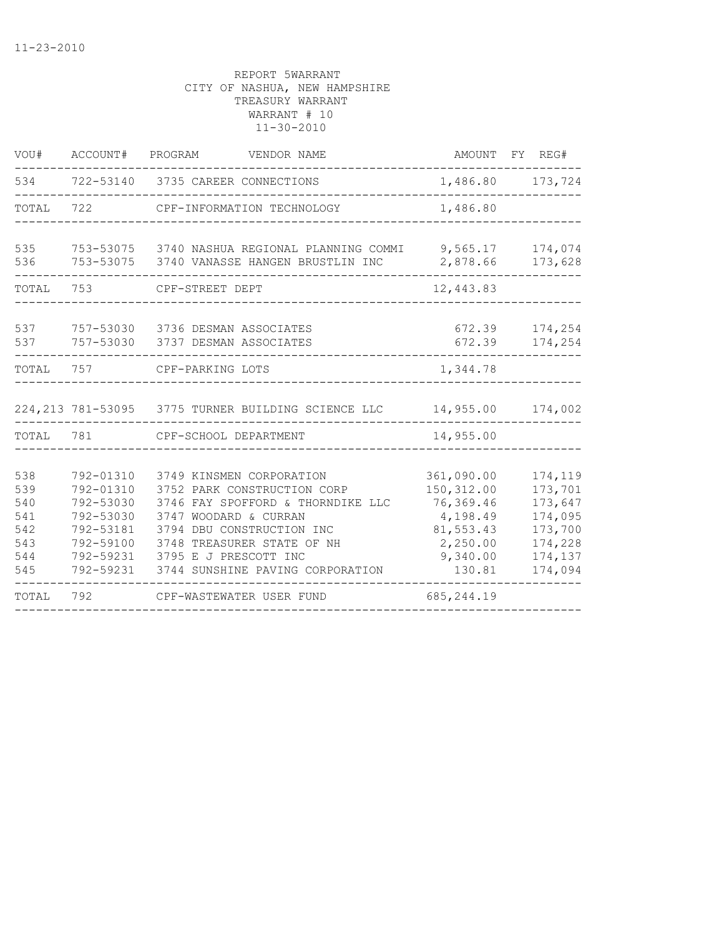| WOU#       | ACCOUNT#               | PROGRAM<br>VENDOR NAME                              | AMOUNT           | FY REG#               |
|------------|------------------------|-----------------------------------------------------|------------------|-----------------------|
| 534        | 722-53140              | 3735 CAREER CONNECTIONS                             |                  | 1,486.80 173,724<br>. |
| TOTAL      | 722                    | CPF-INFORMATION TECHNOLOGY                          | 1,486.80         |                       |
| 535        |                        | 753-53075 3740 NASHUA REGIONAL PLANNING COMMI       | 9,565.17         | 174,074               |
| 536        | 753-53075              | 3740 VANASSE HANGEN BRUSTLIN INC                    | 2,878.66         | 173,628               |
| TOTAL      | 753                    | CPF-STREET DEPT                                     | 12,443.83        |                       |
| 537<br>537 | 757-53030<br>757-53030 | 3736 DESMAN ASSOCIATES<br>3737 DESMAN ASSOCIATES    | 672.39<br>672.39 | 174,254<br>174,254    |
| TOTAL      | 757                    | CPF-PARKING LOTS                                    | 1,344.78         |                       |
|            |                        |                                                     |                  |                       |
|            |                        | 224, 213 781-53095 3775 TURNER BUILDING SCIENCE LLC | 14,955.00        | 174,002               |
| TOTAL      | 781                    | CPF-SCHOOL DEPARTMENT                               | 14,955.00        |                       |
| 538        | 792-01310              | 3749 KINSMEN CORPORATION                            | 361,090.00       | 174,119               |
| 539        | 792-01310              | 3752 PARK CONSTRUCTION CORP                         | 150, 312.00      | 173,701               |
| 540        | 792-53030              | 3746 FAY SPOFFORD & THORNDIKE LLC                   | 76,369.46        | 173,647               |
| 541        | 792-53030              | 3747 WOODARD & CURRAN                               | 4,198.49         | 174,095               |
| 542        | 792-53181              | 3794 DBU CONSTRUCTION INC                           | 81,553.43        | 173,700               |
| 543        | 792-59100              | 3748 TREASURER STATE OF NH                          | 2,250.00         | 174,228               |
| 544        | 792-59231              | 3795 E J PRESCOTT INC                               | 9,340.00         | 174,137               |
| 545        | 792-59231              | 3744 SUNSHINE PAVING CORPORATION                    | 130.81           | 174,094               |
| TOTAL      | 792                    | CPF-WASTEWATER USER FUND                            | 685, 244.19      |                       |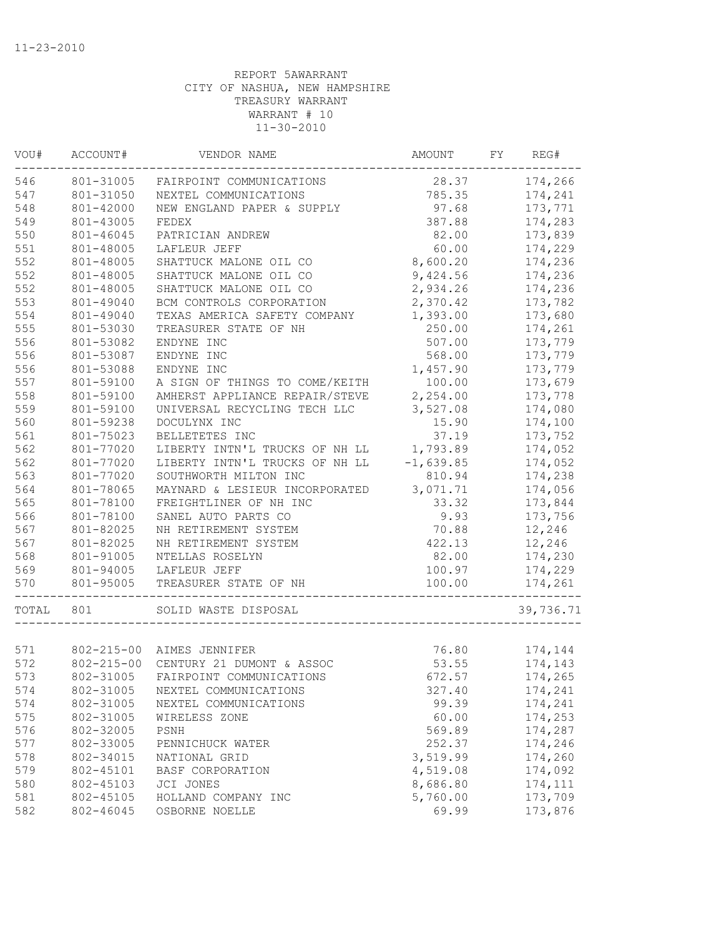| VOU#  | ACCOUNT#  | VENDOR NAME                          | AMOUNT      | FY | REG#      |
|-------|-----------|--------------------------------------|-------------|----|-----------|
| 546   | 801-31005 | FAIRPOINT COMMUNICATIONS             | 28.37       |    | 174,266   |
| 547   | 801-31050 | NEXTEL COMMUNICATIONS                | 785.35      |    | 174,241   |
| 548   | 801-42000 | NEW ENGLAND PAPER & SUPPLY           | 97.68       |    | 173,771   |
| 549   | 801-43005 | FEDEX                                | 387.88      |    | 174,283   |
| 550   | 801-46045 | PATRICIAN ANDREW                     | 82.00       |    | 173,839   |
| 551   | 801-48005 | LAFLEUR JEFF                         | 60.00       |    | 174,229   |
| 552   | 801-48005 | SHATTUCK MALONE OIL CO               | 8,600.20    |    | 174,236   |
| 552   | 801-48005 | SHATTUCK MALONE OIL CO               | 9,424.56    |    | 174,236   |
| 552   | 801-48005 | SHATTUCK MALONE OIL CO               | 2,934.26    |    | 174,236   |
| 553   | 801-49040 | BCM CONTROLS CORPORATION             | 2,370.42    |    | 173,782   |
| 554   | 801-49040 | TEXAS AMERICA SAFETY COMPANY         | 1,393.00    |    | 173,680   |
| 555   | 801-53030 | TREASURER STATE OF NH                | 250.00      |    | 174,261   |
| 556   | 801-53082 | ENDYNE INC                           | 507.00      |    | 173,779   |
| 556   | 801-53087 | ENDYNE INC                           | 568.00      |    | 173,779   |
| 556   | 801-53088 | ENDYNE INC                           | 1,457.90    |    | 173,779   |
| 557   | 801-59100 | A SIGN OF THINGS TO COME/KEITH       | 100.00      |    | 173,679   |
| 558   | 801-59100 | AMHERST APPLIANCE REPAIR/STEVE       | 2,254.00    |    | 173,778   |
| 559   | 801-59100 | UNIVERSAL RECYCLING TECH LLC         | 3,527.08    |    | 174,080   |
| 560   | 801-59238 | DOCULYNX INC                         | 15.90       |    | 174,100   |
| 561   | 801-75023 | BELLETETES INC                       | 37.19       |    | 173,752   |
| 562   | 801-77020 | LIBERTY INTN'L TRUCKS OF NH LL       | 1,793.89    |    | 174,052   |
| 562   | 801-77020 | LIBERTY INTN'L TRUCKS OF NH LL       | $-1,639.85$ |    | 174,052   |
| 563   | 801-77020 | SOUTHWORTH MILTON INC                | 810.94      |    | 174,238   |
| 564   | 801-78065 | MAYNARD & LESIEUR INCORPORATED       | 3,071.71    |    | 174,056   |
| 565   | 801-78100 | FREIGHTLINER OF NH INC               | 33.32       |    | 173,844   |
| 566   | 801-78100 | SANEL AUTO PARTS CO                  | 9.93        |    | 173,756   |
| 567   | 801-82025 | NH RETIREMENT SYSTEM                 | 70.88       |    | 12,246    |
| 567   | 801-82025 | NH RETIREMENT SYSTEM                 | 422.13      |    | 12,246    |
| 568   | 801-91005 | NTELLAS ROSELYN                      | 82.00       |    | 174,230   |
| 569   | 801-94005 | LAFLEUR JEFF                         | 100.97      |    | 174,229   |
| 570   | 801-95005 | TREASURER STATE OF NH                | 100.00      |    | 174,261   |
| TOTAL | 801       | SOLID WASTE DISPOSAL                 |             |    | 39,736.71 |
|       |           |                                      |             |    |           |
| 571   |           | 802-215-00 AIMES JENNIFER            | 76.80       |    | 174,144   |
| 572   |           | 802-215-00 CENTURY 21 DUMONT & ASSOC | 53.55       |    | 174,143   |
| 573   |           | 802-31005 FAIRPOINT COMMUNICATIONS   | 672.57      |    | 174,265   |
| 574   | 802-31005 | NEXTEL COMMUNICATIONS                | 327.40      |    | 174,241   |
| 574   | 802-31005 | NEXTEL COMMUNICATIONS                | 99.39       |    | 174,241   |
| 575   | 802-31005 | WIRELESS ZONE                        | 60.00       |    | 174,253   |
| 576   | 802-32005 | PSNH                                 | 569.89      |    | 174,287   |
| 577   | 802-33005 | PENNICHUCK WATER                     | 252.37      |    | 174,246   |
| 578   | 802-34015 | NATIONAL GRID                        | 3,519.99    |    | 174,260   |
| 579   | 802-45101 | BASF CORPORATION                     | 4,519.08    |    | 174,092   |
| 580   | 802-45103 | JCI JONES                            | 8,686.80    |    | 174,111   |
| 581   | 802-45105 | HOLLAND COMPANY INC                  | 5,760.00    |    | 173,709   |
| 582   | 802-46045 | OSBORNE NOELLE                       | 69.99       |    | 173,876   |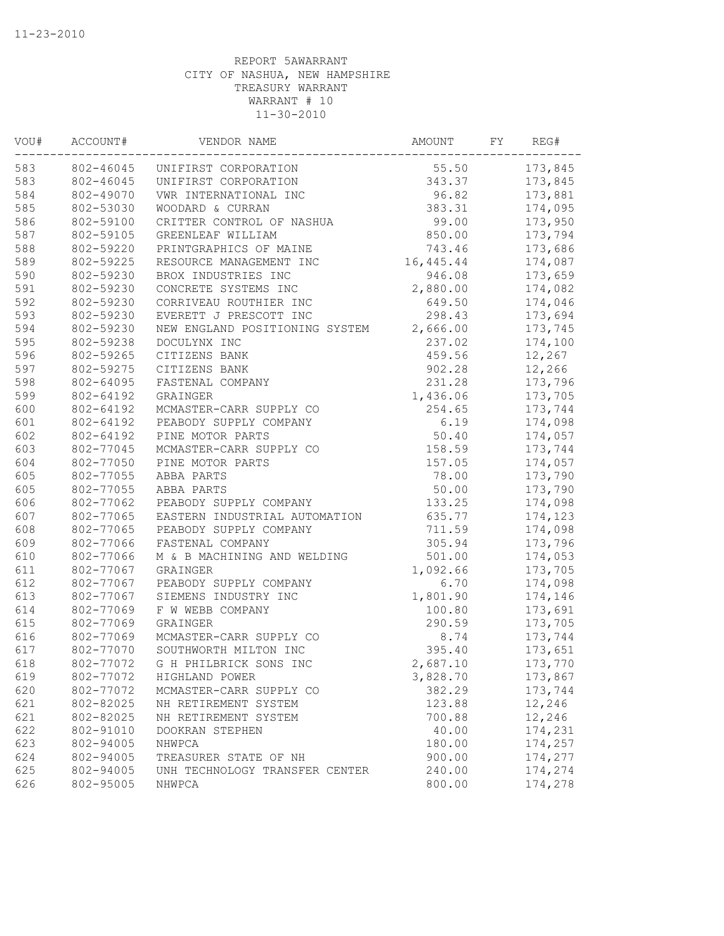| VOU# | ACCOUNT#  | VENDOR NAME                    | AMOUNT    | FY | REG#    |
|------|-----------|--------------------------------|-----------|----|---------|
| 583  | 802-46045 | UNIFIRST CORPORATION           | 55.50     |    | 173,845 |
| 583  | 802-46045 | UNIFIRST CORPORATION           | 343.37    |    | 173,845 |
| 584  | 802-49070 | VWR INTERNATIONAL INC          | 96.82     |    | 173,881 |
| 585  | 802-53030 | WOODARD & CURRAN               | 383.31    |    | 174,095 |
| 586  | 802-59100 | CRITTER CONTROL OF NASHUA      | 99.00     |    | 173,950 |
| 587  | 802-59105 | GREENLEAF WILLIAM              | 850.00    |    | 173,794 |
| 588  | 802-59220 | PRINTGRAPHICS OF MAINE         | 743.46    |    | 173,686 |
| 589  | 802-59225 | RESOURCE MANAGEMENT INC        | 16,445.44 |    | 174,087 |
| 590  | 802-59230 | BROX INDUSTRIES INC            | 946.08    |    | 173,659 |
| 591  | 802-59230 | CONCRETE SYSTEMS INC           | 2,880.00  |    | 174,082 |
| 592  | 802-59230 | CORRIVEAU ROUTHIER INC         | 649.50    |    | 174,046 |
| 593  | 802-59230 | EVERETT J PRESCOTT INC         | 298.43    |    | 173,694 |
| 594  | 802-59230 | NEW ENGLAND POSITIONING SYSTEM | 2,666.00  |    | 173,745 |
| 595  | 802-59238 | DOCULYNX INC                   | 237.02    |    | 174,100 |
| 596  | 802-59265 | CITIZENS BANK                  | 459.56    |    | 12,267  |
| 597  | 802-59275 | CITIZENS BANK                  | 902.28    |    | 12,266  |
| 598  | 802-64095 | FASTENAL COMPANY               | 231.28    |    | 173,796 |
| 599  | 802-64192 | GRAINGER                       | 1,436.06  |    | 173,705 |
| 600  | 802-64192 | MCMASTER-CARR SUPPLY CO        | 254.65    |    | 173,744 |
| 601  | 802-64192 | PEABODY SUPPLY COMPANY         | 6.19      |    | 174,098 |
| 602  | 802-64192 | PINE MOTOR PARTS               | 50.40     |    | 174,057 |
| 603  | 802-77045 | MCMASTER-CARR SUPPLY CO        | 158.59    |    | 173,744 |
| 604  | 802-77050 | PINE MOTOR PARTS               | 157.05    |    | 174,057 |
| 605  | 802-77055 | ABBA PARTS                     | 78.00     |    | 173,790 |
| 605  | 802-77055 | ABBA PARTS                     | 50.00     |    | 173,790 |
| 606  | 802-77062 | PEABODY SUPPLY COMPANY         | 133.25    |    | 174,098 |
| 607  | 802-77065 | EASTERN INDUSTRIAL AUTOMATION  | 635.77    |    | 174,123 |
| 608  | 802-77065 | PEABODY SUPPLY COMPANY         | 711.59    |    | 174,098 |
| 609  | 802-77066 | FASTENAL COMPANY               | 305.94    |    | 173,796 |
| 610  | 802-77066 | M & B MACHINING AND WELDING    | 501.00    |    | 174,053 |
| 611  | 802-77067 | GRAINGER                       | 1,092.66  |    | 173,705 |
| 612  | 802-77067 | PEABODY SUPPLY COMPANY         | 6.70      |    | 174,098 |
| 613  | 802-77067 | SIEMENS INDUSTRY INC           | 1,801.90  |    | 174,146 |
| 614  | 802-77069 | F W WEBB COMPANY               | 100.80    |    | 173,691 |
| 615  | 802-77069 | GRAINGER                       | 290.59    |    | 173,705 |
| 616  | 802-77069 | MCMASTER-CARR SUPPLY CO        | 8.74      |    | 173,744 |
| 617  | 802-77070 | SOUTHWORTH MILTON INC          | 395.40    |    | 173,651 |
| 618  | 802-77072 | G H PHILBRICK SONS INC         | 2,687.10  |    | 173,770 |
| 619  | 802-77072 | HIGHLAND POWER                 | 3,828.70  |    | 173,867 |
| 620  | 802-77072 | MCMASTER-CARR SUPPLY CO        | 382.29    |    | 173,744 |
| 621  | 802-82025 | NH RETIREMENT SYSTEM           | 123.88    |    | 12,246  |
| 621  | 802-82025 | NH RETIREMENT SYSTEM           | 700.88    |    | 12,246  |
| 622  | 802-91010 | DOOKRAN STEPHEN                | 40.00     |    | 174,231 |
| 623  | 802-94005 | NHWPCA                         | 180.00    |    | 174,257 |
| 624  | 802-94005 | TREASURER STATE OF NH          | 900.00    |    | 174,277 |
| 625  | 802-94005 | UNH TECHNOLOGY TRANSFER CENTER | 240.00    |    | 174,274 |
| 626  | 802-95005 | NHWPCA                         | 800.00    |    | 174,278 |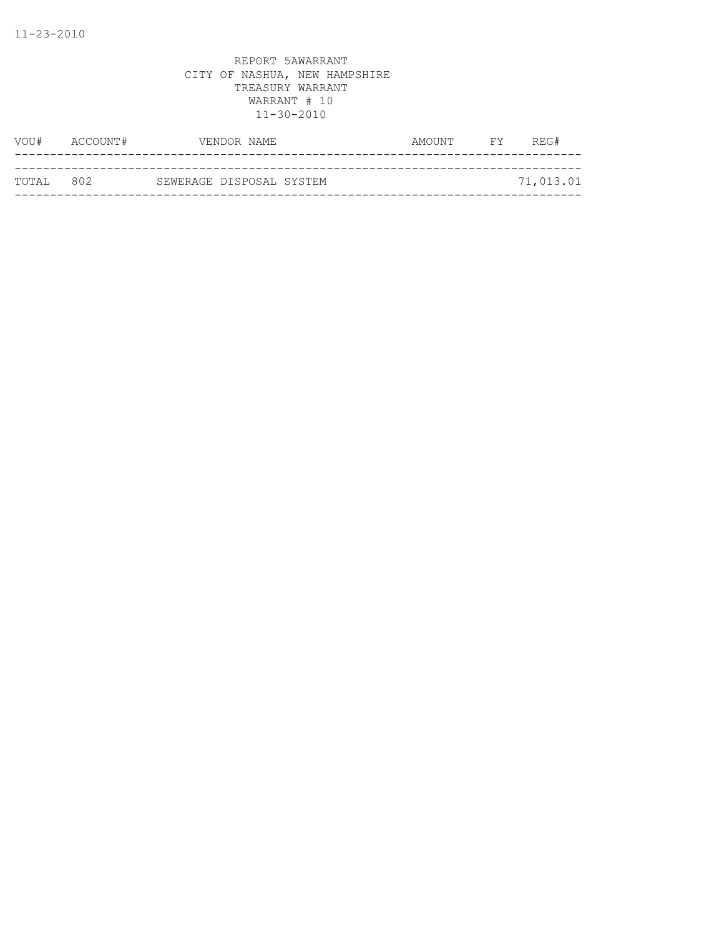| VOU#               | ACCOUNT# | VENDOR NAME              | AMOUNT | FY - | REG#      |
|--------------------|----------|--------------------------|--------|------|-----------|
|                    |          |                          |        |      |           |
| ТОТАІ. 80 <i>2</i> |          | SEWERAGE DISPOSAL SYSTEM |        |      | 71,013.01 |
|                    |          |                          |        |      |           |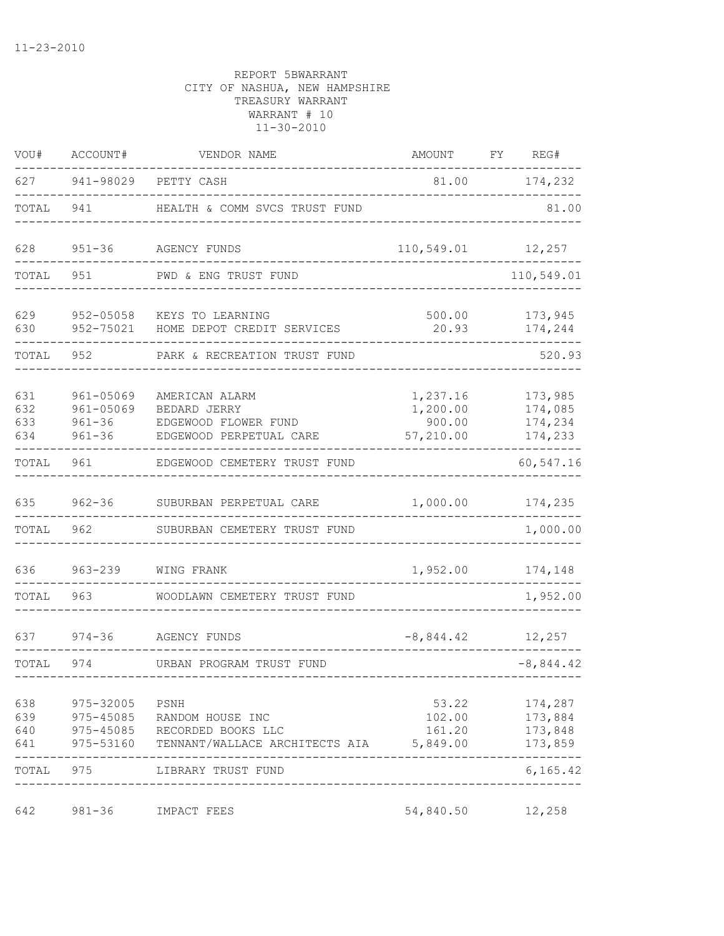| VOU#                     | ACCOUNT#                             | VENDOR NAME                                                                                    | AMOUNT                                      | FY REG#                                  |
|--------------------------|--------------------------------------|------------------------------------------------------------------------------------------------|---------------------------------------------|------------------------------------------|
|                          |                                      | 627 941-98029 PETTY CASH                                                                       |                                             | 81.00 174,232                            |
| TOTAL                    | 941                                  | HEALTH & COMM SVCS TRUST FUND                                                                  |                                             | 81.00                                    |
| 628                      |                                      | 951-36 AGENCY FUNDS                                                                            | 110,549.01 12,257                           |                                          |
| TOTAL                    | 951                                  | PWD & ENG TRUST FUND                                                                           |                                             | 110,549.01                               |
| 629<br>630               |                                      | 952-05058 KEYS TO LEARNING<br>952-75021 HOME DEPOT CREDIT SERVICES                             | 500.00<br>20.93                             | 173,945<br>174,244                       |
| TOTAL                    | 952 and the set of $\sim$            | PARK & RECREATION TRUST FUND                                                                   |                                             | 520.93                                   |
| 631<br>632<br>633<br>634 | 961-05069<br>961-05069<br>$961 - 36$ | AMERICAN ALARM<br>BEDARD JERRY<br>961-36 EDGEWOOD FLOWER FUND<br>EDGEWOOD PERPETUAL CARE       | 1,237.16<br>1,200.00<br>900.00<br>57,210.00 | 173,985<br>174,085<br>174,234<br>174,233 |
| TOTAL                    |                                      | 961 EDGEWOOD CEMETERY TRUST FUND                                                               |                                             | 60,547.16                                |
| 635                      |                                      | 962-36 SUBURBAN PERPETUAL CARE                                                                 | 1,000.00                                    | 174,235                                  |
| TOTAL                    | 962                                  | SUBURBAN CEMETERY TRUST FUND                                                                   |                                             | 1,000.00                                 |
| 636 1                    |                                      | 963-239 WING FRANK                                                                             | 1,952.00                                    | 174,148                                  |
| TOTAL                    | 963 — 10                             | WOODLAWN CEMETERY TRUST FUND                                                                   |                                             | 1,952.00                                 |
| 637                      |                                      | 974-36 AGENCY FUNDS                                                                            | $-8,844.42$ 12,257                          |                                          |
| TOTAL                    |                                      | 974 URBAN PROGRAM TRUST FUND                                                                   |                                             | $-8,844.42$                              |
| 638 — 10<br>639<br>641   | 975-32005<br>975-45085<br>975-53160  | PSNH<br>RANDOM HOUSE INC<br>640 975-45085 RECORDED BOOKS LLC<br>TENNANT/WALLACE ARCHITECTS AIA | 53.22<br>102.00<br>161.20<br>5,849.00       | 174,287<br>173,884<br>173,848<br>173,859 |
| TOTAL 975                |                                      | LIBRARY TRUST FUND                                                                             |                                             | 6, 165.42                                |
| 642                      | 981-36                               | IMPACT FEES                                                                                    | 54,840.50                                   | 12,258                                   |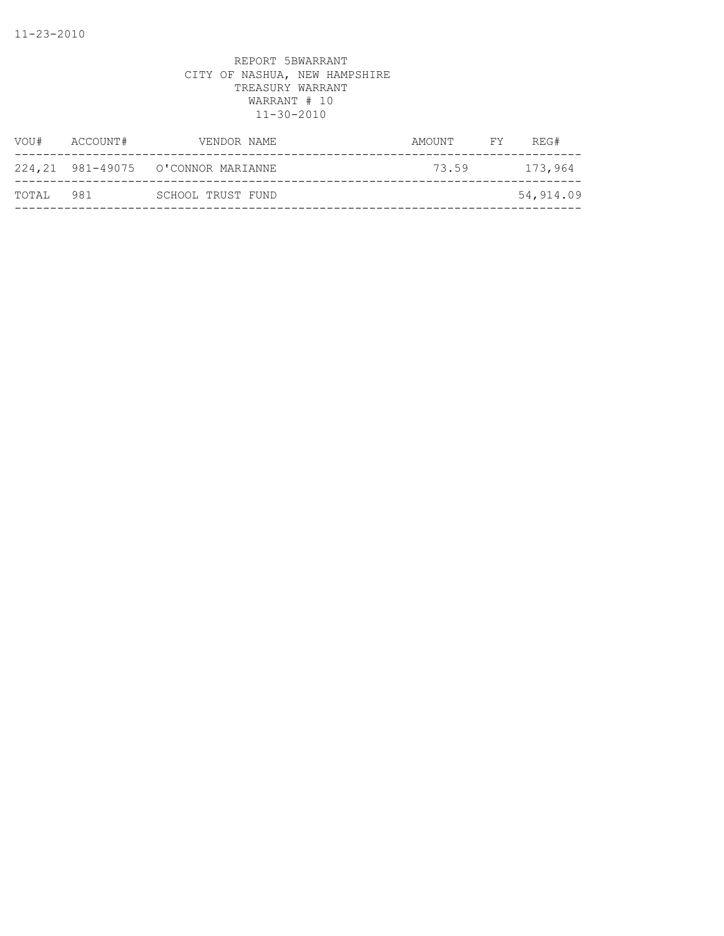| VOU#  | ACCOUNT# | VENDOR NAME                         | AMOUNT | FY | REG#      |
|-------|----------|-------------------------------------|--------|----|-----------|
|       |          | 224, 21 981-49075 O'CONNOR MARIANNE | 73.59  |    | 173,964   |
| TOTAL | 981      | SCHOOL TRUST FUND                   |        |    | 54,914.09 |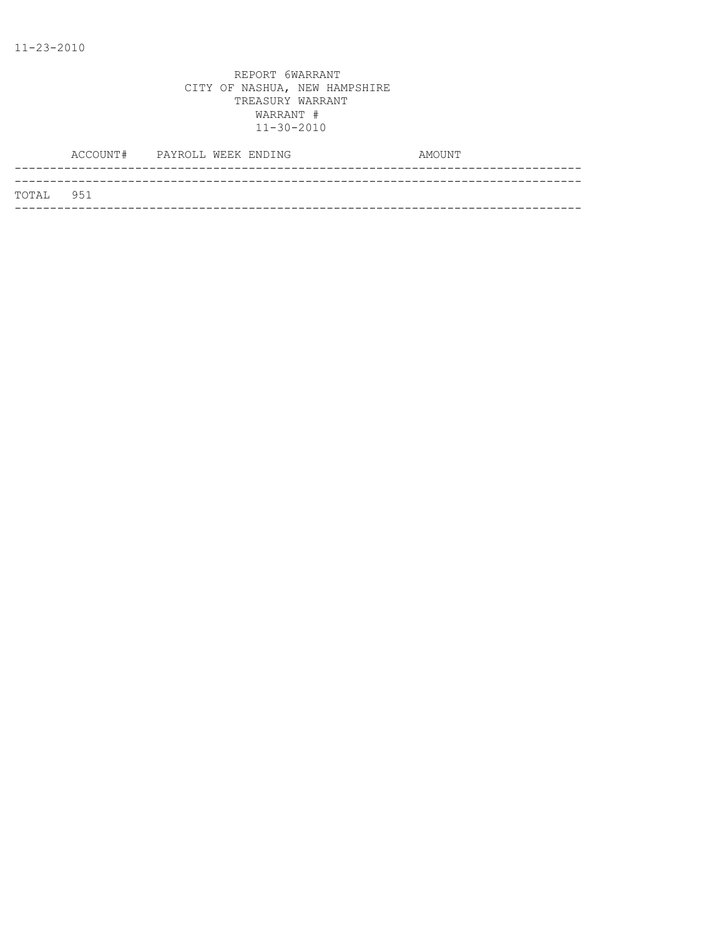|           | ACCOUNT# PAYROLL WEEK ENDING |  |  | AMOUNT |
|-----------|------------------------------|--|--|--------|
|           |                              |  |  |        |
| TOTAL 951 |                              |  |  |        |
|           |                              |  |  |        |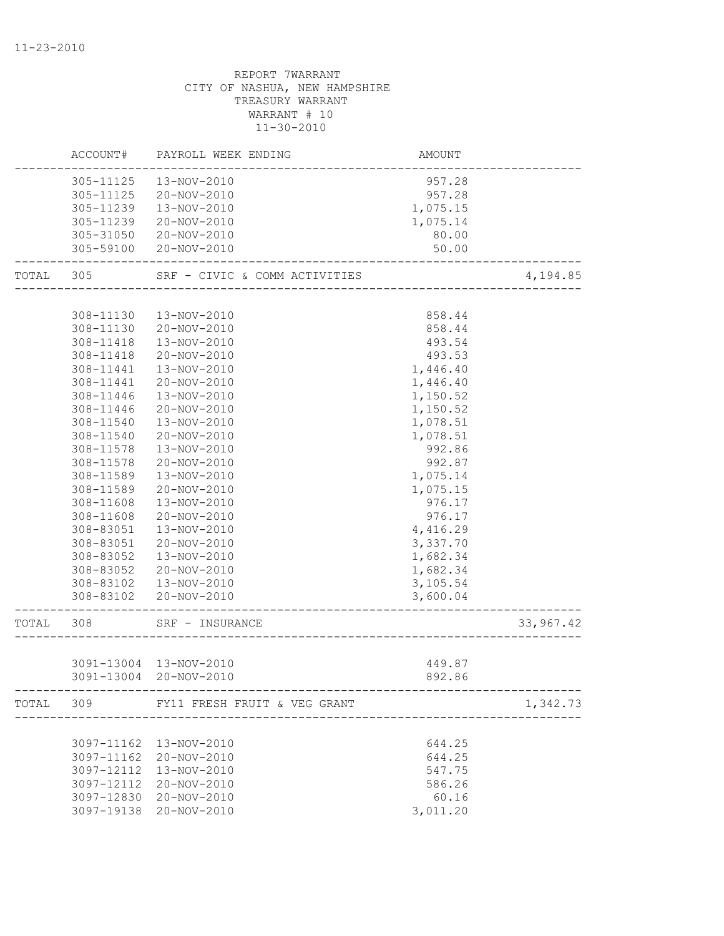|           | ACCOUNT#   | PAYROLL WEEK ENDING                    | <b>AMOUNT</b> |           |
|-----------|------------|----------------------------------------|---------------|-----------|
|           | 305-11125  | 13-NOV-2010                            | 957.28        |           |
|           | 305-11125  | 20-NOV-2010                            | 957.28        |           |
|           | 305-11239  | 13-NOV-2010                            | 1,075.15      |           |
|           | 305-11239  | 20-NOV-2010                            | 1,075.14      |           |
|           | 305-31050  | 20-NOV-2010                            | 80.00         |           |
|           | 305-59100  | 20-NOV-2010                            | 50.00         |           |
| TOTAL     | 305        | SRF - CIVIC & COMM ACTIVITIES          |               | 4,194.85  |
|           |            |                                        |               |           |
|           | 308-11130  | 13-NOV-2010                            | 858.44        |           |
|           | 308-11130  | 20-NOV-2010                            | 858.44        |           |
|           | 308-11418  | 13-NOV-2010                            | 493.54        |           |
|           | 308-11418  | 20-NOV-2010                            | 493.53        |           |
|           | 308-11441  | 13-NOV-2010                            | 1,446.40      |           |
|           | 308-11441  | 20-NOV-2010                            | 1,446.40      |           |
|           | 308-11446  | 13-NOV-2010                            | 1,150.52      |           |
|           | 308-11446  | 20-NOV-2010                            | 1,150.52      |           |
|           | 308-11540  | 13-NOV-2010                            | 1,078.51      |           |
|           | 308-11540  | 20-NOV-2010                            | 1,078.51      |           |
|           | 308-11578  | 13-NOV-2010                            | 992.86        |           |
|           | 308-11578  | 20-NOV-2010                            | 992.87        |           |
|           | 308-11589  | 13-NOV-2010                            | 1,075.14      |           |
|           | 308-11589  | 20-NOV-2010                            | 1,075.15      |           |
|           | 308-11608  | 13-NOV-2010                            | 976.17        |           |
|           | 308-11608  | 20-NOV-2010                            | 976.17        |           |
|           | 308-83051  | 13-NOV-2010                            | 4,416.29      |           |
|           | 308-83051  | 20-NOV-2010                            | 3,337.70      |           |
|           | 308-83052  | 13-NOV-2010                            | 1,682.34      |           |
|           | 308-83052  | 20-NOV-2010                            | 1,682.34      |           |
|           | 308-83102  | 13-NOV-2010                            | 3,105.54      |           |
|           |            | 308-83102 20-NOV-2010                  | 3,600.04      |           |
| TOTAL 308 |            | SRF - INSURANCE                        |               | 33,967.42 |
|           |            |                                        |               |           |
|           |            | 3091-13004 13-NOV-2010                 | 449.87        |           |
|           |            | 3091-13004 20-NOV-2010                 | 892.86        |           |
|           |            | TOTAL 309 FY11 FRESH FRUIT & VEG GRANT |               | 1,342.73  |
|           |            |                                        |               |           |
|           |            | 3097-11162  13-NOV-2010                | 644.25        |           |
|           |            | 3097-11162 20-NOV-2010                 | 644.25        |           |
|           | 3097-12112 | 13-NOV-2010                            | 547.75        |           |
|           | 3097-12112 | 20-NOV-2010                            | 586.26        |           |
|           |            | 3097-12830 20-NOV-2010                 | 60.16         |           |
|           |            | 3097-19138 20-NOV-2010                 | 3,011.20      |           |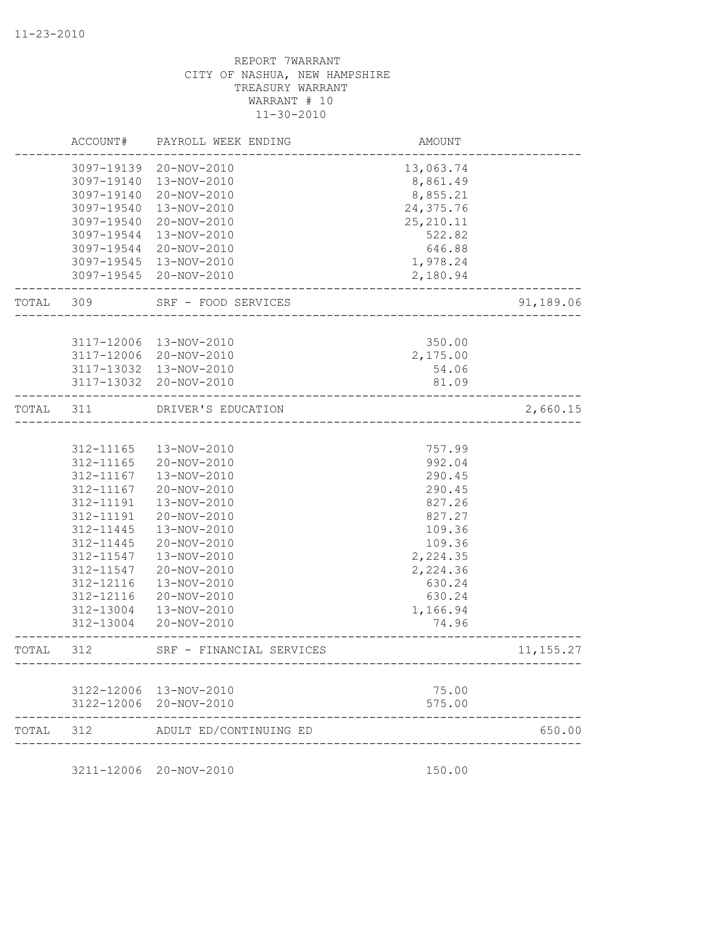|           | ACCOUNT#   | PAYROLL WEEK ENDING      | AMOUNT                              |            |
|-----------|------------|--------------------------|-------------------------------------|------------|
|           |            | 3097-19139 20-NOV-2010   | 13,063.74                           |            |
|           | 3097-19140 | 13-NOV-2010              | 8,861.49                            |            |
|           | 3097-19140 | 20-NOV-2010              | 8,855.21                            |            |
|           | 3097-19540 | 13-NOV-2010              | 24,375.76                           |            |
|           | 3097-19540 | 20-NOV-2010              | 25, 210.11                          |            |
|           | 3097-19544 | 13-NOV-2010              | 522.82                              |            |
|           |            | 3097-19544 20-NOV-2010   | 646.88                              |            |
|           |            | 3097-19545 13-NOV-2010   | 1,978.24                            |            |
|           |            | 3097-19545 20-NOV-2010   | 2,180.94                            |            |
| TOTAL 309 |            | SRF - FOOD SERVICES      |                                     | 91,189.06  |
|           |            |                          |                                     |            |
|           |            | 3117-12006 13-NOV-2010   | 350.00                              |            |
|           |            | 3117-12006 20-NOV-2010   | 2,175.00                            |            |
|           |            | 3117-13032  13-NOV-2010  | 54.06                               |            |
|           |            | 3117-13032 20-NOV-2010   | 81.09                               |            |
| TOTAL     | 311        | DRIVER'S EDUCATION       | -------------------------           | 2,660.15   |
|           |            |                          |                                     |            |
|           | 312-11165  | 13-NOV-2010              | 757.99                              |            |
|           | 312-11165  | 20-NOV-2010              | 992.04                              |            |
|           | 312-11167  | 13-NOV-2010              | 290.45                              |            |
|           | 312-11167  | 20-NOV-2010              | 290.45                              |            |
|           | 312-11191  | 13-NOV-2010              | 827.26                              |            |
|           | 312-11191  | 20-NOV-2010              | 827.27                              |            |
|           | 312-11445  | 13-NOV-2010              | 109.36                              |            |
|           | 312-11445  | 20-NOV-2010              | 109.36                              |            |
|           | 312-11547  | 13-NOV-2010              | 2,224.35                            |            |
|           | 312-11547  | 20-NOV-2010              | 2,224.36                            |            |
|           | 312-12116  | 13-NOV-2010              | 630.24                              |            |
|           | 312-12116  | 20-NOV-2010              | 630.24                              |            |
|           | 312-13004  | 13-NOV-2010              | 1,166.94                            |            |
|           | 312-13004  | 20-NOV-2010              | 74.96                               |            |
| TOTAL     | 312        | SRF - FINANCIAL SERVICES | ----------------------------------- | 11, 155.27 |
|           |            |                          |                                     |            |
|           |            | 3122-12006 13-NOV-2010   | 75.00                               |            |
|           |            | 3122-12006 20-NOV-2010   | 575.00                              |            |
| TOTAL     | 312        | ADULT ED/CONTINUING ED   |                                     | 650.00     |

3211-12006 20-NOV-2010 150.00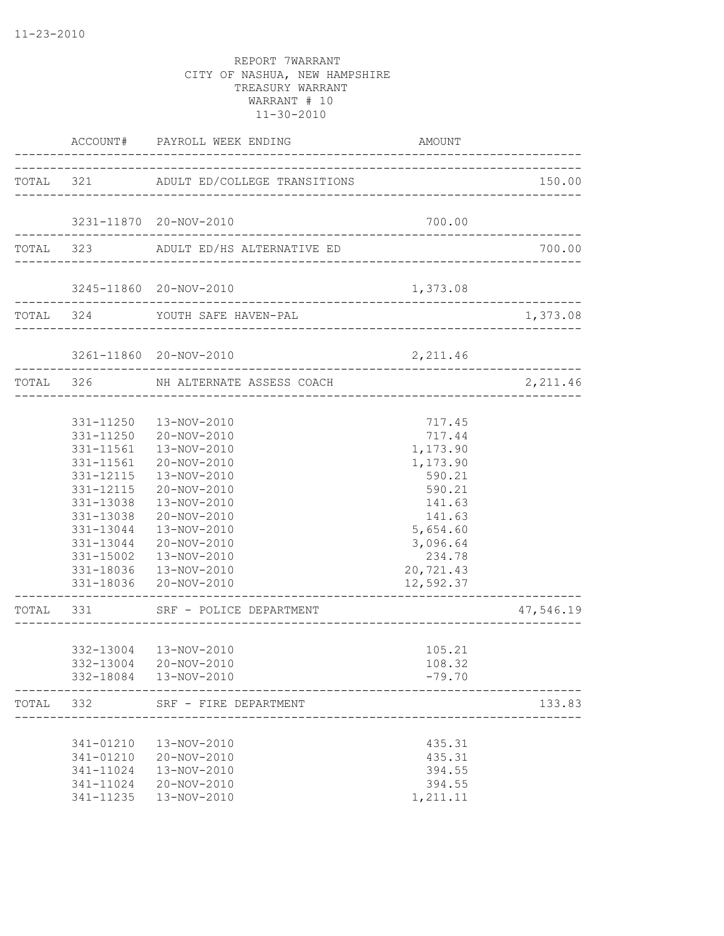|                                                                                                      | ACCOUNT# PAYROLL WEEK ENDING                                                                                                                                                                                                                         | AMOUNT                                                                                                                                       |           |
|------------------------------------------------------------------------------------------------------|------------------------------------------------------------------------------------------------------------------------------------------------------------------------------------------------------------------------------------------------------|----------------------------------------------------------------------------------------------------------------------------------------------|-----------|
|                                                                                                      | TOTAL 321 ADULT ED/COLLEGE TRANSITIONS                                                                                                                                                                                                               |                                                                                                                                              | 150.00    |
|                                                                                                      | 3231-11870 20-NOV-2010                                                                                                                                                                                                                               | 700.00                                                                                                                                       |           |
|                                                                                                      | TOTAL 323 ADULT ED/HS ALTERNATIVE ED                                                                                                                                                                                                                 |                                                                                                                                              | 700.00    |
|                                                                                                      | 3245-11860 20-NOV-2010                                                                                                                                                                                                                               | 1,373.08                                                                                                                                     |           |
|                                                                                                      | TOTAL 324 YOUTH SAFE HAVEN-PAL                                                                                                                                                                                                                       |                                                                                                                                              | 1,373.08  |
|                                                                                                      | 3261-11860 20-NOV-2010                                                                                                                                                                                                                               | 2,211.46                                                                                                                                     |           |
|                                                                                                      | TOTAL 326 NH ALTERNATE ASSESS COACH<br>-------------------------                                                                                                                                                                                     |                                                                                                                                              | 2,211.46  |
| 331-11561<br>331-12115<br>331-12115<br>331-13038<br>331-13038<br>331-13044<br>331-13044<br>331-15002 | 331-11250  13-NOV-2010<br>331-11250 20-NOV-2010<br>331-11561  13-NOV-2010<br>20-NOV-2010<br>13-NOV-2010<br>20-NOV-2010<br>13-NOV-2010<br>20-NOV-2010<br>13-NOV-2010<br>20-NOV-2010<br>13-NOV-2010<br>331-18036  13-NOV-2010<br>331-18036 20-NOV-2010 | 717.45<br>717.44<br>1,173.90<br>1,173.90<br>590.21<br>590.21<br>141.63<br>141.63<br>5,654.60<br>3,096.64<br>234.78<br>20,721.43<br>12,592.37 |           |
|                                                                                                      | TOTAL 331 SRF - POLICE DEPARTMENT                                                                                                                                                                                                                    |                                                                                                                                              | 47,546.19 |
|                                                                                                      | 332-13004  13-NOV-2010<br>332-13004 20-NOV-2010<br>332-18084  13-NOV-2010                                                                                                                                                                            | 105.21<br>108.32<br>$-79.70$                                                                                                                 |           |
| TOTAL 332                                                                                            | SRF - FIRE DEPARTMENT                                                                                                                                                                                                                                |                                                                                                                                              | 133.83    |
| 341-01210<br>341-01210<br>341-11024                                                                  | 13-NOV-2010<br>20-NOV-2010<br>13-NOV-2010<br>341-11024 20-NOV-2010<br>341-11235  13-NOV-2010                                                                                                                                                         | 435.31<br>435.31<br>394.55<br>394.55<br>1,211.11                                                                                             |           |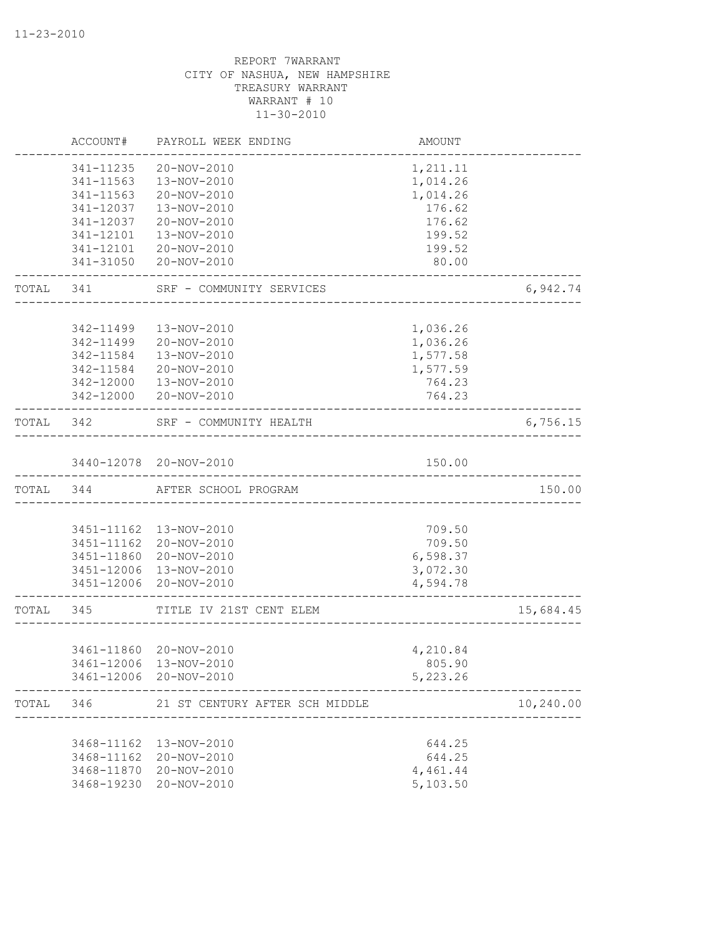|           | ACCOUNT#   | PAYROLL WEEK ENDING                              | AMOUNT                               |           |
|-----------|------------|--------------------------------------------------|--------------------------------------|-----------|
|           | 341-11235  | 20-NOV-2010                                      | 1,211.11                             |           |
|           | 341-11563  | 13-NOV-2010                                      | 1,014.26                             |           |
|           | 341-11563  | 20-NOV-2010                                      | 1,014.26                             |           |
|           | 341-12037  | 13-NOV-2010                                      | 176.62                               |           |
|           | 341-12037  | 20-NOV-2010                                      | 176.62                               |           |
|           | 341-12101  | 13-NOV-2010                                      | 199.52                               |           |
|           | 341-12101  | 20-NOV-2010                                      | 199.52                               |           |
|           | 341-31050  | 20-NOV-2010                                      | 80.00                                |           |
| TOTAL 341 |            | SRF - COMMUNITY SERVICES                         |                                      | 6,942.74  |
|           |            |                                                  |                                      |           |
|           | 342-11499  | 13-NOV-2010                                      | 1,036.26                             |           |
|           | 342-11499  | 20-NOV-2010                                      | 1,036.26                             |           |
|           | 342-11584  | 13-NOV-2010                                      | 1,577.58                             |           |
|           | 342-11584  | 20-NOV-2010                                      | 1,577.59                             |           |
|           | 342-12000  | 13-NOV-2010                                      | 764.23                               |           |
|           | 342-12000  | 20-NOV-2010                                      | 764.23                               |           |
| TOTAL     | 342        | SRF - COMMUNITY HEALTH                           | ____________________________________ | 6,756.15  |
|           |            |                                                  |                                      |           |
|           |            | 3440-12078 20-NOV-2010<br>__________________     | 150.00                               |           |
| TOTAL 344 |            | AFTER SCHOOL PROGRAM                             |                                      | 150.00    |
|           |            |                                                  |                                      |           |
|           |            | 3451-11162  13-NOV-2010                          | 709.50                               |           |
|           | 3451-11162 | 20-NOV-2010                                      | 709.50                               |           |
|           | 3451-11860 | 20-NOV-2010                                      | 6,598.37                             |           |
|           |            | 3451-12006 13-NOV-2010                           | 3,072.30                             |           |
|           |            | 3451-12006 20-NOV-2010                           | 4,594.78                             |           |
| TOTAL 345 |            | TITLE IV 21ST CENT ELEM                          |                                      | 15,684.45 |
|           |            |                                                  |                                      |           |
|           |            | 3461-11860 20-NOV-2010                           | 4,210.84                             |           |
|           |            | 3461-12006 13-NOV-2010<br>3461-12006 20-NOV-2010 | 805.90<br>5,223.26                   |           |
|           |            |                                                  |                                      |           |
| TOTAL     | 346        | 21 ST CENTURY AFTER SCH MIDDLE                   |                                      | 10,240.00 |
|           |            |                                                  |                                      |           |
|           | 3468-11162 | 13-NOV-2010                                      | 644.25                               |           |
|           | 3468-11162 | 20-NOV-2010                                      | 644.25                               |           |
|           | 3468-11870 | 20-NOV-2010                                      | 4,461.44                             |           |
|           | 3468-19230 | 20-NOV-2010                                      | 5,103.50                             |           |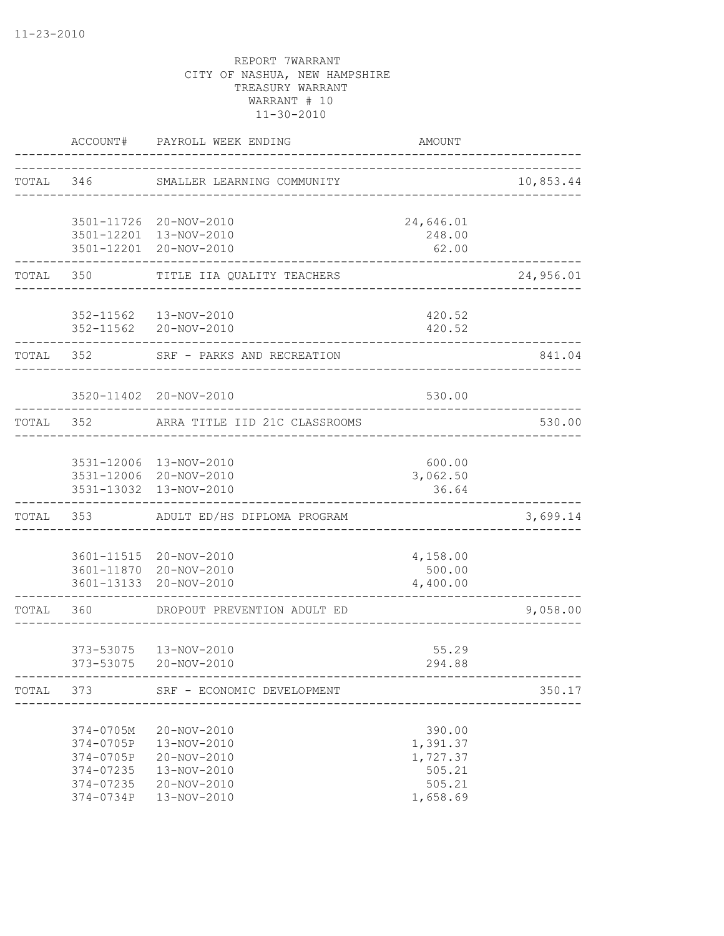|       | ACCOUNT#                                                                   | PAYROLL WEEK ENDING                                                                    | <b>AMOUNT</b>                                                  |           |
|-------|----------------------------------------------------------------------------|----------------------------------------------------------------------------------------|----------------------------------------------------------------|-----------|
| TOTAL | 346                                                                        | SMALLER LEARNING COMMUNITY                                                             |                                                                | 10,853.44 |
|       |                                                                            | 3501-11726 20-NOV-2010                                                                 | 24,646.01                                                      |           |
|       |                                                                            | 3501-12201 13-NOV-2010<br>3501-12201 20-NOV-2010                                       | 248.00<br>62.00                                                |           |
| TOTAL | 350                                                                        | TITLE IIA QUALITY TEACHERS                                                             |                                                                | 24,956.01 |
|       |                                                                            | 352-11562  13-NOV-2010<br>352-11562 20-NOV-2010                                        | 420.52<br>420.52                                               |           |
| TOTAL | 352                                                                        | SRF - PARKS AND RECREATION                                                             |                                                                | 841.04    |
|       |                                                                            | 3520-11402 20-NOV-2010                                                                 | 530.00                                                         |           |
| TOTAL | 352                                                                        | ARRA TITLE IID 21C CLASSROOMS                                                          |                                                                | 530.00    |
|       |                                                                            | 3531-12006 13-NOV-2010                                                                 | 600.00                                                         |           |
|       |                                                                            | 3531-12006 20-NOV-2010<br>3531-13032 13-NOV-2010                                       | 3,062.50<br>36.64                                              |           |
| TOTAL | 353                                                                        | ADULT ED/HS DIPLOMA PROGRAM                                                            |                                                                | 3,699.14  |
|       |                                                                            | 3601-11515 20-NOV-2010<br>3601-11870 20-NOV-2010<br>3601-13133 20-NOV-2010             | 4,158.00<br>500.00<br>4,400.00                                 |           |
| TOTAL | 360                                                                        | DROPOUT PREVENTION ADULT ED                                                            |                                                                | 9,058.00  |
|       | 373-53075<br>373-53075                                                     | 13-NOV-2010<br>20-NOV-2010                                                             | 55.29<br>294.88                                                |           |
|       |                                                                            | TOTAL 373 SRF - ECONOMIC DEVELOPMENT                                                   |                                                                | 350.17    |
|       | 374-0705M<br>374-0705P<br>374-0705P<br>374-07235<br>374-07235<br>374-0734P | 20-NOV-2010<br>13-NOV-2010<br>20-NOV-2010<br>13-NOV-2010<br>20-NOV-2010<br>13-NOV-2010 | 390.00<br>1,391.37<br>1,727.37<br>505.21<br>505.21<br>1,658.69 |           |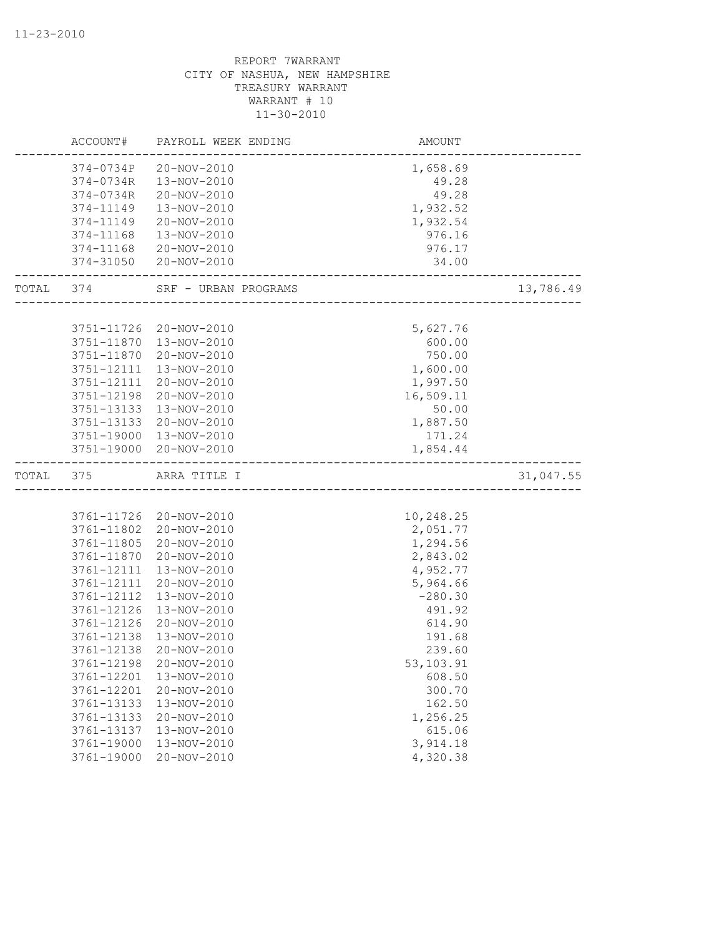|           | ACCOUNT#                     | PAYROLL WEEK ENDING    | AMOUNT           |           |
|-----------|------------------------------|------------------------|------------------|-----------|
|           | 374-0734P                    | 20-NOV-2010            | 1,658.69         |           |
|           | 374-0734R                    | 13-NOV-2010            | 49.28            |           |
|           | 374-0734R                    | 20-NOV-2010            | 49.28            |           |
|           | 374-11149                    | 13-NOV-2010            | 1,932.52         |           |
|           | 374-11149                    | 20-NOV-2010            | 1,932.54         |           |
|           | 374-11168                    | 13-NOV-2010            | 976.16           |           |
|           | 374-11168                    | 20-NOV-2010            | 976.17           |           |
|           | 374-31050<br>_______________ | 20-NOV-2010            | 34.00            |           |
| TOTAL 374 |                              | SRF - URBAN PROGRAMS   | ________________ | 13,786.49 |
|           | 3751-11726                   | 20-NOV-2010            | 5,627.76         |           |
|           | 3751-11870                   | 13-NOV-2010            | 600.00           |           |
|           | 3751-11870                   | 20-NOV-2010            | 750.00           |           |
|           | 3751-12111                   | 13-NOV-2010            | 1,600.00         |           |
|           | 3751-12111                   | 20-NOV-2010            | 1,997.50         |           |
|           | 3751-12198                   | 20-NOV-2010            | 16,509.11        |           |
|           | 3751-13133                   | 13-NOV-2010            | 50.00            |           |
|           | 3751-13133                   | 20-NOV-2010            | 1,887.50         |           |
|           | 3751-19000                   | 13-NOV-2010            | 171.24           |           |
|           | 3751-19000                   | 20-NOV-2010            | 1,854.44         |           |
|           |                              |                        |                  |           |
| TOTAL     | 375                          | ARRA TITLE I           |                  | 31,047.55 |
|           |                              |                        |                  |           |
|           |                              | 3761-11726 20-NOV-2010 | 10,248.25        |           |
|           | 3761-11802                   | 20-NOV-2010            | 2,051.77         |           |
|           | 3761-11805                   | 20-NOV-2010            | 1,294.56         |           |
|           | 3761-11870                   | 20-NOV-2010            | 2,843.02         |           |
|           | 3761-12111                   | 13-NOV-2010            | 4,952.77         |           |
|           | 3761-12111                   | 20-NOV-2010            | 5,964.66         |           |
|           | 3761-12112                   | 13-NOV-2010            | $-280.30$        |           |
|           | 3761-12126                   | 13-NOV-2010            | 491.92           |           |
|           | 3761-12126                   | 20-NOV-2010            | 614.90           |           |
|           | 3761-12138                   | 13-NOV-2010            | 191.68           |           |
|           | 3761-12138                   | 20-NOV-2010            | 239.60           |           |
|           | 3761-12198                   | 20-NOV-2010            | 53,103.91        |           |
|           | 3761-12201                   | 13-NOV-2010            | 608.50           |           |
|           | 3761-12201                   | 20-NOV-2010            | 300.70           |           |
|           | 3761-13133                   | 13-NOV-2010            | 162.50           |           |
|           | 3761-13133                   | 20-NOV-2010            | 1,256.25         |           |
|           | 3761-13137                   | 13-NOV-2010            | 615.06           |           |
|           | 3761-19000                   | 13-NOV-2010            | 3,914.18         |           |
|           | 3761-19000                   | $20 - NOV - 2010$      | 4,320.38         |           |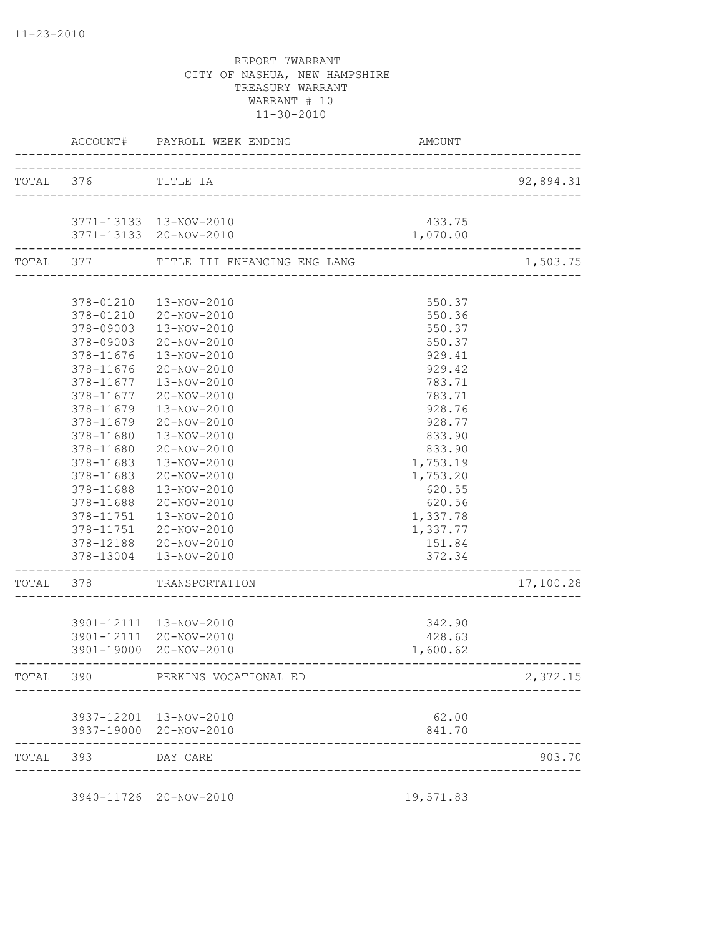|           |                    | ACCOUNT# PAYROLL WEEK ENDING                                        | AMOUNT             |           |
|-----------|--------------------|---------------------------------------------------------------------|--------------------|-----------|
|           | TOTAL 376          | TITLE IA                                                            |                    | 92,894.31 |
|           |                    | 3771-13133  13-NOV-2010<br>3771-13133 20-NOV-2010                   | 433.75<br>1,070.00 |           |
| TOTAL 377 |                    | -----------------------------------<br>TITLE III ENHANCING ENG LANG |                    | 1,503.75  |
|           |                    |                                                                     |                    |           |
|           | 378-01210          | 13-NOV-2010                                                         | 550.37             |           |
|           |                    | 378-01210 20-NOV-2010                                               | 550.36             |           |
|           | 378-09003          | 13-NOV-2010                                                         | 550.37             |           |
|           | 378-09003          | 20-NOV-2010                                                         | 550.37             |           |
|           | 378-11676          | 13-NOV-2010                                                         | 929.41             |           |
|           | 378-11676          | 20-NOV-2010                                                         | 929.42             |           |
|           | 378-11677          | 13-NOV-2010                                                         | 783.71             |           |
|           | 378-11677          | 20-NOV-2010                                                         | 783.71             |           |
|           | 378-11679          | 13-NOV-2010                                                         | 928.76             |           |
|           | 378-11679          | 20-NOV-2010                                                         | 928.77             |           |
|           | 378-11680          | 13-NOV-2010                                                         | 833.90             |           |
|           | 378-11680          | 20-NOV-2010                                                         | 833.90             |           |
|           | 378-11683          | 13-NOV-2010                                                         | 1,753.19           |           |
|           | 378-11683          | 20-NOV-2010                                                         | 1,753.20           |           |
|           | 378-11688          | 13-NOV-2010                                                         | 620.55             |           |
|           | 378-11688          | 20-NOV-2010                                                         | 620.56             |           |
|           | 378-11751          | 13-NOV-2010                                                         | 1,337.78           |           |
|           | 378-11751          | 20-NOV-2010                                                         | 1,337.77           |           |
|           |                    |                                                                     |                    |           |
|           | 378-12188          | 20-NOV-2010<br>378-13004  13-NOV-2010                               | 151.84<br>372.34   |           |
| TOTAL 378 |                    | TRANSPORTATION                                                      |                    | 17,100.28 |
|           |                    |                                                                     |                    |           |
|           |                    | 3901-12111 13-NOV-2010                                              | 342.90             |           |
|           |                    | 3901-12111 20-NOV-2010                                              | 428.63             |           |
|           |                    | 3901-19000 20-NOV-2010                                              | 1,600.62           |           |
| TOTAL     | 390                | PERKINS VOCATIONAL ED                                               |                    | 2,372.15  |
|           |                    | 3937-12201 13-NOV-2010                                              | 62.00              |           |
|           |                    | 3937-19000 20-NOV-2010                                              | 841.70             |           |
|           | TOTAL 393 DAY CARE |                                                                     |                    | 903.70    |
|           |                    |                                                                     |                    |           |
|           |                    | 3940-11726 20-NOV-2010                                              | 19,571.83          |           |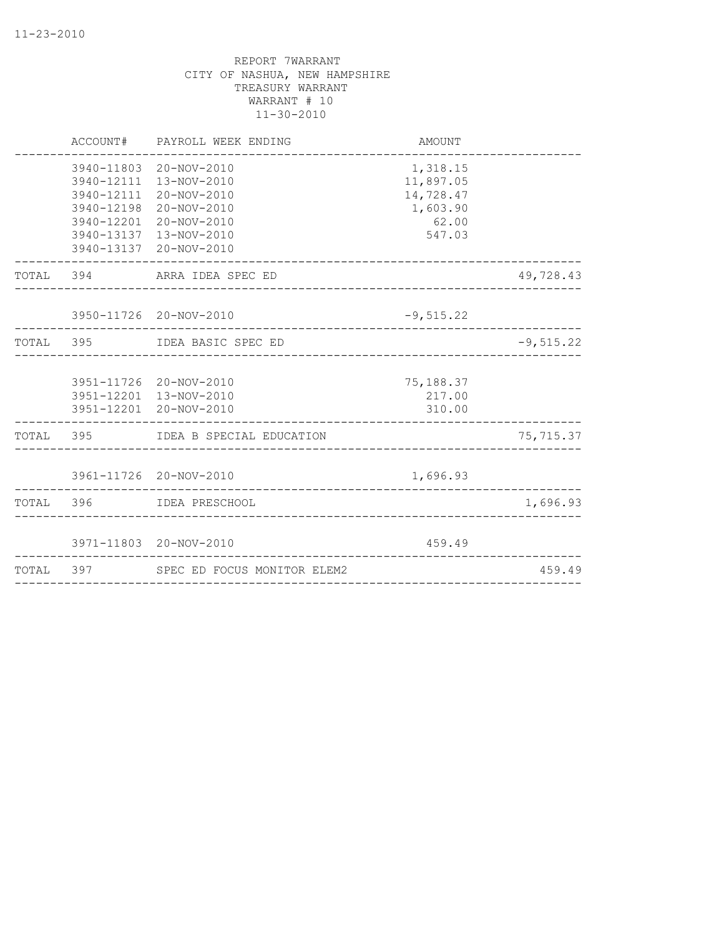| ACCOUNT#                 | PAYROLL WEEK ENDING                                                                                                                                          | AMOUNT                                                            |              |
|--------------------------|--------------------------------------------------------------------------------------------------------------------------------------------------------------|-------------------------------------------------------------------|--------------|
| 3940-12198<br>3940-12201 | 3940-11803 20-NOV-2010<br>3940-12111 13-NOV-2010<br>3940-12111 20-NOV-2010<br>20-NOV-2010<br>20-NOV-2010<br>3940-13137 13-NOV-2010<br>3940-13137 20-NOV-2010 | 1,318.15<br>11,897.05<br>14,728.47<br>1,603.90<br>62.00<br>547.03 |              |
|                          | TOTAL 394 ARRA IDEA SPEC ED                                                                                                                                  |                                                                   | 49,728.43    |
|                          | 3950-11726 20-NOV-2010<br>_________________________                                                                                                          | $-9,515.22$                                                       |              |
|                          | TOTAL 395 IDEA BASIC SPEC ED                                                                                                                                 |                                                                   | $-9, 515.22$ |
|                          | 3951-11726 20-NOV-2010<br>3951-12201 13-NOV-2010<br>3951-12201 20-NOV-2010                                                                                   | 75,188.37<br>217.00<br>310.00                                     |              |
|                          | TOTAL 395 IDEA B SPECIAL EDUCATION                                                                                                                           |                                                                   | 75,715.37    |
|                          | 3961-11726 20-NOV-2010<br>_______________________________                                                                                                    | 1,696.93                                                          |              |
|                          | TOTAL 396 IDEA PRESCHOOL                                                                                                                                     |                                                                   | 1,696.93     |
|                          | 3971-11803 20-NOV-2010                                                                                                                                       | 459.49                                                            |              |
|                          | TOTAL 397 SPEC ED FOCUS MONITOR ELEM2                                                                                                                        |                                                                   | 459.49       |
|                          |                                                                                                                                                              |                                                                   |              |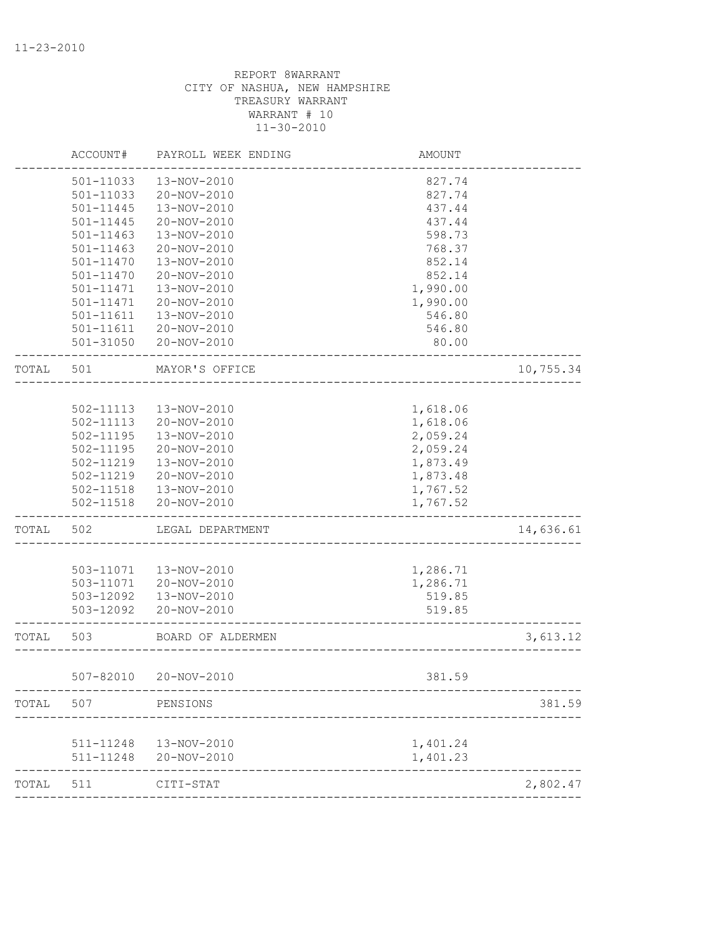|       | ACCOUNT#      | PAYROLL WEEK ENDING    | AMOUNT               |           |
|-------|---------------|------------------------|----------------------|-----------|
|       | 501-11033     | 13-NOV-2010            | 827.74               |           |
|       | 501-11033     | 20-NOV-2010            | 827.74               |           |
|       | 501-11445     | 13-NOV-2010            | 437.44               |           |
|       | $501 - 11445$ | 20-NOV-2010            | 437.44               |           |
|       | $501 - 11463$ | 13-NOV-2010            | 598.73               |           |
|       | 501-11463     | 20-NOV-2010            | 768.37               |           |
|       | 501-11470     | 13-NOV-2010            | 852.14               |           |
|       | 501-11470     | 20-NOV-2010            | 852.14               |           |
|       | 501-11471     | 13-NOV-2010            | 1,990.00             |           |
|       | 501-11471     | 20-NOV-2010            | 1,990.00             |           |
|       | 501-11611     | 13-NOV-2010            | 546.80               |           |
|       | 501-11611     | 20-NOV-2010            | 546.80               |           |
|       | 501-31050     | 20-NOV-2010            | 80.00                |           |
| TOTAL | 501           | MAYOR'S OFFICE         |                      | 10,755.34 |
|       |               |                        |                      |           |
|       | 502-11113     | 13-NOV-2010            | 1,618.06             |           |
|       | 502-11113     | 20-NOV-2010            | 1,618.06             |           |
|       | 502-11195     | 13-NOV-2010            | 2,059.24             |           |
|       | 502-11195     | 20-NOV-2010            | 2,059.24             |           |
|       | 502-11219     | 13-NOV-2010            | 1,873.49             |           |
|       | 502-11219     | 20-NOV-2010            | 1,873.48             |           |
|       | 502-11518     | 13-NOV-2010            | 1,767.52             |           |
|       | $502 - 11518$ | 20-NOV-2010            | 1,767.52             |           |
| TOTAL | 502           | LEGAL DEPARTMENT       |                      | 14,636.61 |
|       |               |                        |                      |           |
|       | 503-11071     | 13-NOV-2010            | 1,286.71             |           |
|       | 503-11071     | 20-NOV-2010            | 1,286.71             |           |
|       | 503-12092     | 13-NOV-2010            | 519.85               |           |
|       | 503-12092     | 20-NOV-2010            | 519.85               |           |
| TOTAL | 503           | BOARD OF ALDERMEN      |                      | 3,613.12  |
|       |               |                        |                      |           |
|       |               | 507-82010 20-NOV-2010  | 381.59               |           |
| TOTAL | 507           | PENSIONS               |                      | 381.59    |
|       |               | 511-11248  13-NOV-2010 |                      |           |
|       | 511-11248     | 20-NOV-2010            | 1,401.24<br>1,401.23 |           |
| TOTAL | 511           | CITI-STAT              |                      | 2,802.47  |
|       |               |                        |                      |           |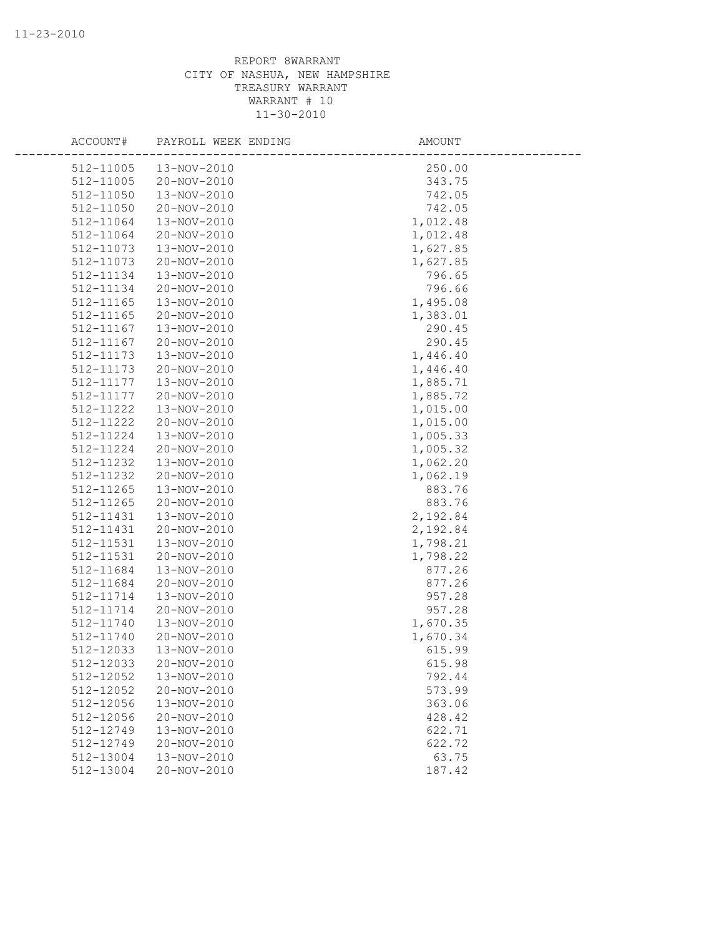| ACCOUNT#               | PAYROLL WEEK ENDING        | AMOUNT           |  |
|------------------------|----------------------------|------------------|--|
| 512-11005              | 13-NOV-2010                | 250.00           |  |
| 512-11005              | 20-NOV-2010                | 343.75           |  |
| 512-11050              | 13-NOV-2010                | 742.05           |  |
| 512-11050              | 20-NOV-2010                | 742.05           |  |
| 512-11064              | 13-NOV-2010                | 1,012.48         |  |
| 512-11064              | 20-NOV-2010                | 1,012.48         |  |
| 512-11073              | 13-NOV-2010                | 1,627.85         |  |
| 512-11073              | 20-NOV-2010                | 1,627.85         |  |
| 512-11134              | 13-NOV-2010                | 796.65           |  |
| 512-11134              | 20-NOV-2010                | 796.66           |  |
| 512-11165              | 13-NOV-2010                | 1,495.08         |  |
| 512-11165              | 20-NOV-2010                | 1,383.01         |  |
| 512-11167              | 13-NOV-2010                | 290.45           |  |
| 512-11167              | 20-NOV-2010                | 290.45           |  |
| 512-11173              | 13-NOV-2010                | 1,446.40         |  |
| 512-11173              | 20-NOV-2010                | 1,446.40         |  |
| 512-11177              | 13-NOV-2010                | 1,885.71         |  |
| 512-11177              | 20-NOV-2010                | 1,885.72         |  |
| 512-11222              | 13-NOV-2010                | 1,015.00         |  |
| 512-11222              | 20-NOV-2010                | 1,015.00         |  |
| 512-11224              | 13-NOV-2010                | 1,005.33         |  |
| 512-11224              | 20-NOV-2010                | 1,005.32         |  |
| 512-11232              | 13-NOV-2010                | 1,062.20         |  |
| 512-11232              | 20-NOV-2010                | 1,062.19         |  |
| 512-11265              | 13-NOV-2010                | 883.76           |  |
| 512-11265              | 20-NOV-2010                | 883.76           |  |
| 512-11431              | 13-NOV-2010                | 2,192.84         |  |
| 512-11431              | 20-NOV-2010                | 2,192.84         |  |
| 512-11531              | 13-NOV-2010                | 1,798.21         |  |
| 512-11531              | 20-NOV-2010                | 1,798.22         |  |
| 512-11684              | 13-NOV-2010                | 877.26           |  |
| 512-11684              | 20-NOV-2010                | 877.26           |  |
| 512-11714              | 13-NOV-2010                | 957.28           |  |
| 512-11714              | 20-NOV-2010                | 957.28           |  |
| 512-11740              | 13-NOV-2010                | 1,670.35         |  |
| 512-11740              | 20-NOV-2010                | 1,670.34         |  |
| 512-12033              | 13-NOV-2010                | 615.99           |  |
| 512-12033              | 20-NOV-2010                | 615.98           |  |
| 512-12052<br>512-12052 | 13-NOV-2010                | 792.44           |  |
|                        | 20-NOV-2010                | 573.99           |  |
| 512-12056<br>512-12056 | 13-NOV-2010<br>20-NOV-2010 | 363.06<br>428.42 |  |
| 512-12749              | 13-NOV-2010                | 622.71           |  |
| 512-12749              | 20-NOV-2010                | 622.72           |  |
| 512-13004              | 13-NOV-2010                | 63.75            |  |
|                        | 20-NOV-2010                |                  |  |
| 512-13004              |                            | 187.42           |  |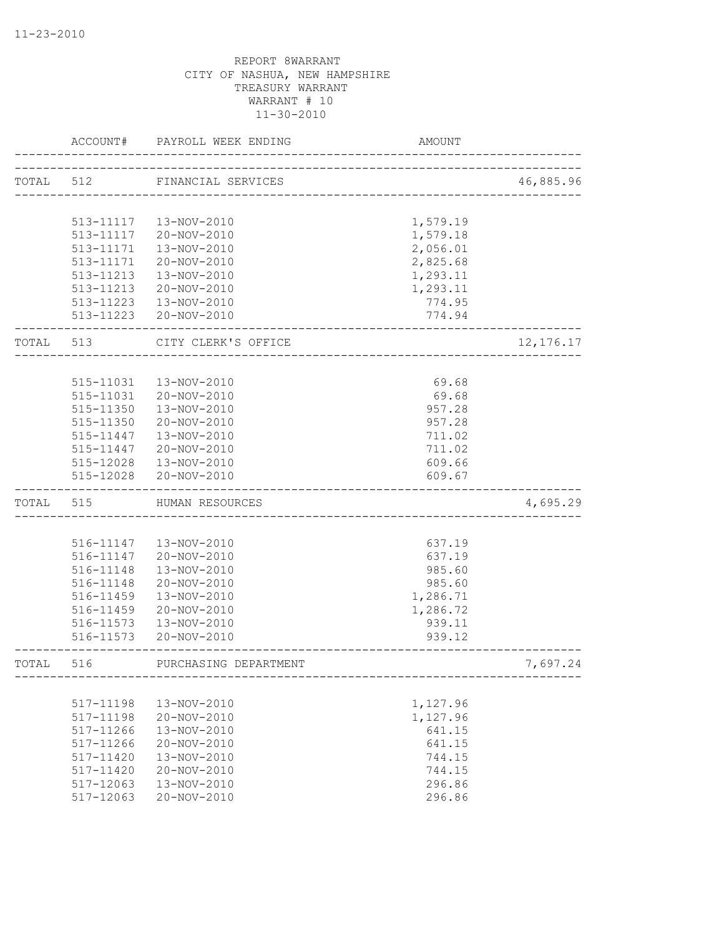|           | ACCOUNT#               | PAYROLL WEEK ENDING        | AMOUNT               |             |
|-----------|------------------------|----------------------------|----------------------|-------------|
| TOTAL 512 |                        | FINANCIAL SERVICES         |                      | 46,885.96   |
|           |                        |                            |                      |             |
|           | 513-11117              | 13-NOV-2010                | 1,579.19             |             |
|           |                        |                            |                      |             |
|           | 513-11117              | 20-NOV-2010                | 1,579.18             |             |
|           | 513-11171<br>513-11171 | 13-NOV-2010<br>20-NOV-2010 | 2,056.01<br>2,825.68 |             |
|           | 513-11213              | 13-NOV-2010                | 1,293.11             |             |
|           | 513-11213              | 20-NOV-2010                | 1,293.11             |             |
|           | 513-11223              | 13-NOV-2010                | 774.95               |             |
|           |                        | 513-11223 20-NOV-2010      | 774.94               |             |
|           |                        |                            |                      |             |
| TOTAL     | 513                    | CITY CLERK'S OFFICE        |                      | 12, 176. 17 |
|           |                        |                            |                      |             |
|           | 515-11031              | 13-NOV-2010                | 69.68                |             |
|           | 515-11031              | 20-NOV-2010                | 69.68                |             |
|           | 515-11350              | 13-NOV-2010                | 957.28               |             |
|           | 515-11350              | 20-NOV-2010                | 957.28               |             |
|           | 515-11447              | 13-NOV-2010                | 711.02               |             |
|           | 515-11447              | 20-NOV-2010                | 711.02               |             |
|           | 515-12028              | 13-NOV-2010                | 609.66               |             |
|           | 515-12028              | 20-NOV-2010                | 609.67               |             |
| TOTAL     | 515                    | HUMAN RESOURCES            |                      | 4,695.29    |
|           |                        |                            |                      |             |
|           | 516-11147              | 13-NOV-2010                | 637.19               |             |
|           | 516-11147              | 20-NOV-2010                | 637.19               |             |
|           | 516-11148              | 13-NOV-2010                | 985.60               |             |
|           | 516-11148              | 20-NOV-2010                | 985.60               |             |
|           | 516-11459              | 13-NOV-2010                | 1,286.71             |             |
|           | 516-11459              | 20-NOV-2010                | 1,286.72             |             |
|           | 516-11573              | 13-NOV-2010                | 939.11               |             |
|           | 516-11573              | 20-NOV-2010                | 939.12               |             |
| TOTAL     | 516                    | PURCHASING DEPARTMENT      |                      | 7,697.24    |
|           |                        |                            |                      |             |
|           | 517-11198              | 13-NOV-2010                | 1,127.96             |             |
|           | 517-11198              | 20-NOV-2010                | 1,127.96             |             |
|           | 517-11266              | 13-NOV-2010                | 641.15               |             |
|           | 517-11266              | 20-NOV-2010                | 641.15               |             |
|           | 517-11420              | 13-NOV-2010                | 744.15               |             |
|           | 517-11420              | 20-NOV-2010                | 744.15               |             |
|           | 517-12063              | 13-NOV-2010                | 296.86               |             |
|           | 517-12063              | 20-NOV-2010                | 296.86               |             |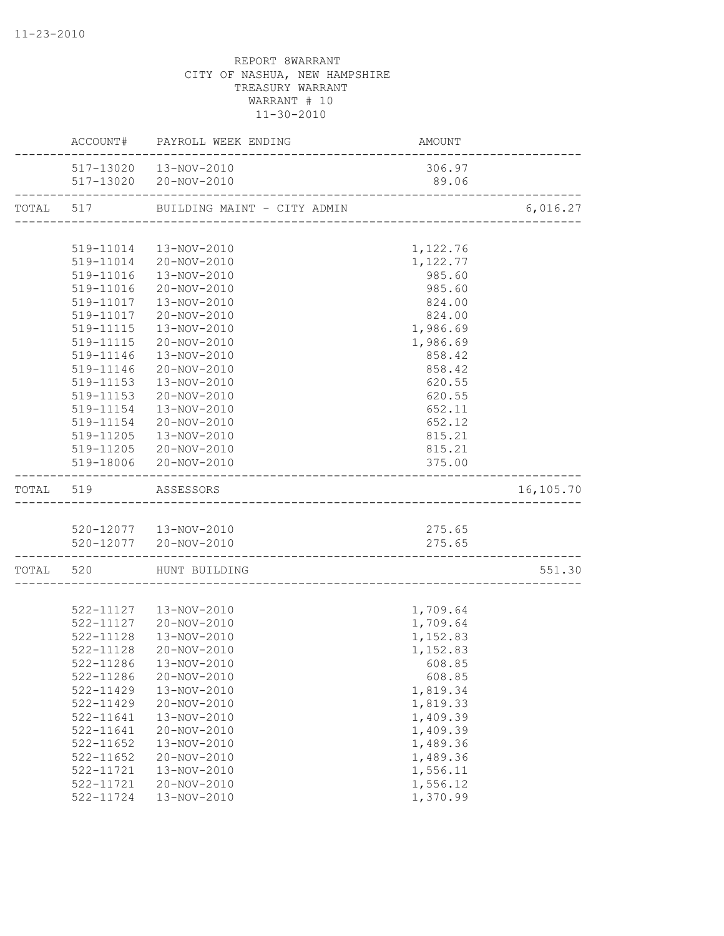|                          | ACCOUNT# PAYROLL WEEK ENDING          | AMOUNT                               |           |
|--------------------------|---------------------------------------|--------------------------------------|-----------|
|                          | 517-13020  13-NOV-2010                | 306.97                               |           |
| ------------------       | 517-13020 20-NOV-2010                 | 89.06                                |           |
|                          | TOTAL 517 BUILDING MAINT - CITY ADMIN |                                      | 6,016.27  |
|                          |                                       |                                      |           |
|                          | 519-11014  13-NOV-2010                | 1,122.76                             |           |
|                          | 519-11014 20-NOV-2010                 | 1,122.77                             |           |
| 519-11016                | 13-NOV-2010                           | 985.60                               |           |
| 519-11016                | 20-NOV-2010                           | 985.60                               |           |
| 519-11017                | 13-NOV-2010                           | 824.00                               |           |
|                          | 519-11017  20-NOV-2010                | 824.00                               |           |
|                          | 519-11115  13-NOV-2010                | 1,986.69                             |           |
|                          | 519-11115 20-NOV-2010                 | 1,986.69                             |           |
| 519-11146                | 13-NOV-2010                           | 858.42                               |           |
| 519-11146                | 20-NOV-2010                           | 858.42                               |           |
| 519-11153                | 13-NOV-2010                           | 620.55                               |           |
| 519-11153                | 20-NOV-2010                           | 620.55                               |           |
| 519-11154                | 13-NOV-2010                           | 652.11                               |           |
| 519-11154                | 20-NOV-2010                           | 652.12                               |           |
| 519-11205                | 13-NOV-2010                           | 815.21                               |           |
|                          | 519-11205 20-NOV-2010                 | 815.21                               |           |
|                          | 519-18006 20-NOV-2010                 | 375.00                               |           |
| TOTAL 519 ASSESSORS      |                                       |                                      | 16,105.70 |
|                          |                                       |                                      |           |
|                          | 520-12077  13-NOV-2010                | 275.65                               |           |
| ------------------------ | 520-12077 20-NOV-2010                 | 275.65<br>__________________________ |           |
|                          | TOTAL 520 HUNT BUILDING               |                                      | 551.30    |
|                          |                                       |                                      |           |
|                          | 522-11127  13-NOV-2010                | 1,709.64                             |           |
|                          | 522-11127 20-NOV-2010                 | 1,709.64                             |           |
|                          | 522-11128  13-NOV-2010                | 1,152.83                             |           |
| 522-11128                | 20-NOV-2010                           | 1,152.83                             |           |
|                          | 522-11286  13-NOV-2010                | 608.85                               |           |
| 522-11286                | 20-NOV-2010                           | 608.85                               |           |
| $522 - 11429$            | 13-NOV-2010                           | 1,819.34                             |           |
| 522-11429                | 20-NOV-2010                           | 1,819.33                             |           |
| 522-11641                | 13-NOV-2010                           | 1,409.39                             |           |
| 522-11641                | 20-NOV-2010                           | 1,409.39                             |           |
| 522-11652                | 13-NOV-2010                           | 1,489.36                             |           |
| $522 - 11652$            | 20-NOV-2010                           | 1,489.36                             |           |
| 522-11721                | 13-NOV-2010                           | 1,556.11                             |           |
| 522-11721                | 20-NOV-2010                           | 1,556.12                             |           |
| 522-11724                | 13-NOV-2010                           | 1,370.99                             |           |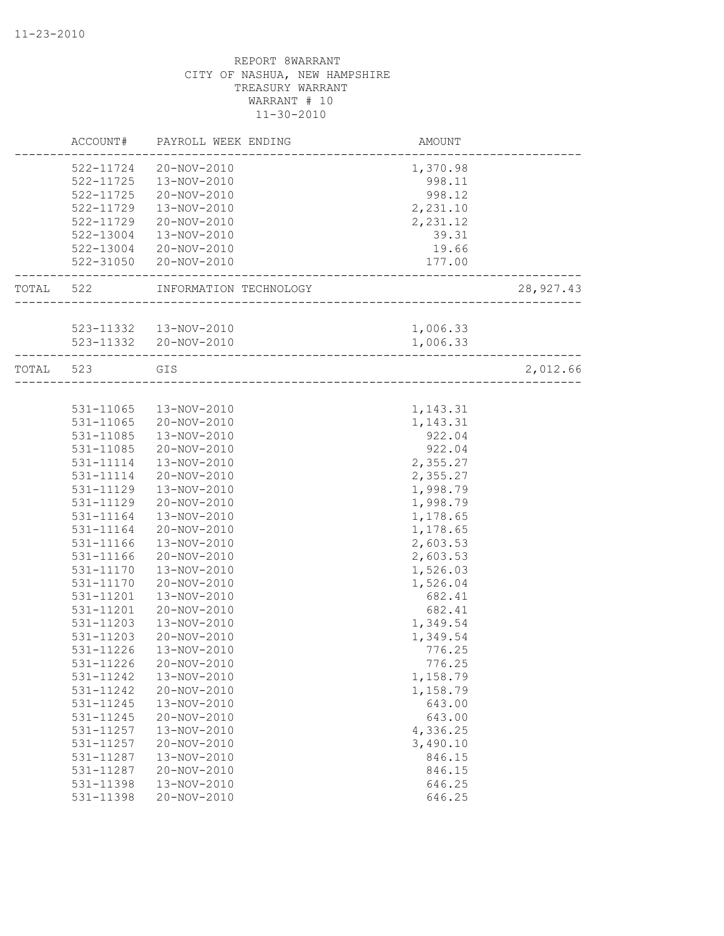|           | ACCOUNT#      | PAYROLL WEEK ENDING                 | AMOUNT                  |            |
|-----------|---------------|-------------------------------------|-------------------------|------------|
|           | 522-11724     | 20-NOV-2010                         | 1,370.98                |            |
|           | 522-11725     | 13-NOV-2010                         | 998.11                  |            |
|           | $522 - 11725$ | 20-NOV-2010                         | 998.12                  |            |
|           | 522-11729     | 13-NOV-2010                         | 2,231.10                |            |
|           | 522-11729     | 20-NOV-2010                         | 2,231.12                |            |
|           | 522-13004     | 13-NOV-2010                         | 39.31                   |            |
|           | 522-13004     | 20-NOV-2010                         | 19.66                   |            |
|           | 522-31050     | 20-NOV-2010                         | 177.00<br>_____________ |            |
| TOTAL 522 |               | INFORMATION TECHNOLOGY              | ____________            | 28, 927.43 |
|           |               |                                     |                         |            |
|           |               | 523-11332  13-NOV-2010              | 1,006.33                |            |
|           |               | 523-11332 20-NOV-2010               | 1,006.33                |            |
| TOTAL 523 |               | GIS<br>____________________________ |                         | 2,012.66   |
|           |               |                                     |                         |            |
|           | 531-11065     | 13-NOV-2010                         | 1,143.31                |            |
|           | 531-11065     | 20-NOV-2010                         | 1,143.31                |            |
|           | 531-11085     | 13-NOV-2010                         | 922.04                  |            |
|           | 531-11085     | 20-NOV-2010                         | 922.04                  |            |
|           | 531-11114     | 13-NOV-2010                         | 2,355.27                |            |
|           | 531-11114     | 20-NOV-2010                         | 2,355.27                |            |
|           | 531-11129     | 13-NOV-2010                         | 1,998.79                |            |
|           | 531-11129     | 20-NOV-2010                         | 1,998.79                |            |
|           | 531-11164     | 13-NOV-2010                         | 1,178.65                |            |
|           | 531-11164     | 20-NOV-2010                         | 1,178.65                |            |
|           | 531-11166     | 13-NOV-2010                         | 2,603.53                |            |
|           | 531-11166     | 20-NOV-2010                         | 2,603.53                |            |
|           | 531-11170     | 13-NOV-2010                         | 1,526.03                |            |
|           | 531-11170     | 20-NOV-2010                         | 1,526.04                |            |
|           | 531-11201     | 13-NOV-2010                         | 682.41                  |            |
|           | 531-11201     | 20-NOV-2010                         | 682.41                  |            |
|           | 531-11203     | 13-NOV-2010                         | 1,349.54                |            |
|           | 531-11203     | 20-NOV-2010                         | 1,349.54                |            |
|           | 531-11226     | 13-NOV-2010                         | 776.25                  |            |
|           | 531-11226     | 20-NOV-2010                         | 776.25                  |            |
|           | 531-11242     | 13-NOV-2010                         | 1,158.79                |            |
|           | 531-11242     | 20-NOV-2010                         | 1,158.79                |            |
|           | 531-11245     | 13-NOV-2010                         | 643.00                  |            |
|           | 531-11245     | 20-NOV-2010                         | 643.00                  |            |
|           | 531-11257     | 13-NOV-2010                         | 4,336.25                |            |
|           | 531-11257     | 20-NOV-2010                         | 3,490.10                |            |
|           | 531-11287     | 13-NOV-2010                         | 846.15                  |            |
|           | 531-11287     | 20-NOV-2010                         | 846.15                  |            |
|           | 531-11398     | 13-NOV-2010                         | 646.25                  |            |
|           | 531-11398     | 20-NOV-2010                         | 646.25                  |            |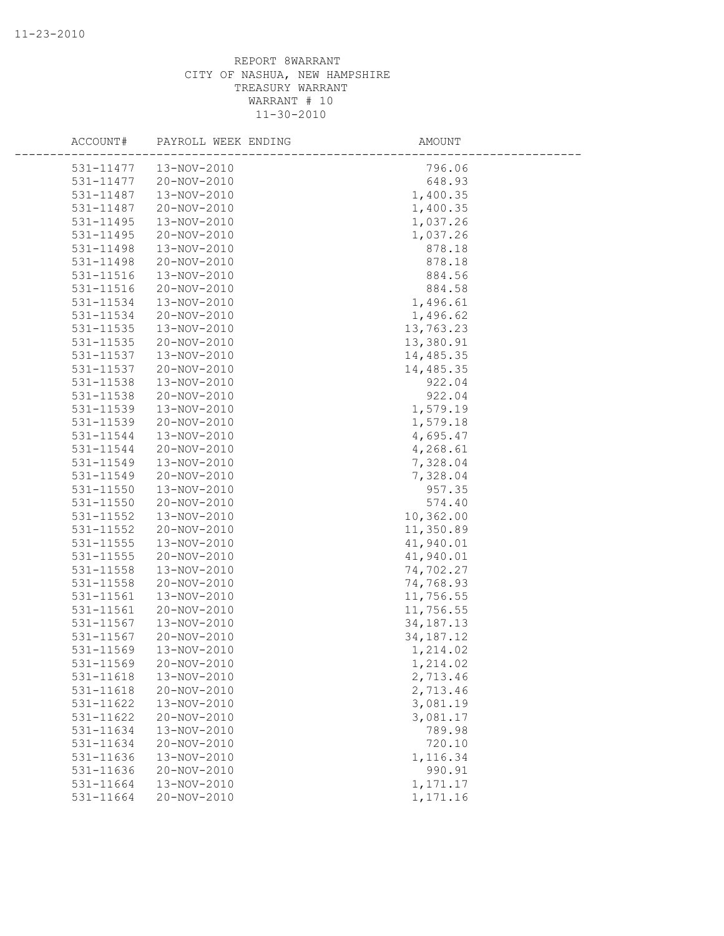| ACCOUNT#  | PAYROLL WEEK ENDING | AMOUNT      |  |
|-----------|---------------------|-------------|--|
| 531-11477 | 13-NOV-2010         | 796.06      |  |
| 531-11477 | 20-NOV-2010         | 648.93      |  |
| 531-11487 | 13-NOV-2010         | 1,400.35    |  |
| 531-11487 | 20-NOV-2010         | 1,400.35    |  |
| 531-11495 | 13-NOV-2010         | 1,037.26    |  |
| 531-11495 | 20-NOV-2010         | 1,037.26    |  |
| 531-11498 | 13-NOV-2010         | 878.18      |  |
| 531-11498 | 20-NOV-2010         | 878.18      |  |
| 531-11516 | 13-NOV-2010         | 884.56      |  |
| 531-11516 | 20-NOV-2010         | 884.58      |  |
| 531-11534 | 13-NOV-2010         | 1,496.61    |  |
| 531-11534 | 20-NOV-2010         | 1,496.62    |  |
| 531-11535 | 13-NOV-2010         | 13,763.23   |  |
| 531-11535 | 20-NOV-2010         | 13,380.91   |  |
| 531-11537 | 13-NOV-2010         | 14,485.35   |  |
| 531-11537 | 20-NOV-2010         | 14,485.35   |  |
| 531-11538 | 13-NOV-2010         | 922.04      |  |
| 531-11538 | 20-NOV-2010         | 922.04      |  |
| 531-11539 | 13-NOV-2010         | 1,579.19    |  |
| 531-11539 | 20-NOV-2010         | 1,579.18    |  |
| 531-11544 | 13-NOV-2010         | 4,695.47    |  |
| 531-11544 | 20-NOV-2010         | 4,268.61    |  |
| 531-11549 | 13-NOV-2010         | 7,328.04    |  |
| 531-11549 | 20-NOV-2010         | 7,328.04    |  |
| 531-11550 | 13-NOV-2010         | 957.35      |  |
| 531-11550 | 20-NOV-2010         | 574.40      |  |
| 531-11552 | 13-NOV-2010         | 10,362.00   |  |
| 531-11552 | 20-NOV-2010         | 11,350.89   |  |
| 531-11555 | 13-NOV-2010         | 41,940.01   |  |
| 531-11555 | 20-NOV-2010         | 41,940.01   |  |
| 531-11558 | 13-NOV-2010         | 74,702.27   |  |
| 531-11558 | 20-NOV-2010         | 74,768.93   |  |
| 531-11561 | 13-NOV-2010         | 11,756.55   |  |
| 531-11561 | 20-NOV-2010         | 11,756.55   |  |
| 531-11567 | 13-NOV-2010         | 34, 187. 13 |  |
| 531-11567 | 20-NOV-2010         | 34, 187. 12 |  |
| 531-11569 | 13-NOV-2010         | 1,214.02    |  |
| 531-11569 | 20-NOV-2010         | 1,214.02    |  |
| 531-11618 | 13-NOV-2010         | 2,713.46    |  |
| 531-11618 | 20-NOV-2010         | 2,713.46    |  |
| 531-11622 | 13-NOV-2010         | 3,081.19    |  |
| 531-11622 | 20-NOV-2010         | 3,081.17    |  |
| 531-11634 | 13-NOV-2010         | 789.98      |  |
| 531-11634 | 20-NOV-2010         | 720.10      |  |
| 531-11636 | 13-NOV-2010         | 1,116.34    |  |
| 531-11636 | 20-NOV-2010         | 990.91      |  |
| 531-11664 | 13-NOV-2010         | 1,171.17    |  |
| 531-11664 | 20-NOV-2010         | 1,171.16    |  |
|           |                     |             |  |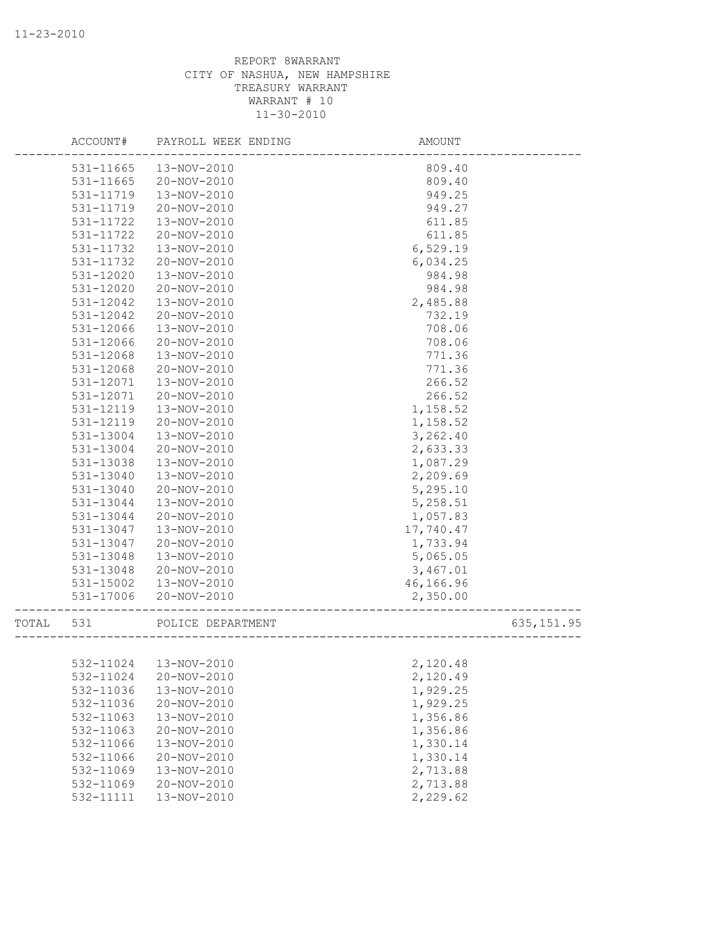|       | ACCOUNT#               | PAYROLL WEEK ENDING        | AMOUNT                |
|-------|------------------------|----------------------------|-----------------------|
|       | 531-11665              | 13-NOV-2010                | 809.40                |
|       | 531-11665              | 20-NOV-2010                | 809.40                |
|       | 531-11719              | 13-NOV-2010                | 949.25                |
|       | 531-11719              | 20-NOV-2010                | 949.27                |
|       | 531-11722              | 13-NOV-2010                | 611.85                |
|       | 531-11722              | 20-NOV-2010                | 611.85                |
|       | 531-11732              | 13-NOV-2010                | 6,529.19              |
|       | 531-11732              | 20-NOV-2010                | 6,034.25              |
|       | 531-12020              | 13-NOV-2010                | 984.98                |
|       | 531-12020              | 20-NOV-2010                | 984.98                |
|       | 531-12042              | 13-NOV-2010                | 2,485.88              |
|       | 531-12042              | 20-NOV-2010                | 732.19                |
|       | 531-12066              | 13-NOV-2010                | 708.06                |
|       | 531-12066              | 20-NOV-2010                | 708.06                |
|       | 531-12068              | 13-NOV-2010                | 771.36                |
|       | 531-12068              | 20-NOV-2010                | 771.36                |
|       | 531-12071              | 13-NOV-2010                | 266.52                |
|       | 531-12071              | 20-NOV-2010                | 266.52                |
|       | 531-12119              | 13-NOV-2010                | 1,158.52              |
|       | 531-12119              | 20-NOV-2010                | 1,158.52              |
|       | 531-13004              | 13-NOV-2010                | 3,262.40              |
|       | 531-13004              | 20-NOV-2010                | 2,633.33              |
|       | 531-13038              | 13-NOV-2010                | 1,087.29              |
|       | 531-13040              | 13-NOV-2010                | 2,209.69              |
|       | 531-13040              | 20-NOV-2010                | 5,295.10              |
|       | 531-13044              | 13-NOV-2010                | 5,258.51              |
|       | 531-13044              | 20-NOV-2010                | 1,057.83              |
|       | 531-13047              | 13-NOV-2010                | 17,740.47             |
|       | 531-13047              | 20-NOV-2010                | 1,733.94              |
|       | 531-13048              | 13-NOV-2010                | 5,065.05              |
|       | 531-13048              | 20-NOV-2010<br>13-NOV-2010 | 3,467.01              |
|       | 531-15002<br>531-17006 | 20-NOV-2010                | 46,166.96<br>2,350.00 |
|       |                        |                            |                       |
| TOTAL | 531                    | POLICE DEPARTMENT          | 635, 151.95           |
|       |                        |                            |                       |
|       |                        | 532-11024  13-NOV-2010     | 2,120.48              |
|       | 532-11024              | 20-NOV-2010                | 2,120.49              |
|       | 532-11036              | 13-NOV-2010                | 1,929.25              |
|       | 532-11036              | 20-NOV-2010                | 1,929.25              |
|       | 532-11063              | 13-NOV-2010                | 1,356.86              |
|       | 532-11063              | 20-NOV-2010                | 1,356.86              |
|       | 532-11066              | 13-NOV-2010                | 1,330.14              |
|       | 532-11066              | 20-NOV-2010                | 1,330.14              |
|       | 532-11069              | 13-NOV-2010                | 2,713.88              |
|       | 532-11069              | 20-NOV-2010                | 2,713.88              |
|       | 532-11111              | 13-NOV-2010                | 2,229.62              |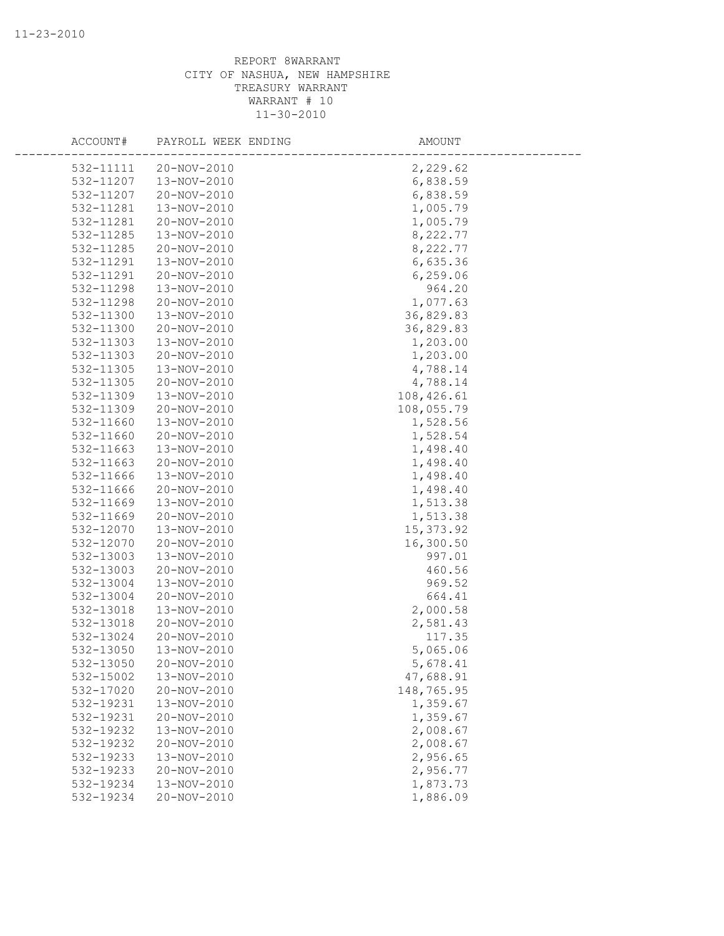| ACCOUNT#  | PAYROLL WEEK ENDING | AMOUNT     |  |
|-----------|---------------------|------------|--|
| 532-11111 | 20-NOV-2010         | 2,229.62   |  |
| 532-11207 | 13-NOV-2010         | 6,838.59   |  |
| 532-11207 | 20-NOV-2010         | 6,838.59   |  |
| 532-11281 | 13-NOV-2010         | 1,005.79   |  |
| 532-11281 | 20-NOV-2010         | 1,005.79   |  |
| 532-11285 | 13-NOV-2010         | 8,222.77   |  |
| 532-11285 | 20-NOV-2010         | 8,222.77   |  |
| 532-11291 | 13-NOV-2010         | 6,635.36   |  |
| 532-11291 | 20-NOV-2010         | 6, 259.06  |  |
| 532-11298 | 13-NOV-2010         | 964.20     |  |
| 532-11298 | 20-NOV-2010         | 1,077.63   |  |
| 532-11300 | 13-NOV-2010         | 36,829.83  |  |
| 532-11300 | 20-NOV-2010         | 36,829.83  |  |
| 532-11303 | 13-NOV-2010         | 1,203.00   |  |
| 532-11303 | 20-NOV-2010         | 1,203.00   |  |
| 532-11305 | 13-NOV-2010         | 4,788.14   |  |
| 532-11305 | 20-NOV-2010         | 4,788.14   |  |
| 532-11309 | 13-NOV-2010         | 108,426.61 |  |
| 532-11309 | 20-NOV-2010         | 108,055.79 |  |
| 532-11660 | 13-NOV-2010         | 1,528.56   |  |
| 532-11660 | 20-NOV-2010         | 1,528.54   |  |
| 532-11663 | 13-NOV-2010         | 1,498.40   |  |
| 532-11663 | 20-NOV-2010         | 1,498.40   |  |
| 532-11666 | 13-NOV-2010         | 1,498.40   |  |
| 532-11666 | 20-NOV-2010         | 1,498.40   |  |
| 532-11669 | 13-NOV-2010         | 1,513.38   |  |
| 532-11669 | 20-NOV-2010         | 1,513.38   |  |
| 532-12070 | 13-NOV-2010         | 15, 373.92 |  |
| 532-12070 | 20-NOV-2010         | 16,300.50  |  |
| 532-13003 | 13-NOV-2010         | 997.01     |  |
| 532-13003 | 20-NOV-2010         | 460.56     |  |
| 532-13004 | 13-NOV-2010         | 969.52     |  |
| 532-13004 | 20-NOV-2010         | 664.41     |  |
| 532-13018 | 13-NOV-2010         | 2,000.58   |  |
| 532-13018 | 20-NOV-2010         | 2,581.43   |  |
| 532-13024 | 20-NOV-2010         | 117.35     |  |
| 532-13050 | 13-NOV-2010         | 5,065.06   |  |
| 532-13050 | 20-NOV-2010         | 5,678.41   |  |
| 532-15002 | 13-NOV-2010         | 47,688.91  |  |
| 532-17020 | 20-NOV-2010         | 148,765.95 |  |
| 532-19231 | 13-NOV-2010         | 1,359.67   |  |
| 532-19231 | 20-NOV-2010         | 1,359.67   |  |
| 532-19232 | 13-NOV-2010         | 2,008.67   |  |
| 532-19232 | 20-NOV-2010         | 2,008.67   |  |
| 532-19233 | 13-NOV-2010         | 2,956.65   |  |
| 532-19233 | 20-NOV-2010         | 2,956.77   |  |
| 532-19234 | 13-NOV-2010         | 1,873.73   |  |
| 532-19234 | 20-NOV-2010         | 1,886.09   |  |
|           |                     |            |  |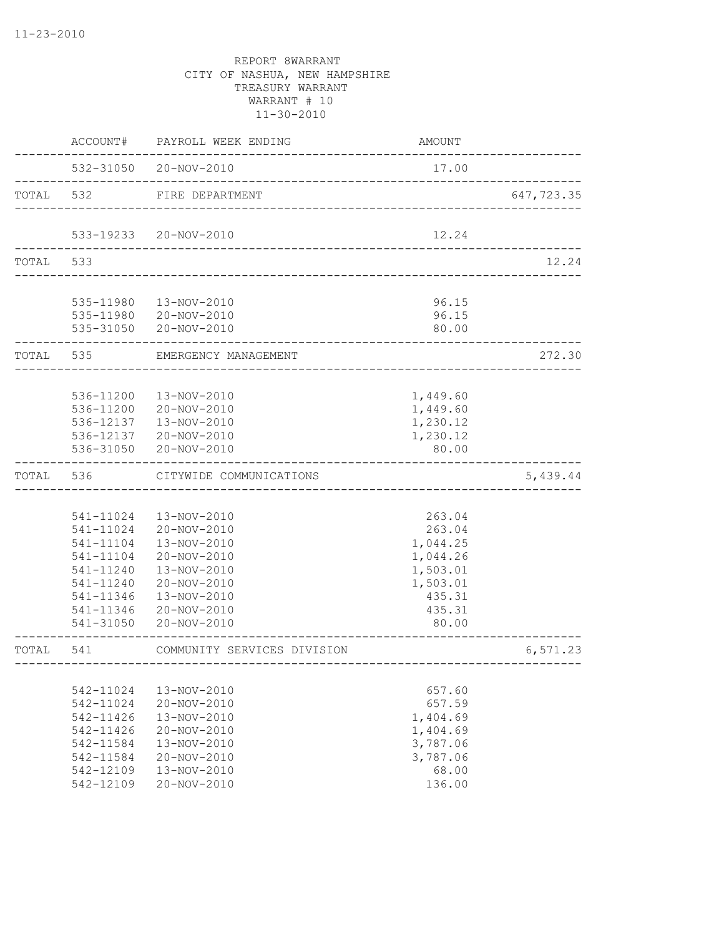|       | ACCOUNT#  | PAYROLL WEEK ENDING                             | <b>AMOUNT</b>                         |            |
|-------|-----------|-------------------------------------------------|---------------------------------------|------------|
|       |           | 532-31050 20-NOV-2010                           | 17.00                                 |            |
| TOTAL | 532       | FIRE DEPARTMENT                                 | _____________________________________ | 647,723.35 |
|       |           |                                                 |                                       |            |
|       |           | 533-19233 20-NOV-2010                           | 12.24                                 |            |
| TOTAL | 533       |                                                 |                                       | 12.24      |
|       |           |                                                 |                                       |            |
|       |           | 535-11980  13-NOV-2010<br>535-11980 20-NOV-2010 | 96.15<br>96.15                        |            |
|       |           | 535-31050 20-NOV-2010                           | 80.00                                 |            |
|       | TOTAL 535 | EMERGENCY MANAGEMENT                            |                                       | 272.30     |
|       |           |                                                 |                                       |            |
|       | 536-11200 | 13-NOV-2010                                     | 1,449.60                              |            |
|       | 536-11200 | 20-NOV-2010                                     | 1,449.60                              |            |
|       | 536-12137 | 13-NOV-2010                                     | 1,230.12                              |            |
|       |           | 536-12137 20-NOV-2010                           | 1,230.12                              |            |
|       |           | 536-31050 20-NOV-2010                           | 80.00                                 |            |
| TOTAL | 536       | CITYWIDE COMMUNICATIONS                         |                                       | 5,439.44   |
|       |           |                                                 |                                       |            |
|       | 541-11024 | 13-NOV-2010                                     | 263.04                                |            |
|       | 541-11024 | 20-NOV-2010                                     | 263.04                                |            |
|       | 541-11104 | 13-NOV-2010                                     | 1,044.25                              |            |
|       | 541-11104 | 20-NOV-2010                                     | 1,044.26                              |            |
|       | 541-11240 | 13-NOV-2010                                     | 1,503.01                              |            |
|       | 541-11240 | 20-NOV-2010                                     | 1,503.01                              |            |
|       | 541-11346 | 13-NOV-2010                                     | 435.31                                |            |
|       | 541-11346 | 20-NOV-2010                                     | 435.31                                |            |
|       | 541-31050 | 20-NOV-2010                                     | 80.00                                 |            |
| TOTAL | 541       | COMMUNITY SERVICES DIVISION<br>--------         |                                       | 6,571.23   |
|       |           |                                                 |                                       |            |
|       | 542-11024 | 13-NOV-2010                                     | 657.60                                |            |
|       | 542-11024 | 20-NOV-2010                                     | 657.59                                |            |
|       | 542-11426 | 13-NOV-2010                                     | 1,404.69                              |            |
|       | 542-11426 | 20-NOV-2010                                     | 1,404.69                              |            |
|       | 542-11584 | 13-NOV-2010                                     | 3,787.06                              |            |
|       | 542-11584 | 20-NOV-2010                                     | 3,787.06                              |            |
|       | 542-12109 | 13-NOV-2010                                     | 68.00                                 |            |
|       | 542-12109 | 20-NOV-2010                                     | 136.00                                |            |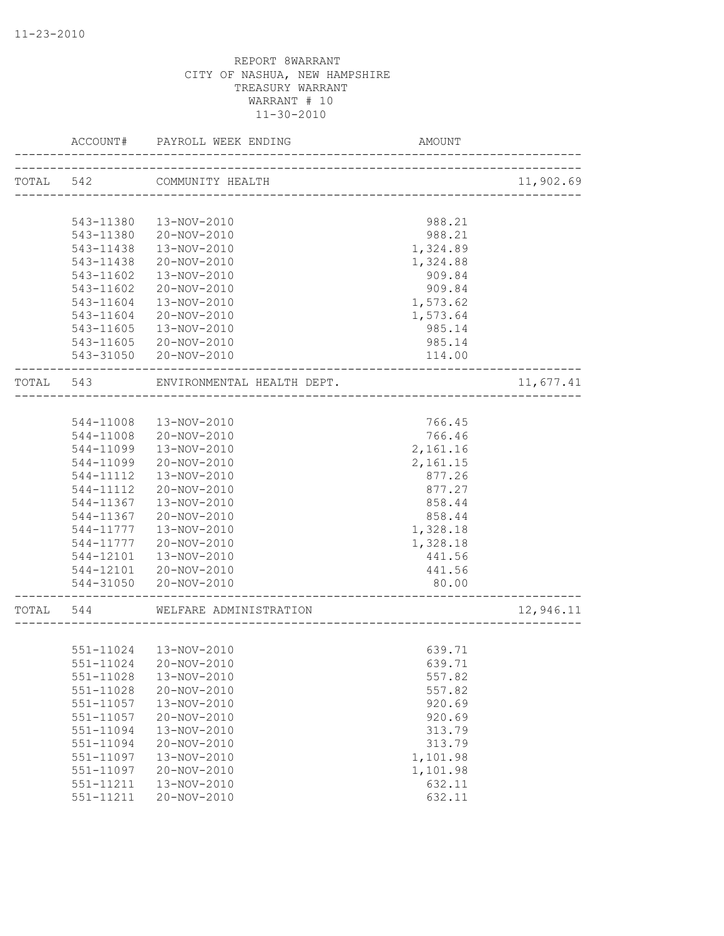|           | ACCOUNT#               | PAYROLL WEEK ENDING           | AMOUNT                |           |
|-----------|------------------------|-------------------------------|-----------------------|-----------|
| TOTAL 542 |                        | COMMUNITY HEALTH              |                       | 11,902.69 |
|           |                        | ----------------------------- |                       |           |
|           | 543-11380              | 13-NOV-2010                   | 988.21                |           |
|           | 543-11380              | 20-NOV-2010                   |                       |           |
|           |                        |                               | 988.21                |           |
|           | 543-11438<br>543-11438 | 13-NOV-2010                   | 1,324.89              |           |
|           |                        | 20-NOV-2010                   | 1,324.88              |           |
|           | 543-11602              | 13-NOV-2010                   | 909.84                |           |
|           | 543-11602              | 20-NOV-2010                   | 909.84                |           |
|           | 543-11604              | 13-NOV-2010                   | 1,573.62              |           |
|           | 543-11604              | 20-NOV-2010                   | 1,573.64              |           |
|           | 543-11605              | 13-NOV-2010                   | 985.14                |           |
|           | 543-11605              | 20-NOV-2010                   | 985.14                |           |
|           |                        | 543-31050 20-NOV-2010         | 114.00<br>___________ |           |
| TOTAL     | 543                    | ENVIRONMENTAL HEALTH DEPT.    |                       | 11,677.41 |
|           |                        |                               |                       |           |
|           | 544-11008              | 13-NOV-2010                   | 766.45                |           |
|           | 544-11008              | 20-NOV-2010                   | 766.46                |           |
|           | 544-11099              | 13-NOV-2010                   | 2,161.16              |           |
|           | 544-11099              | 20-NOV-2010                   | 2,161.15              |           |
|           | 544-11112              | 13-NOV-2010                   | 877.26                |           |
|           | 544-11112              | 20-NOV-2010                   | 877.27                |           |
|           | 544-11367              | 13-NOV-2010                   | 858.44                |           |
|           | 544-11367              | 20-NOV-2010                   | 858.44                |           |
|           | 544-11777              | 13-NOV-2010                   | 1,328.18              |           |
|           | 544-11777              | 20-NOV-2010                   | 1,328.18              |           |
|           | 544-12101              | 13-NOV-2010                   | 441.56                |           |
|           |                        | 544-12101 20-NOV-2010         | 441.56                |           |
|           |                        |                               |                       |           |
|           |                        | 544-31050 20-NOV-2010         | 80.00                 |           |
| TOTAL     | 544                    | WELFARE ADMINISTRATION        |                       | 12,946.11 |
|           |                        |                               |                       |           |
|           |                        | 551-11024  13-NOV-2010        | 639.71                |           |
|           |                        | 551-11024 20-NOV-2010         | 639.71                |           |
|           | 551-11028              | 13-NOV-2010                   | 557.82                |           |
|           | 551-11028              | 20-NOV-2010                   | 557.82                |           |
|           | $551 - 11057$          | 13-NOV-2010                   | 920.69                |           |
|           | $551 - 11057$          | 20-NOV-2010                   | 920.69                |           |
|           | 551-11094              | 13-NOV-2010                   | 313.79                |           |
|           | 551-11094              | 20-NOV-2010                   | 313.79                |           |
|           | 551-11097              | 13-NOV-2010                   | 1,101.98              |           |
|           | 551-11097              | 20-NOV-2010                   | 1,101.98              |           |
|           | 551-11211              | 13-NOV-2010                   | 632.11                |           |
|           | 551-11211              | 20-NOV-2010                   | 632.11                |           |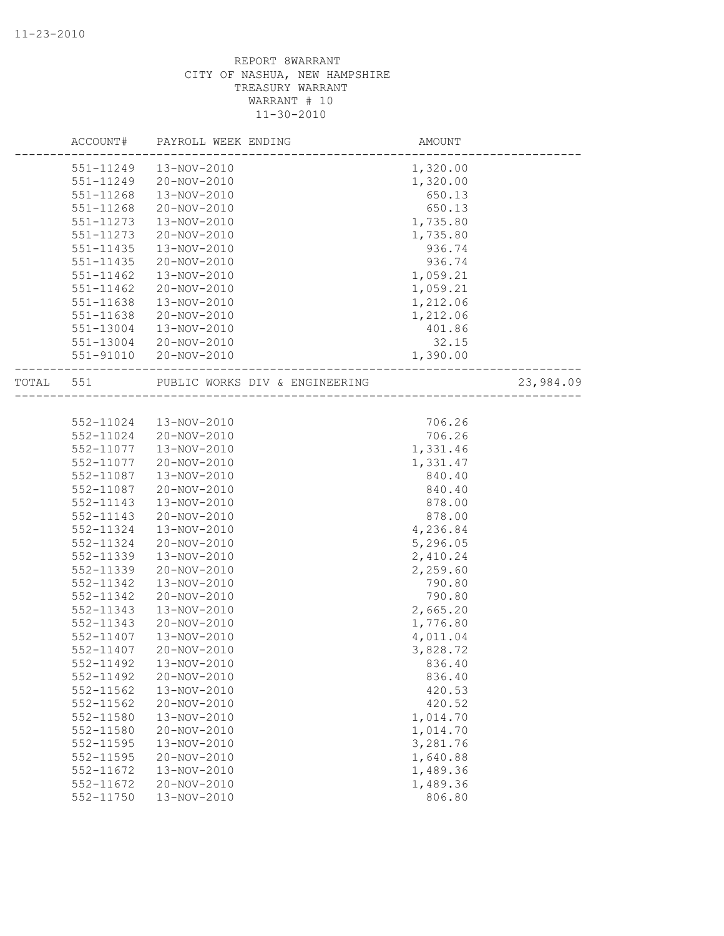|           | ACCOUNT#      | PAYROLL WEEK ENDING            | AMOUNT   |           |
|-----------|---------------|--------------------------------|----------|-----------|
|           | 551-11249     | 13-NOV-2010                    | 1,320.00 |           |
|           | 551-11249     | 20-NOV-2010                    | 1,320.00 |           |
|           | 551-11268     | 13-NOV-2010                    | 650.13   |           |
|           | 551-11268     | 20-NOV-2010                    | 650.13   |           |
|           | 551-11273     | 13-NOV-2010                    | 1,735.80 |           |
|           | 551-11273     | 20-NOV-2010                    | 1,735.80 |           |
|           | 551-11435     | 13-NOV-2010                    | 936.74   |           |
|           | $551 - 11435$ | 20-NOV-2010                    | 936.74   |           |
|           | 551-11462     | 13-NOV-2010                    | 1,059.21 |           |
|           | $551 - 11462$ | 20-NOV-2010                    | 1,059.21 |           |
|           | 551-11638     | 13-NOV-2010                    | 1,212.06 |           |
|           | 551-11638     | 20-NOV-2010                    | 1,212.06 |           |
|           | 551-13004     | 13-NOV-2010                    | 401.86   |           |
|           | 551-13004     | 20-NOV-2010                    | 32.15    |           |
|           | 551-91010     | 20-NOV-2010                    | 1,390.00 |           |
| TOTAL 551 |               | PUBLIC WORKS DIV & ENGINEERING |          | 23,984.09 |
|           |               |                                |          |           |
|           | 552-11024     | 13-NOV-2010                    | 706.26   |           |
|           | 552-11024     | 20-NOV-2010                    | 706.26   |           |
|           | 552-11077     | 13-NOV-2010                    | 1,331.46 |           |
|           | 552-11077     | 20-NOV-2010                    | 1,331.47 |           |
|           | 552-11087     | 13-NOV-2010                    | 840.40   |           |
|           | 552-11087     | 20-NOV-2010                    | 840.40   |           |
|           | 552-11143     | 13-NOV-2010                    | 878.00   |           |
|           | 552-11143     | 20-NOV-2010                    | 878.00   |           |
|           | 552-11324     | 13-NOV-2010                    | 4,236.84 |           |
|           | 552-11324     | 20-NOV-2010                    | 5,296.05 |           |
|           | 552-11339     | 13-NOV-2010                    | 2,410.24 |           |
|           | 552-11339     | 20-NOV-2010                    | 2,259.60 |           |
|           | 552-11342     | 13-NOV-2010                    | 790.80   |           |
|           | 552-11342     | 20-NOV-2010                    | 790.80   |           |
|           | 552-11343     | 13-NOV-2010                    | 2,665.20 |           |
|           | 552-11343     | 20-NOV-2010                    | 1,776.80 |           |
|           | 552-11407     | 13-NOV-2010                    | 4,011.04 |           |
|           | 552-11407     | 20-NOV-2010                    | 3,828.72 |           |
|           | 552-11492     | 13-NOV-2010                    | 836.40   |           |
|           | 552-11492     | 20-NOV-2010                    | 836.40   |           |
|           | 552-11562     | 13-NOV-2010                    | 420.53   |           |
|           | 552-11562     | 20-NOV-2010                    | 420.52   |           |
|           | 552-11580     | 13-NOV-2010                    | 1,014.70 |           |
|           | 552-11580     | 20-NOV-2010                    | 1,014.70 |           |
|           | 552-11595     | 13-NOV-2010                    | 3,281.76 |           |
|           | 552-11595     | 20-NOV-2010                    | 1,640.88 |           |
|           | 552-11672     | 13-NOV-2010                    | 1,489.36 |           |
|           | 552-11672     | 20-NOV-2010                    | 1,489.36 |           |
|           | 552-11750     | 13-NOV-2010                    | 806.80   |           |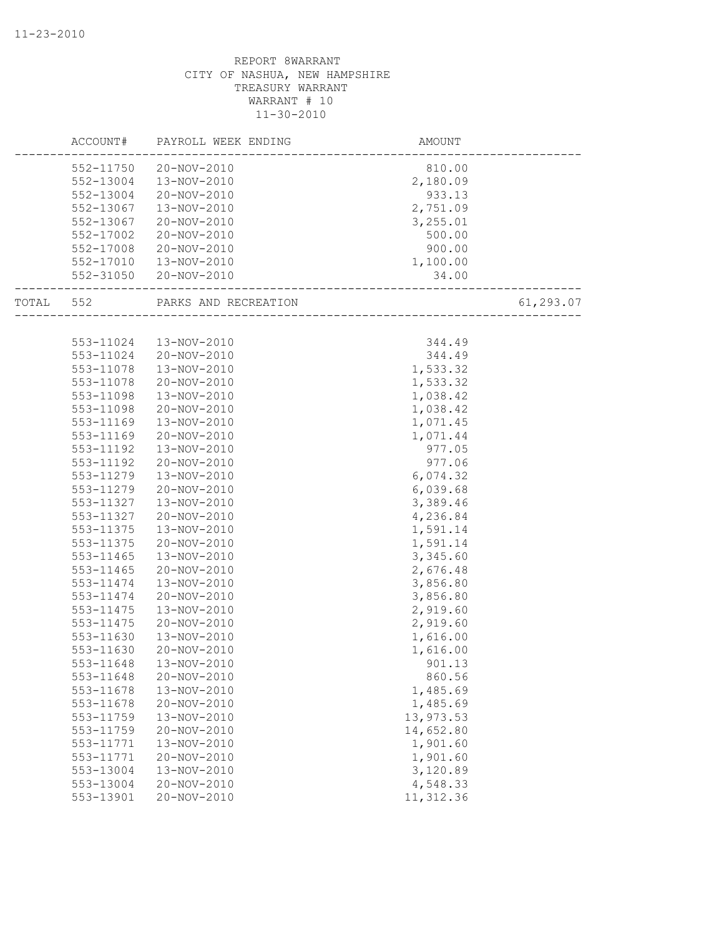| 552-11750<br>20-NOV-2010<br>810.00<br>552-13004<br>13-NOV-2010<br>2,180.09<br>552-13004<br>20-NOV-2010<br>933.13<br>552-13067<br>13-NOV-2010<br>2,751.09<br>552-13067<br>20-NOV-2010<br>3,255.01<br>552-17002<br>500.00<br>20-NOV-2010<br>552-17008<br>20-NOV-2010<br>900.00<br>1,100.00<br>552-17010<br>13-NOV-2010<br>552-31050 20-NOV-2010<br>34.00<br>61,293.07<br>552<br>PARKS AND RECREATION<br>TOTAL<br>-----------------------<br>553-11024<br>13-NOV-2010<br>344.49<br>344.49<br>553-11024<br>20-NOV-2010<br>1,533.32<br>553-11078<br>13-NOV-2010<br>1,533.32<br>553-11078<br>20-NOV-2010<br>1,038.42<br>553-11098<br>13-NOV-2010<br>1,038.42<br>553-11098<br>20-NOV-2010<br>553-11169<br>13-NOV-2010<br>1,071.45<br>553-11169<br>20-NOV-2010<br>1,071.44<br>553-11192<br>13-NOV-2010<br>977.05<br>553-11192<br>20-NOV-2010<br>977.06<br>6,074.32<br>553-11279<br>13-NOV-2010<br>553-11279<br>6,039.68<br>20-NOV-2010<br>3,389.46<br>553-11327<br>13-NOV-2010<br>553-11327<br>20-NOV-2010<br>4,236.84<br>553-11375<br>13-NOV-2010<br>1,591.14<br>20-NOV-2010<br>1,591.14<br>553-11375<br>553-11465<br>3,345.60<br>13-NOV-2010<br>553-11465<br>20-NOV-2010<br>2,676.48<br>553-11474<br>13-NOV-2010<br>3,856.80<br>553-11474<br>20-NOV-2010<br>3,856.80<br>2,919.60<br>553-11475<br>13-NOV-2010<br>2,919.60<br>553-11475<br>20-NOV-2010<br>553-11630<br>13-NOV-2010<br>1,616.00<br>553-11630<br>20-NOV-2010<br>1,616.00<br>13-NOV-2010<br>901.13<br>553-11648<br>20-NOV-2010<br>860.56<br>553-11648<br>1,485.69<br>553-11678<br>13-NOV-2010<br>553-11678<br>20-NOV-2010<br>1,485.69<br>13,973.53<br>553-11759<br>13-NOV-2010<br>14,652.80<br>553-11759<br>20-NOV-2010<br>1,901.60<br>553-11771<br>13-NOV-2010<br>1,901.60<br>553-11771<br>20-NOV-2010<br>3,120.89<br>553-13004<br>13-NOV-2010<br>4,548.33<br>553-13004<br>20-NOV-2010 | ACCOUNT#  | PAYROLL WEEK ENDING | AMOUNT     |  |
|----------------------------------------------------------------------------------------------------------------------------------------------------------------------------------------------------------------------------------------------------------------------------------------------------------------------------------------------------------------------------------------------------------------------------------------------------------------------------------------------------------------------------------------------------------------------------------------------------------------------------------------------------------------------------------------------------------------------------------------------------------------------------------------------------------------------------------------------------------------------------------------------------------------------------------------------------------------------------------------------------------------------------------------------------------------------------------------------------------------------------------------------------------------------------------------------------------------------------------------------------------------------------------------------------------------------------------------------------------------------------------------------------------------------------------------------------------------------------------------------------------------------------------------------------------------------------------------------------------------------------------------------------------------------------------------------------------------------------------------------------------------------------------------------------------------------------------------------|-----------|---------------------|------------|--|
|                                                                                                                                                                                                                                                                                                                                                                                                                                                                                                                                                                                                                                                                                                                                                                                                                                                                                                                                                                                                                                                                                                                                                                                                                                                                                                                                                                                                                                                                                                                                                                                                                                                                                                                                                                                                                                              |           |                     |            |  |
|                                                                                                                                                                                                                                                                                                                                                                                                                                                                                                                                                                                                                                                                                                                                                                                                                                                                                                                                                                                                                                                                                                                                                                                                                                                                                                                                                                                                                                                                                                                                                                                                                                                                                                                                                                                                                                              |           |                     |            |  |
|                                                                                                                                                                                                                                                                                                                                                                                                                                                                                                                                                                                                                                                                                                                                                                                                                                                                                                                                                                                                                                                                                                                                                                                                                                                                                                                                                                                                                                                                                                                                                                                                                                                                                                                                                                                                                                              |           |                     |            |  |
|                                                                                                                                                                                                                                                                                                                                                                                                                                                                                                                                                                                                                                                                                                                                                                                                                                                                                                                                                                                                                                                                                                                                                                                                                                                                                                                                                                                                                                                                                                                                                                                                                                                                                                                                                                                                                                              |           |                     |            |  |
|                                                                                                                                                                                                                                                                                                                                                                                                                                                                                                                                                                                                                                                                                                                                                                                                                                                                                                                                                                                                                                                                                                                                                                                                                                                                                                                                                                                                                                                                                                                                                                                                                                                                                                                                                                                                                                              |           |                     |            |  |
|                                                                                                                                                                                                                                                                                                                                                                                                                                                                                                                                                                                                                                                                                                                                                                                                                                                                                                                                                                                                                                                                                                                                                                                                                                                                                                                                                                                                                                                                                                                                                                                                                                                                                                                                                                                                                                              |           |                     |            |  |
|                                                                                                                                                                                                                                                                                                                                                                                                                                                                                                                                                                                                                                                                                                                                                                                                                                                                                                                                                                                                                                                                                                                                                                                                                                                                                                                                                                                                                                                                                                                                                                                                                                                                                                                                                                                                                                              |           |                     |            |  |
|                                                                                                                                                                                                                                                                                                                                                                                                                                                                                                                                                                                                                                                                                                                                                                                                                                                                                                                                                                                                                                                                                                                                                                                                                                                                                                                                                                                                                                                                                                                                                                                                                                                                                                                                                                                                                                              |           |                     |            |  |
|                                                                                                                                                                                                                                                                                                                                                                                                                                                                                                                                                                                                                                                                                                                                                                                                                                                                                                                                                                                                                                                                                                                                                                                                                                                                                                                                                                                                                                                                                                                                                                                                                                                                                                                                                                                                                                              |           |                     |            |  |
|                                                                                                                                                                                                                                                                                                                                                                                                                                                                                                                                                                                                                                                                                                                                                                                                                                                                                                                                                                                                                                                                                                                                                                                                                                                                                                                                                                                                                                                                                                                                                                                                                                                                                                                                                                                                                                              |           |                     |            |  |
|                                                                                                                                                                                                                                                                                                                                                                                                                                                                                                                                                                                                                                                                                                                                                                                                                                                                                                                                                                                                                                                                                                                                                                                                                                                                                                                                                                                                                                                                                                                                                                                                                                                                                                                                                                                                                                              |           |                     |            |  |
|                                                                                                                                                                                                                                                                                                                                                                                                                                                                                                                                                                                                                                                                                                                                                                                                                                                                                                                                                                                                                                                                                                                                                                                                                                                                                                                                                                                                                                                                                                                                                                                                                                                                                                                                                                                                                                              |           |                     |            |  |
|                                                                                                                                                                                                                                                                                                                                                                                                                                                                                                                                                                                                                                                                                                                                                                                                                                                                                                                                                                                                                                                                                                                                                                                                                                                                                                                                                                                                                                                                                                                                                                                                                                                                                                                                                                                                                                              |           |                     |            |  |
|                                                                                                                                                                                                                                                                                                                                                                                                                                                                                                                                                                                                                                                                                                                                                                                                                                                                                                                                                                                                                                                                                                                                                                                                                                                                                                                                                                                                                                                                                                                                                                                                                                                                                                                                                                                                                                              |           |                     |            |  |
|                                                                                                                                                                                                                                                                                                                                                                                                                                                                                                                                                                                                                                                                                                                                                                                                                                                                                                                                                                                                                                                                                                                                                                                                                                                                                                                                                                                                                                                                                                                                                                                                                                                                                                                                                                                                                                              |           |                     |            |  |
|                                                                                                                                                                                                                                                                                                                                                                                                                                                                                                                                                                                                                                                                                                                                                                                                                                                                                                                                                                                                                                                                                                                                                                                                                                                                                                                                                                                                                                                                                                                                                                                                                                                                                                                                                                                                                                              |           |                     |            |  |
|                                                                                                                                                                                                                                                                                                                                                                                                                                                                                                                                                                                                                                                                                                                                                                                                                                                                                                                                                                                                                                                                                                                                                                                                                                                                                                                                                                                                                                                                                                                                                                                                                                                                                                                                                                                                                                              |           |                     |            |  |
|                                                                                                                                                                                                                                                                                                                                                                                                                                                                                                                                                                                                                                                                                                                                                                                                                                                                                                                                                                                                                                                                                                                                                                                                                                                                                                                                                                                                                                                                                                                                                                                                                                                                                                                                                                                                                                              |           |                     |            |  |
|                                                                                                                                                                                                                                                                                                                                                                                                                                                                                                                                                                                                                                                                                                                                                                                                                                                                                                                                                                                                                                                                                                                                                                                                                                                                                                                                                                                                                                                                                                                                                                                                                                                                                                                                                                                                                                              |           |                     |            |  |
|                                                                                                                                                                                                                                                                                                                                                                                                                                                                                                                                                                                                                                                                                                                                                                                                                                                                                                                                                                                                                                                                                                                                                                                                                                                                                                                                                                                                                                                                                                                                                                                                                                                                                                                                                                                                                                              |           |                     |            |  |
|                                                                                                                                                                                                                                                                                                                                                                                                                                                                                                                                                                                                                                                                                                                                                                                                                                                                                                                                                                                                                                                                                                                                                                                                                                                                                                                                                                                                                                                                                                                                                                                                                                                                                                                                                                                                                                              |           |                     |            |  |
|                                                                                                                                                                                                                                                                                                                                                                                                                                                                                                                                                                                                                                                                                                                                                                                                                                                                                                                                                                                                                                                                                                                                                                                                                                                                                                                                                                                                                                                                                                                                                                                                                                                                                                                                                                                                                                              |           |                     |            |  |
|                                                                                                                                                                                                                                                                                                                                                                                                                                                                                                                                                                                                                                                                                                                                                                                                                                                                                                                                                                                                                                                                                                                                                                                                                                                                                                                                                                                                                                                                                                                                                                                                                                                                                                                                                                                                                                              |           |                     |            |  |
|                                                                                                                                                                                                                                                                                                                                                                                                                                                                                                                                                                                                                                                                                                                                                                                                                                                                                                                                                                                                                                                                                                                                                                                                                                                                                                                                                                                                                                                                                                                                                                                                                                                                                                                                                                                                                                              |           |                     |            |  |
|                                                                                                                                                                                                                                                                                                                                                                                                                                                                                                                                                                                                                                                                                                                                                                                                                                                                                                                                                                                                                                                                                                                                                                                                                                                                                                                                                                                                                                                                                                                                                                                                                                                                                                                                                                                                                                              |           |                     |            |  |
|                                                                                                                                                                                                                                                                                                                                                                                                                                                                                                                                                                                                                                                                                                                                                                                                                                                                                                                                                                                                                                                                                                                                                                                                                                                                                                                                                                                                                                                                                                                                                                                                                                                                                                                                                                                                                                              |           |                     |            |  |
|                                                                                                                                                                                                                                                                                                                                                                                                                                                                                                                                                                                                                                                                                                                                                                                                                                                                                                                                                                                                                                                                                                                                                                                                                                                                                                                                                                                                                                                                                                                                                                                                                                                                                                                                                                                                                                              |           |                     |            |  |
|                                                                                                                                                                                                                                                                                                                                                                                                                                                                                                                                                                                                                                                                                                                                                                                                                                                                                                                                                                                                                                                                                                                                                                                                                                                                                                                                                                                                                                                                                                                                                                                                                                                                                                                                                                                                                                              |           |                     |            |  |
|                                                                                                                                                                                                                                                                                                                                                                                                                                                                                                                                                                                                                                                                                                                                                                                                                                                                                                                                                                                                                                                                                                                                                                                                                                                                                                                                                                                                                                                                                                                                                                                                                                                                                                                                                                                                                                              |           |                     |            |  |
|                                                                                                                                                                                                                                                                                                                                                                                                                                                                                                                                                                                                                                                                                                                                                                                                                                                                                                                                                                                                                                                                                                                                                                                                                                                                                                                                                                                                                                                                                                                                                                                                                                                                                                                                                                                                                                              |           |                     |            |  |
|                                                                                                                                                                                                                                                                                                                                                                                                                                                                                                                                                                                                                                                                                                                                                                                                                                                                                                                                                                                                                                                                                                                                                                                                                                                                                                                                                                                                                                                                                                                                                                                                                                                                                                                                                                                                                                              |           |                     |            |  |
|                                                                                                                                                                                                                                                                                                                                                                                                                                                                                                                                                                                                                                                                                                                                                                                                                                                                                                                                                                                                                                                                                                                                                                                                                                                                                                                                                                                                                                                                                                                                                                                                                                                                                                                                                                                                                                              |           |                     |            |  |
|                                                                                                                                                                                                                                                                                                                                                                                                                                                                                                                                                                                                                                                                                                                                                                                                                                                                                                                                                                                                                                                                                                                                                                                                                                                                                                                                                                                                                                                                                                                                                                                                                                                                                                                                                                                                                                              |           |                     |            |  |
|                                                                                                                                                                                                                                                                                                                                                                                                                                                                                                                                                                                                                                                                                                                                                                                                                                                                                                                                                                                                                                                                                                                                                                                                                                                                                                                                                                                                                                                                                                                                                                                                                                                                                                                                                                                                                                              |           |                     |            |  |
|                                                                                                                                                                                                                                                                                                                                                                                                                                                                                                                                                                                                                                                                                                                                                                                                                                                                                                                                                                                                                                                                                                                                                                                                                                                                                                                                                                                                                                                                                                                                                                                                                                                                                                                                                                                                                                              |           |                     |            |  |
|                                                                                                                                                                                                                                                                                                                                                                                                                                                                                                                                                                                                                                                                                                                                                                                                                                                                                                                                                                                                                                                                                                                                                                                                                                                                                                                                                                                                                                                                                                                                                                                                                                                                                                                                                                                                                                              |           |                     |            |  |
|                                                                                                                                                                                                                                                                                                                                                                                                                                                                                                                                                                                                                                                                                                                                                                                                                                                                                                                                                                                                                                                                                                                                                                                                                                                                                                                                                                                                                                                                                                                                                                                                                                                                                                                                                                                                                                              |           |                     |            |  |
|                                                                                                                                                                                                                                                                                                                                                                                                                                                                                                                                                                                                                                                                                                                                                                                                                                                                                                                                                                                                                                                                                                                                                                                                                                                                                                                                                                                                                                                                                                                                                                                                                                                                                                                                                                                                                                              |           |                     |            |  |
|                                                                                                                                                                                                                                                                                                                                                                                                                                                                                                                                                                                                                                                                                                                                                                                                                                                                                                                                                                                                                                                                                                                                                                                                                                                                                                                                                                                                                                                                                                                                                                                                                                                                                                                                                                                                                                              |           |                     |            |  |
|                                                                                                                                                                                                                                                                                                                                                                                                                                                                                                                                                                                                                                                                                                                                                                                                                                                                                                                                                                                                                                                                                                                                                                                                                                                                                                                                                                                                                                                                                                                                                                                                                                                                                                                                                                                                                                              |           |                     |            |  |
|                                                                                                                                                                                                                                                                                                                                                                                                                                                                                                                                                                                                                                                                                                                                                                                                                                                                                                                                                                                                                                                                                                                                                                                                                                                                                                                                                                                                                                                                                                                                                                                                                                                                                                                                                                                                                                              |           |                     |            |  |
|                                                                                                                                                                                                                                                                                                                                                                                                                                                                                                                                                                                                                                                                                                                                                                                                                                                                                                                                                                                                                                                                                                                                                                                                                                                                                                                                                                                                                                                                                                                                                                                                                                                                                                                                                                                                                                              |           |                     |            |  |
|                                                                                                                                                                                                                                                                                                                                                                                                                                                                                                                                                                                                                                                                                                                                                                                                                                                                                                                                                                                                                                                                                                                                                                                                                                                                                                                                                                                                                                                                                                                                                                                                                                                                                                                                                                                                                                              |           |                     |            |  |
|                                                                                                                                                                                                                                                                                                                                                                                                                                                                                                                                                                                                                                                                                                                                                                                                                                                                                                                                                                                                                                                                                                                                                                                                                                                                                                                                                                                                                                                                                                                                                                                                                                                                                                                                                                                                                                              |           |                     |            |  |
|                                                                                                                                                                                                                                                                                                                                                                                                                                                                                                                                                                                                                                                                                                                                                                                                                                                                                                                                                                                                                                                                                                                                                                                                                                                                                                                                                                                                                                                                                                                                                                                                                                                                                                                                                                                                                                              |           |                     |            |  |
|                                                                                                                                                                                                                                                                                                                                                                                                                                                                                                                                                                                                                                                                                                                                                                                                                                                                                                                                                                                                                                                                                                                                                                                                                                                                                                                                                                                                                                                                                                                                                                                                                                                                                                                                                                                                                                              |           |                     |            |  |
|                                                                                                                                                                                                                                                                                                                                                                                                                                                                                                                                                                                                                                                                                                                                                                                                                                                                                                                                                                                                                                                                                                                                                                                                                                                                                                                                                                                                                                                                                                                                                                                                                                                                                                                                                                                                                                              | 553-13901 | 20-NOV-2010         | 11, 312.36 |  |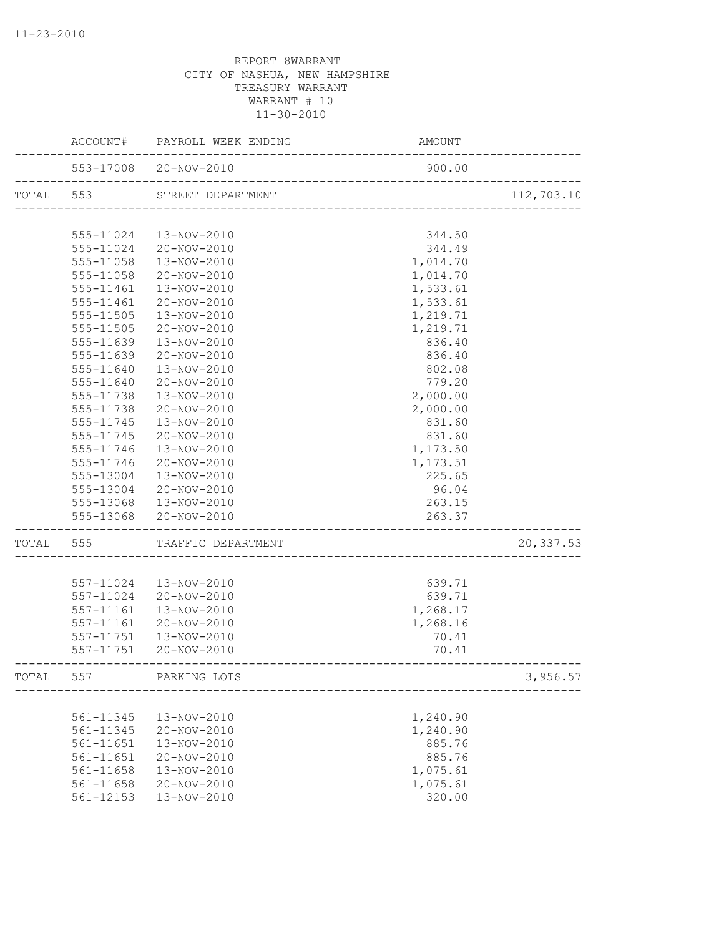|           | ACCOUNT#  | PAYROLL WEEK ENDING          | AMOUNT                   |            |
|-----------|-----------|------------------------------|--------------------------|------------|
|           |           | 553-17008 20-NOV-2010        | 900.00                   |            |
| TOTAL 553 |           | STREET DEPARTMENT            | ------------------------ | 112,703.10 |
|           |           |                              |                          |            |
|           | 555-11024 | 13-NOV-2010                  | 344.50                   |            |
|           | 555-11024 | 20-NOV-2010                  | 344.49                   |            |
|           | 555-11058 | 13-NOV-2010                  | 1,014.70                 |            |
|           | 555-11058 | 20-NOV-2010                  | 1,014.70                 |            |
|           | 555-11461 | 13-NOV-2010                  | 1,533.61                 |            |
|           | 555-11461 | 20-NOV-2010                  | 1,533.61                 |            |
|           | 555-11505 | 13-NOV-2010                  | 1,219.71                 |            |
|           | 555-11505 | 20-NOV-2010                  | 1,219.71                 |            |
|           | 555-11639 | 13-NOV-2010                  | 836.40                   |            |
|           | 555-11639 | 20-NOV-2010                  | 836.40                   |            |
|           | 555-11640 | 13-NOV-2010                  | 802.08                   |            |
|           | 555-11640 | 20-NOV-2010                  | 779.20                   |            |
|           | 555-11738 | 13-NOV-2010                  | 2,000.00                 |            |
|           | 555-11738 | 20-NOV-2010                  | 2,000.00                 |            |
|           | 555-11745 | 13-NOV-2010                  | 831.60                   |            |
|           | 555-11745 | 20-NOV-2010                  | 831.60                   |            |
|           | 555-11746 | 13-NOV-2010                  | 1,173.50                 |            |
|           | 555-11746 | 20-NOV-2010                  | 1,173.51                 |            |
|           | 555-13004 | 13-NOV-2010                  | 225.65                   |            |
|           | 555-13004 | 20-NOV-2010                  | 96.04                    |            |
|           | 555-13068 | 13-NOV-2010                  | 263.15                   |            |
|           | 555-13068 | 20-NOV-2010                  | 263.37                   |            |
|           |           | TOTAL 555 TRAFFIC DEPARTMENT |                          | 20,337.53  |
|           |           |                              |                          |            |
|           | 557-11024 | 13-NOV-2010                  | 639.71                   |            |
|           | 557-11024 | 20-NOV-2010                  | 639.71                   |            |
|           | 557-11161 | 13-NOV-2010                  | 1,268.17                 |            |
|           | 557-11161 | 20-NOV-2010                  | 1,268.16                 |            |
|           | 557-11751 | 13-NOV-2010                  | 70.41                    |            |
|           | 557-11751 | 20-NOV-2010                  | 70.41                    |            |
| TOTAL     | 557       | PARKING LOTS                 |                          | 3,956.57   |
|           |           |                              |                          |            |
|           | 561-11345 | 13-NOV-2010                  | 1,240.90                 |            |
|           | 561-11345 | 20-NOV-2010                  | 1,240.90                 |            |
|           | 561-11651 | 13-NOV-2010                  | 885.76                   |            |
|           | 561-11651 | 20-NOV-2010                  | 885.76                   |            |
|           | 561-11658 | 13-NOV-2010                  | 1,075.61                 |            |
|           | 561-11658 | 20-NOV-2010                  | 1,075.61                 |            |
|           | 561-12153 | 13-NOV-2010                  | 320.00                   |            |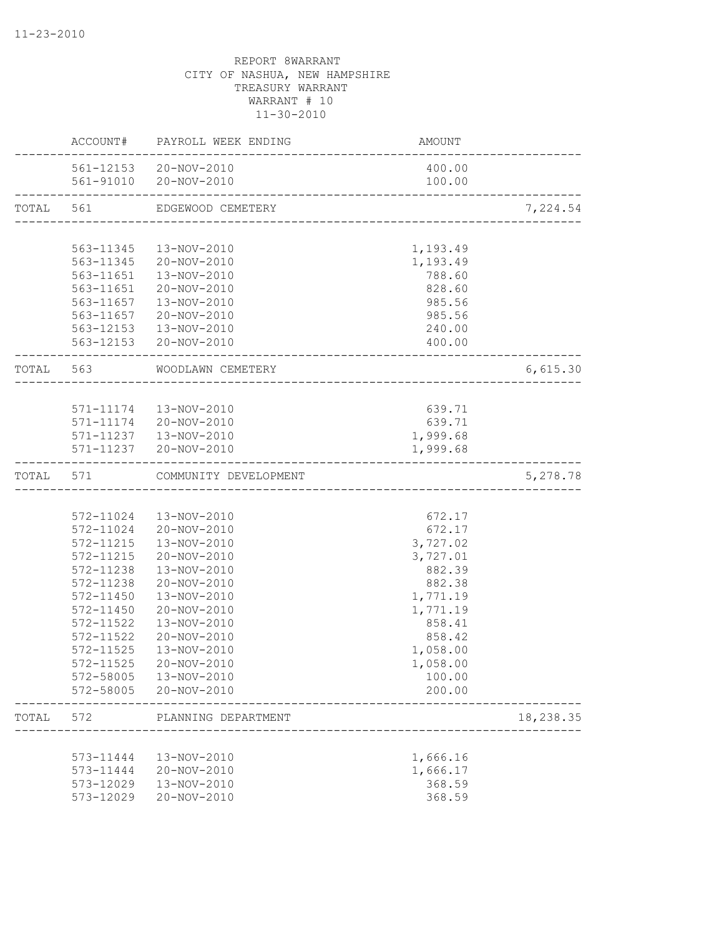|           |                        | ACCOUNT# PAYROLL WEEK ENDING                    | AMOUNT                       |           |
|-----------|------------------------|-------------------------------------------------|------------------------------|-----------|
|           |                        | 561-12153 20-NOV-2010<br>561-91010 20-NOV-2010  | 400.00<br>100.00             |           |
| TOTAL 561 |                        | EDGEWOOD CEMETERY                               |                              | 7,224.54  |
|           |                        |                                                 |                              |           |
|           | 563-11345              | 13-NOV-2010                                     | 1,193.49                     |           |
|           |                        | 563-11345 20-NOV-2010                           | 1,193.49                     |           |
|           |                        | 563-11651  13-NOV-2010                          | 788.60                       |           |
|           |                        | 563-11651 20-NOV-2010<br>563-11657  13-NOV-2010 | 828.60<br>985.56             |           |
|           |                        | 563-11657 20-NOV-2010                           | 985.56                       |           |
|           |                        | 563-12153  13-NOV-2010                          | 240.00                       |           |
|           |                        | 563-12153 20-NOV-2010                           | 400.00                       |           |
|           | TOTAL 563              | WOODLAWN CEMETERY                               | -----------------------      | 6,615.30  |
|           |                        |                                                 |                              |           |
|           |                        | 571-11174  13-NOV-2010                          | 639.71                       |           |
|           |                        | 571-11174 20-NOV-2010                           | 639.71                       |           |
|           |                        | 571-11237  13-NOV-2010                          | 1,999.68                     |           |
|           |                        | 571-11237 20-NOV-2010                           | 1,999.68<br>________________ |           |
| TOTAL 571 |                        | COMMUNITY DEVELOPMENT                           |                              | 5,278.78  |
|           |                        |                                                 |                              |           |
|           |                        | 572-11024  13-NOV-2010                          | 672.17                       |           |
|           |                        | 572-11024 20-NOV-2010                           | 672.17                       |           |
|           | 572-11215<br>572-11215 | 13-NOV-2010<br>20-NOV-2010                      | 3,727.02                     |           |
|           | 572-11238              | 13-NOV-2010                                     | 3,727.01<br>882.39           |           |
|           | 572-11238              | 20-NOV-2010                                     | 882.38                       |           |
|           | 572-11450              | 13-NOV-2010                                     | 1,771.19                     |           |
|           | 572-11450              | 20-NOV-2010                                     | 1,771.19                     |           |
|           | 572-11522              | 13-NOV-2010                                     | 858.41                       |           |
|           | 572-11522              | 20-NOV-2010                                     | 858.42                       |           |
|           | 572-11525              | 13-NOV-2010                                     | 1,058.00                     |           |
|           | 572-11525              | 20-NOV-2010                                     | 1,058.00                     |           |
|           | 572-58005              | 13-NOV-2010                                     | 100.00                       |           |
|           | 572-58005              | 20-NOV-2010                                     | 200.00                       |           |
| TOTAL     | 572                    | PLANNING DEPARTMENT                             |                              | 18,238.35 |
|           |                        |                                                 |                              |           |
|           | 573-11444              | 13-NOV-2010                                     | 1,666.16                     |           |
|           | 573-11444              | 20-NOV-2010                                     | 1,666.17                     |           |
|           | 573-12029              | 13-NOV-2010                                     | 368.59                       |           |
|           | 573-12029              | 20-NOV-2010                                     | 368.59                       |           |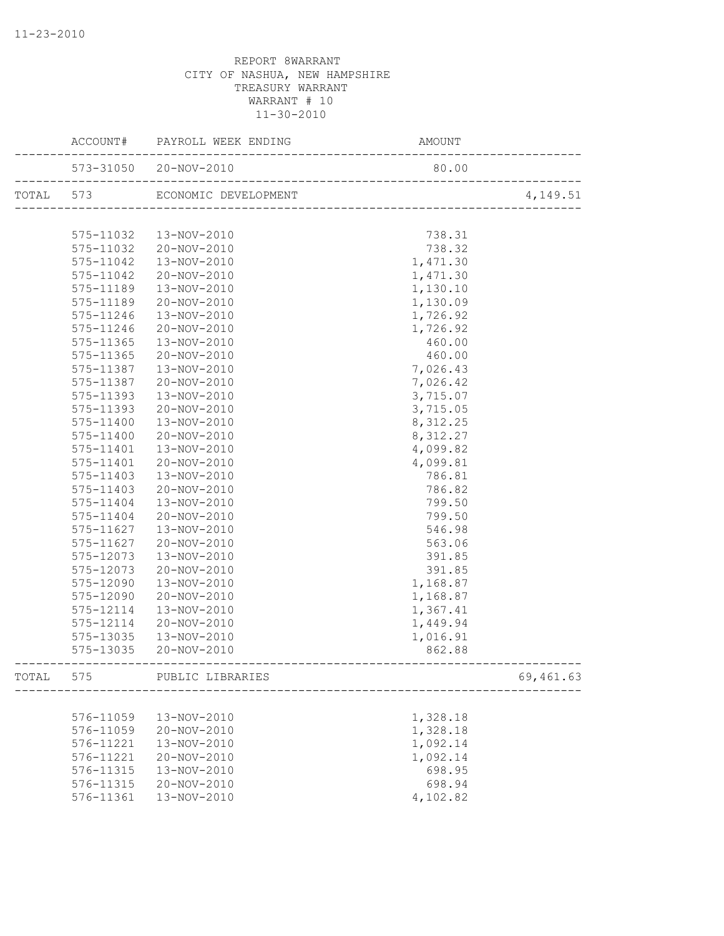|           |           | ACCOUNT# PAYROLL WEEK ENDING | AMOUNT                          |           |
|-----------|-----------|------------------------------|---------------------------------|-----------|
|           |           | 573-31050 20-NOV-2010        | 80.00                           |           |
| TOTAL 573 |           | ECONOMIC DEVELOPMENT         | _______________________________ | 4,149.51  |
|           |           |                              |                                 |           |
|           | 575-11032 | 13-NOV-2010                  | 738.31                          |           |
|           | 575-11032 | 20-NOV-2010                  | 738.32                          |           |
|           | 575-11042 | 13-NOV-2010                  | 1,471.30                        |           |
|           | 575-11042 | 20-NOV-2010                  | 1,471.30                        |           |
|           | 575-11189 | 13-NOV-2010                  | 1,130.10                        |           |
|           | 575-11189 | 20-NOV-2010                  | 1,130.09                        |           |
|           | 575-11246 | 13-NOV-2010                  | 1,726.92                        |           |
|           | 575-11246 | 20-NOV-2010                  | 1,726.92                        |           |
|           | 575-11365 | 13-NOV-2010                  | 460.00                          |           |
|           | 575-11365 | 20-NOV-2010                  | 460.00                          |           |
|           | 575-11387 | 13-NOV-2010                  | 7,026.43                        |           |
|           | 575-11387 | 20-NOV-2010                  | 7,026.42                        |           |
|           | 575-11393 | 13-NOV-2010                  | 3,715.07                        |           |
|           | 575-11393 | 20-NOV-2010                  | 3,715.05                        |           |
|           | 575-11400 | 13-NOV-2010                  | 8,312.25                        |           |
|           | 575-11400 | 20-NOV-2010                  | 8,312.27                        |           |
|           | 575-11401 | 13-NOV-2010                  | 4,099.82                        |           |
|           | 575-11401 | 20-NOV-2010                  | 4,099.81                        |           |
|           | 575-11403 | 13-NOV-2010                  | 786.81                          |           |
|           | 575-11403 | 20-NOV-2010                  | 786.82                          |           |
|           | 575-11404 | 13-NOV-2010                  | 799.50                          |           |
|           | 575-11404 | 20-NOV-2010                  | 799.50                          |           |
|           | 575-11627 | 13-NOV-2010                  | 546.98                          |           |
|           | 575-11627 | 20-NOV-2010                  | 563.06                          |           |
|           | 575-12073 | 13-NOV-2010                  | 391.85                          |           |
|           | 575-12073 | 20-NOV-2010                  | 391.85                          |           |
|           | 575-12090 | 13-NOV-2010                  | 1,168.87                        |           |
|           | 575-12090 | 20-NOV-2010                  | 1,168.87                        |           |
|           | 575-12114 | 13-NOV-2010                  | 1,367.41                        |           |
|           | 575-12114 | 20-NOV-2010                  | 1,449.94                        |           |
|           | 575-13035 | 13-NOV-2010                  | 1,016.91                        |           |
|           | 575-13035 | 20-NOV-2010                  | 862.88                          |           |
| TOTAL     | 575       | PUBLIC LIBRARIES             |                                 | 69,461.63 |
|           |           |                              |                                 |           |
|           | 576-11059 | 13-NOV-2010                  | 1,328.18                        |           |
|           | 576-11059 | 20-NOV-2010                  | 1,328.18                        |           |
|           | 576-11221 | 13-NOV-2010                  | 1,092.14                        |           |
|           | 576-11221 | 20-NOV-2010                  | 1,092.14                        |           |
|           | 576-11315 | 13-NOV-2010                  | 698.95                          |           |
|           | 576-11315 | 20-NOV-2010                  | 698.94                          |           |
|           | 576-11361 | 13-NOV-2010                  | 4,102.82                        |           |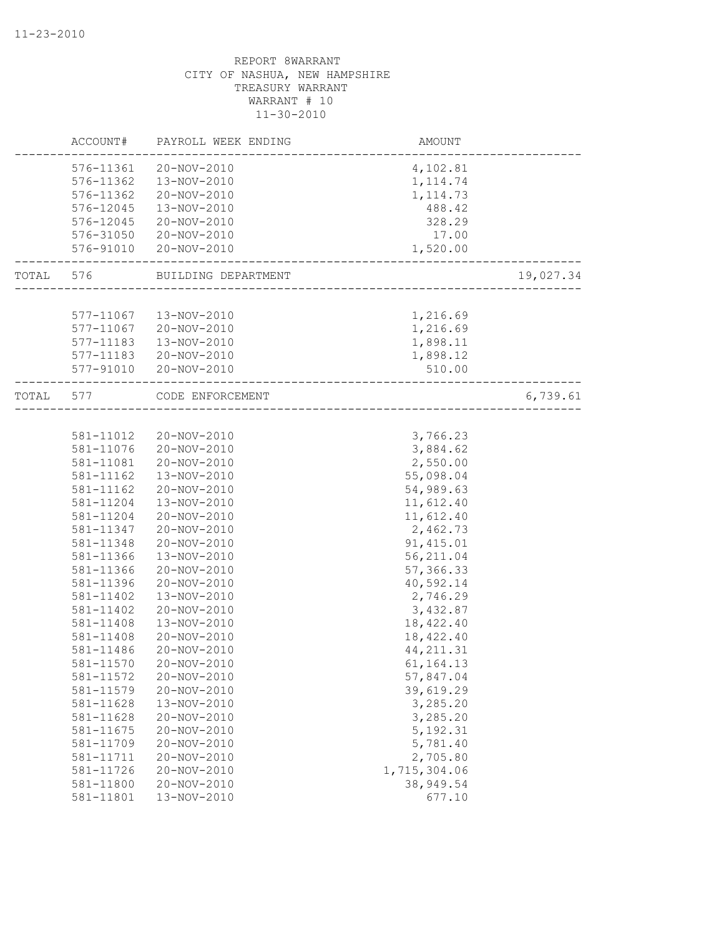|       | ACCOUNT#  | PAYROLL WEEK ENDING | AMOUNT       |           |
|-------|-----------|---------------------|--------------|-----------|
|       | 576-11361 | 20-NOV-2010         | 4,102.81     |           |
|       | 576-11362 | 13-NOV-2010         | 1, 114.74    |           |
|       | 576-11362 | 20-NOV-2010         | 1, 114.73    |           |
|       | 576-12045 | 13-NOV-2010         | 488.42       |           |
|       | 576-12045 | 20-NOV-2010         | 328.29       |           |
|       | 576-31050 | 20-NOV-2010         | 17.00        |           |
|       | 576-91010 | 20-NOV-2010         | 1,520.00     |           |
| TOTAL | 576       | BUILDING DEPARTMENT |              | 19,027.34 |
|       |           |                     |              |           |
|       | 577-11067 | 13-NOV-2010         | 1,216.69     |           |
|       | 577-11067 | 20-NOV-2010         | 1,216.69     |           |
|       | 577-11183 | 13-NOV-2010         | 1,898.11     |           |
|       | 577-11183 | 20-NOV-2010         | 1,898.12     |           |
|       | 577-91010 | 20-NOV-2010         | 510.00       |           |
| TOTAL | 577       | CODE ENFORCEMENT    |              | 6,739.61  |
|       |           |                     |              |           |
|       | 581-11012 | 20-NOV-2010         | 3,766.23     |           |
|       | 581-11076 | 20-NOV-2010         | 3,884.62     |           |
|       | 581-11081 | 20-NOV-2010         | 2,550.00     |           |
|       | 581-11162 | 13-NOV-2010         | 55,098.04    |           |
|       | 581-11162 | 20-NOV-2010         | 54,989.63    |           |
|       | 581-11204 | 13-NOV-2010         | 11,612.40    |           |
|       | 581-11204 | 20-NOV-2010         | 11,612.40    |           |
|       | 581-11347 | 20-NOV-2010         | 2,462.73     |           |
|       | 581-11348 | $20 - NOV - 2010$   | 91, 415.01   |           |
|       | 581-11366 | 13-NOV-2010         | 56, 211.04   |           |
|       | 581-11366 | 20-NOV-2010         | 57,366.33    |           |
|       | 581-11396 | 20-NOV-2010         | 40,592.14    |           |
|       | 581-11402 | 13-NOV-2010         | 2,746.29     |           |
|       | 581-11402 | 20-NOV-2010         | 3,432.87     |           |
|       | 581-11408 | 13-NOV-2010         | 18,422.40    |           |
|       | 581-11408 | 20-NOV-2010         | 18,422.40    |           |
|       | 581-11486 | 20-NOV-2010         | 44, 211.31   |           |
|       | 581-11570 | 20-NOV-2010         | 61,164.13    |           |
|       | 581-11572 | 20-NOV-2010         | 57,847.04    |           |
|       | 581-11579 | 20-NOV-2010         | 39,619.29    |           |
|       | 581-11628 | 13-NOV-2010         | 3,285.20     |           |
|       | 581-11628 | 20-NOV-2010         | 3,285.20     |           |
|       | 581-11675 | 20-NOV-2010         | 5, 192.31    |           |
|       | 581-11709 | 20-NOV-2010         | 5,781.40     |           |
|       | 581-11711 | 20-NOV-2010         | 2,705.80     |           |
|       | 581-11726 | 20-NOV-2010         | 1,715,304.06 |           |
|       | 581-11800 | 20-NOV-2010         | 38,949.54    |           |
|       | 581-11801 | 13-NOV-2010         | 677.10       |           |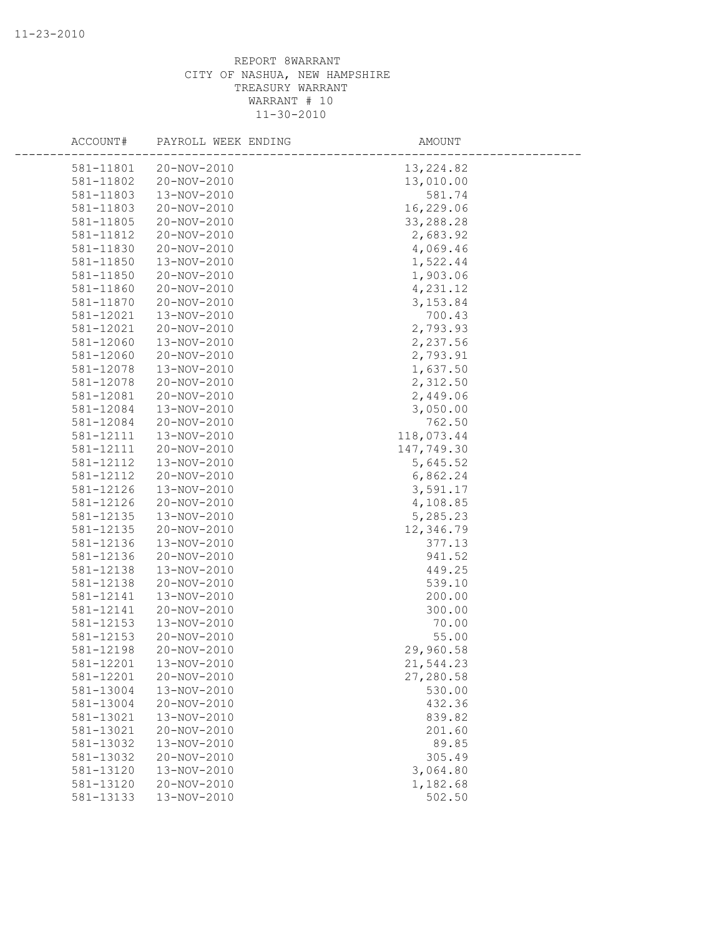| ACCOUNT#  | PAYROLL WEEK ENDING        | AMOUNT     |
|-----------|----------------------------|------------|
|           |                            |            |
| 581-11801 | 20-NOV-2010<br>20-NOV-2010 | 13, 224.82 |
| 581-11802 | 13-NOV-2010                | 13,010.00  |
| 581-11803 |                            | 581.74     |
| 581-11803 | 20-NOV-2010                | 16,229.06  |
| 581-11805 | 20-NOV-2010                | 33,288.28  |
| 581-11812 | 20-NOV-2010                | 2,683.92   |
| 581-11830 | 20-NOV-2010                | 4,069.46   |
| 581-11850 | 13-NOV-2010                | 1,522.44   |
| 581-11850 | 20-NOV-2010                | 1,903.06   |
| 581-11860 | 20-NOV-2010                | 4,231.12   |
| 581-11870 | 20-NOV-2010                | 3, 153.84  |
| 581-12021 | 13-NOV-2010                | 700.43     |
| 581-12021 | 20-NOV-2010                | 2,793.93   |
| 581-12060 | 13-NOV-2010                | 2,237.56   |
| 581-12060 | 20-NOV-2010                | 2,793.91   |
| 581-12078 | 13-NOV-2010                | 1,637.50   |
| 581-12078 | 20-NOV-2010                | 2,312.50   |
| 581-12081 | 20-NOV-2010                | 2,449.06   |
| 581-12084 | 13-NOV-2010                | 3,050.00   |
| 581-12084 | 20-NOV-2010                | 762.50     |
| 581-12111 | 13-NOV-2010                | 118,073.44 |
| 581-12111 | 20-NOV-2010                | 147,749.30 |
| 581-12112 | 13-NOV-2010                | 5,645.52   |
| 581-12112 | 20-NOV-2010                | 6,862.24   |
| 581-12126 | 13-NOV-2010                | 3,591.17   |
| 581-12126 | 20-NOV-2010                | 4,108.85   |
| 581-12135 | 13-NOV-2010                | 5,285.23   |
| 581-12135 | 20-NOV-2010                | 12,346.79  |
| 581-12136 | 13-NOV-2010                | 377.13     |
| 581-12136 | 20-NOV-2010                | 941.52     |
| 581-12138 | 13-NOV-2010                | 449.25     |
| 581-12138 | 20-NOV-2010                | 539.10     |
| 581-12141 | 13-NOV-2010                | 200.00     |
| 581-12141 | 20-NOV-2010                | 300.00     |
| 581-12153 | 13-NOV-2010                | 70.00      |
| 581-12153 | 20-NOV-2010                | 55.00      |
| 581-12198 | 20-NOV-2010                | 29,960.58  |
| 581-12201 | 13-NOV-2010                | 21,544.23  |
| 581-12201 | 20-NOV-2010                | 27,280.58  |
| 581-13004 | 13-NOV-2010                | 530.00     |
| 581-13004 | 20-NOV-2010                | 432.36     |
| 581-13021 | 13-NOV-2010                | 839.82     |
| 581-13021 | 20-NOV-2010                | 201.60     |
| 581-13032 | 13-NOV-2010                | 89.85      |
| 581-13032 | 20-NOV-2010                | 305.49     |
| 581-13120 | 13-NOV-2010                | 3,064.80   |
| 581-13120 | 20-NOV-2010                | 1,182.68   |
| 581-13133 | 13-NOV-2010                | 502.50     |
|           |                            |            |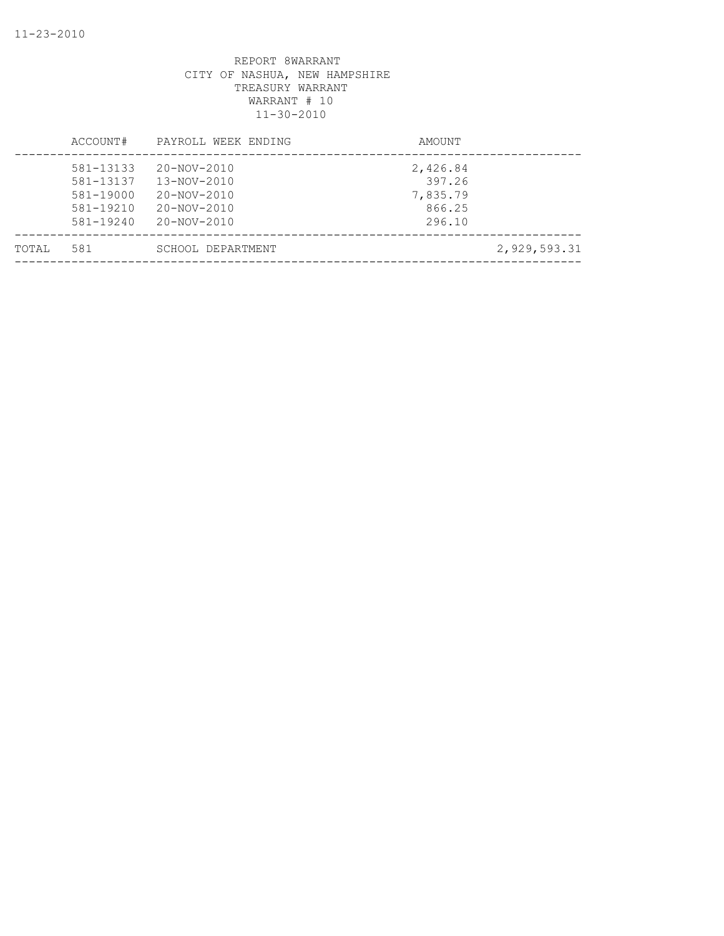|       | ACCOUNT#                                                              | PAYROLL WEEK ENDING                                                                                   | AMOUNT                                             |              |
|-------|-----------------------------------------------------------------------|-------------------------------------------------------------------------------------------------------|----------------------------------------------------|--------------|
|       | 581-13133<br>581-13137<br>581-19000<br>$581 - 19210$<br>$581 - 19240$ | $20 - NOV - 2010$<br>$13 - NOV - 2010$<br>$20 - NOV - 2010$<br>$20 - NOV - 2010$<br>$20 - NOV - 2010$ | 2,426.84<br>397.26<br>7,835.79<br>866.25<br>296.10 |              |
| TOTAL | 581                                                                   | SCHOOL DEPARTMENT                                                                                     |                                                    | 2,929,593.31 |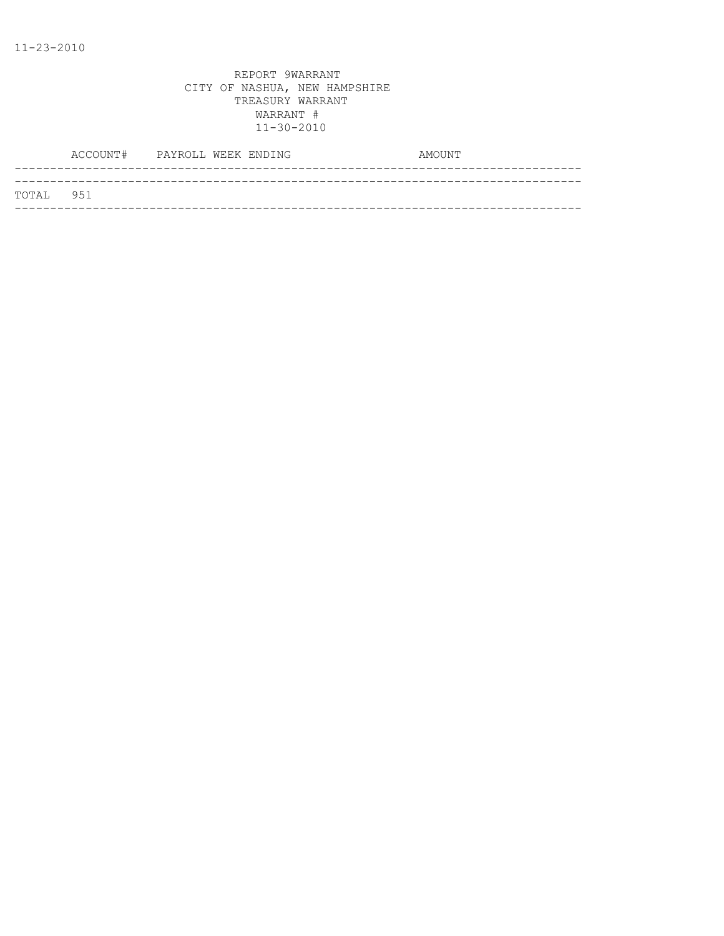|           | ACCOUNT# PAYROLL WEEK ENDING |  |  | AMOUNT |  |
|-----------|------------------------------|--|--|--------|--|
|           |                              |  |  |        |  |
| TOTAL 951 |                              |  |  |        |  |
|           |                              |  |  |        |  |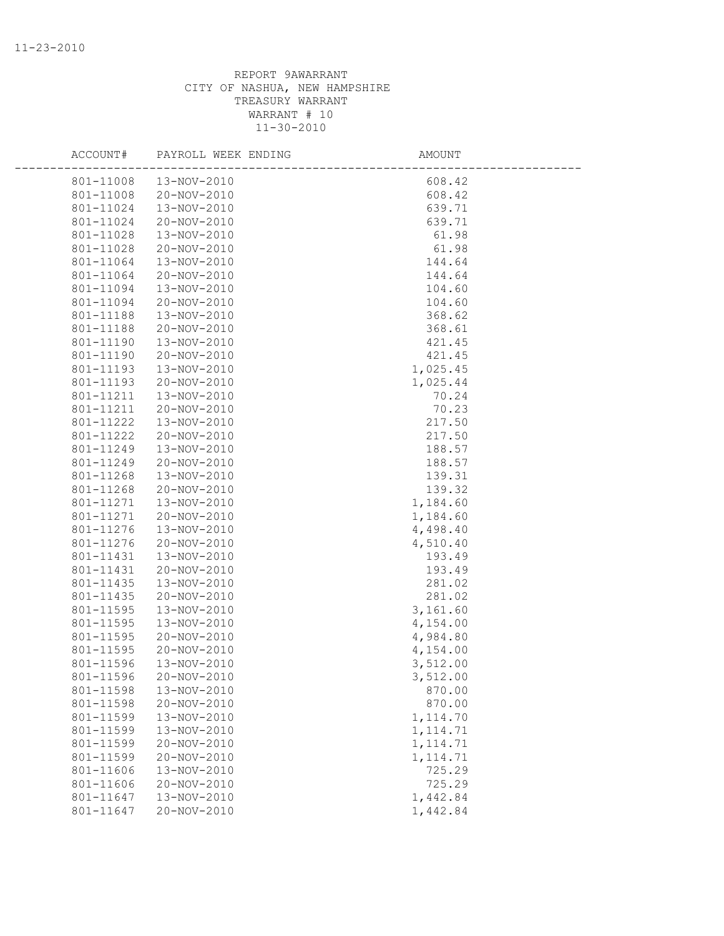| ACCOUNT#  | PAYROLL WEEK ENDING | <b>AMOUNT</b> |  |
|-----------|---------------------|---------------|--|
| 801-11008 | 13-NOV-2010         | 608.42        |  |
| 801-11008 | 20-NOV-2010         | 608.42        |  |
| 801-11024 | 13-NOV-2010         | 639.71        |  |
| 801-11024 | 20-NOV-2010         | 639.71        |  |
| 801-11028 | 13-NOV-2010         | 61.98         |  |
| 801-11028 | 20-NOV-2010         | 61.98         |  |
| 801-11064 | 13-NOV-2010         | 144.64        |  |
| 801-11064 | 20-NOV-2010         | 144.64        |  |
| 801-11094 | 13-NOV-2010         | 104.60        |  |
| 801-11094 | 20-NOV-2010         | 104.60        |  |
| 801-11188 | 13-NOV-2010         | 368.62        |  |
| 801-11188 | 20-NOV-2010         | 368.61        |  |
| 801-11190 | 13-NOV-2010         | 421.45        |  |
| 801-11190 | 20-NOV-2010         | 421.45        |  |
| 801-11193 | 13-NOV-2010         | 1,025.45      |  |
| 801-11193 | 20-NOV-2010         | 1,025.44      |  |
| 801-11211 | 13-NOV-2010         | 70.24         |  |
| 801-11211 | 20-NOV-2010         | 70.23         |  |
| 801-11222 | 13-NOV-2010         | 217.50        |  |
| 801-11222 | 20-NOV-2010         | 217.50        |  |
| 801-11249 | 13-NOV-2010         | 188.57        |  |
| 801-11249 | 20-NOV-2010         | 188.57        |  |
| 801-11268 | 13-NOV-2010         | 139.31        |  |
| 801-11268 | 20-NOV-2010         | 139.32        |  |
| 801-11271 | 13-NOV-2010         | 1,184.60      |  |
| 801-11271 | 20-NOV-2010         | 1,184.60      |  |
| 801-11276 | 13-NOV-2010         | 4,498.40      |  |
| 801-11276 | 20-NOV-2010         | 4,510.40      |  |
| 801-11431 | 13-NOV-2010         | 193.49        |  |
| 801-11431 | 20-NOV-2010         | 193.49        |  |
| 801-11435 | 13-NOV-2010         | 281.02        |  |
| 801-11435 | 20-NOV-2010         | 281.02        |  |
| 801-11595 | 13-NOV-2010         | 3,161.60      |  |
| 801-11595 | 13-NOV-2010         | 4,154.00      |  |
| 801-11595 | 20-NOV-2010         | 4,984.80      |  |
| 801-11595 | 20-NOV-2010         | 4,154.00      |  |
| 801-11596 | 13-NOV-2010         | 3,512.00      |  |
| 801-11596 | 20-NOV-2010         | 3,512.00      |  |
| 801-11598 | 13-NOV-2010         | 870.00        |  |
| 801-11598 | 20-NOV-2010         | 870.00        |  |
| 801-11599 | 13-NOV-2010         | 1, 114.70     |  |
| 801-11599 | 13-NOV-2010         | 1, 114.71     |  |
| 801-11599 | 20-NOV-2010         | 1, 114.71     |  |
| 801-11599 | 20-NOV-2010         | 1, 114.71     |  |
| 801-11606 | 13-NOV-2010         | 725.29        |  |
| 801-11606 | 20-NOV-2010         | 725.29        |  |
| 801-11647 | 13-NOV-2010         | 1,442.84      |  |
| 801-11647 | 20-NOV-2010         | 1,442.84      |  |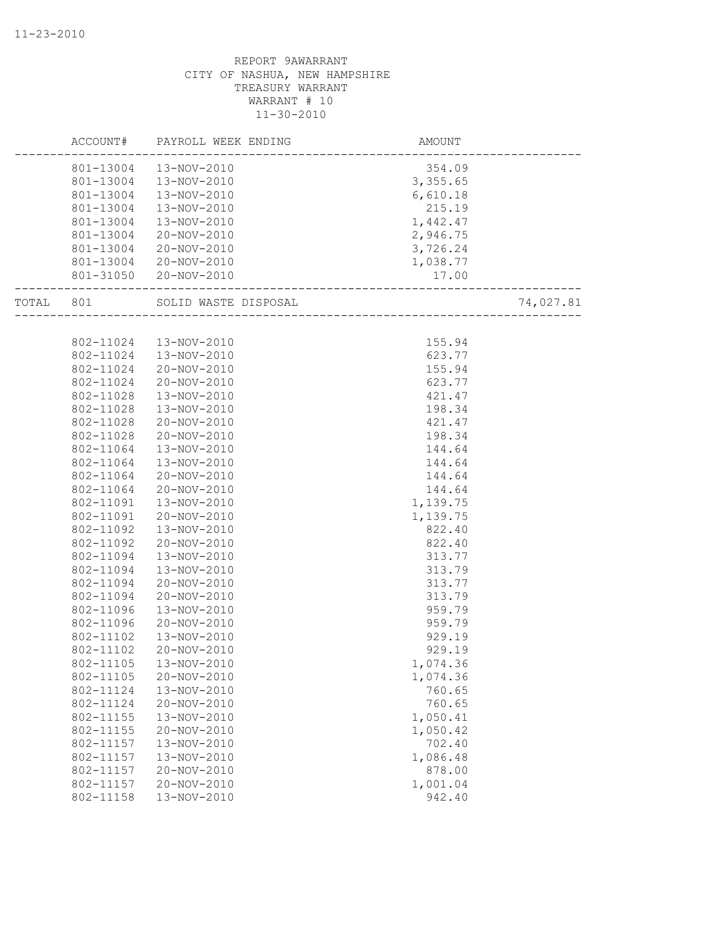|       | ACCOUNT#               | PAYROLL WEEK ENDING   | AMOUNT                          |           |
|-------|------------------------|-----------------------|---------------------------------|-----------|
|       |                        |                       |                                 |           |
|       | 801-13004              | 13-NOV-2010           | 354.09                          |           |
|       | 801-13004              | 13-NOV-2010           | 3,355.65                        |           |
|       | 801-13004<br>801-13004 | 13-NOV-2010           | 6,610.18                        |           |
|       |                        | 13-NOV-2010           | 215.19                          |           |
|       | 801-13004              | 13-NOV-2010           | 1,442.47                        |           |
|       | 801-13004              | 20-NOV-2010           | 2,946.75                        |           |
|       | 801-13004              | 20-NOV-2010           | 3,726.24                        |           |
|       | 801-13004              | 20-NOV-2010           | 1,038.77                        |           |
|       |                        | 801-31050 20-NOV-2010 | 17.00<br>______________________ |           |
| TOTAL | 801                    | SOLID WASTE DISPOSAL  | ___________________             | 74,027.81 |
|       |                        |                       |                                 |           |
|       | 802-11024              | 13-NOV-2010           | 155.94                          |           |
|       | 802-11024              | 13-NOV-2010           | 623.77                          |           |
|       | 802-11024              | 20-NOV-2010           | 155.94                          |           |
|       | 802-11024              | 20-NOV-2010           | 623.77                          |           |
|       | 802-11028              | 13-NOV-2010           | 421.47                          |           |
|       | 802-11028              | $13 - NOV - 2010$     | 198.34                          |           |
|       | 802-11028              | 20-NOV-2010           | 421.47                          |           |
|       | 802-11028              | 20-NOV-2010           | 198.34                          |           |
|       | 802-11064              | 13-NOV-2010           | 144.64                          |           |
|       | 802-11064              | 13-NOV-2010           | 144.64                          |           |
|       | 802-11064              | 20-NOV-2010           | 144.64                          |           |
|       | 802-11064              | 20-NOV-2010           | 144.64                          |           |
|       | 802-11091              | 13-NOV-2010           | 1,139.75                        |           |
|       | 802-11091              | 20-NOV-2010           | 1,139.75                        |           |
|       | 802-11092              | 13-NOV-2010           | 822.40                          |           |
|       | 802-11092              | 20-NOV-2010           | 822.40                          |           |
|       | 802-11094              | 13-NOV-2010           | 313.77                          |           |
|       | 802-11094              | 13-NOV-2010           | 313.79                          |           |
|       | 802-11094              | 20-NOV-2010           | 313.77                          |           |
|       | 802-11094              | 20-NOV-2010           | 313.79                          |           |
|       | 802-11096              | 13-NOV-2010           | 959.79                          |           |
|       | 802-11096              | 20-NOV-2010           | 959.79                          |           |
|       | 802-11102              | 13-NOV-2010           | 929.19                          |           |
|       | 802-11102              | 20-NOV-2010           | 929.19                          |           |
|       | 802-11105              | 13-NOV-2010           | 1,074.36                        |           |
|       | 802-11105              | 20-NOV-2010           | 1,074.36                        |           |
|       | 802-11124              | 13-NOV-2010           | 760.65                          |           |
|       | 802-11124              | 20-NOV-2010           | 760.65                          |           |
|       | 802-11155              | 13-NOV-2010           | 1,050.41                        |           |
|       | 802-11155              | 20-NOV-2010           | 1,050.42                        |           |
|       | 802-11157              | 13-NOV-2010           | 702.40                          |           |
|       | 802-11157              | 13-NOV-2010           | 1,086.48                        |           |
|       | 802-11157              | 20-NOV-2010           | 878.00                          |           |
|       | 802-11157              | 20-NOV-2010           | 1,001.04                        |           |
|       | 802-11158              | 13-NOV-2010           | 942.40                          |           |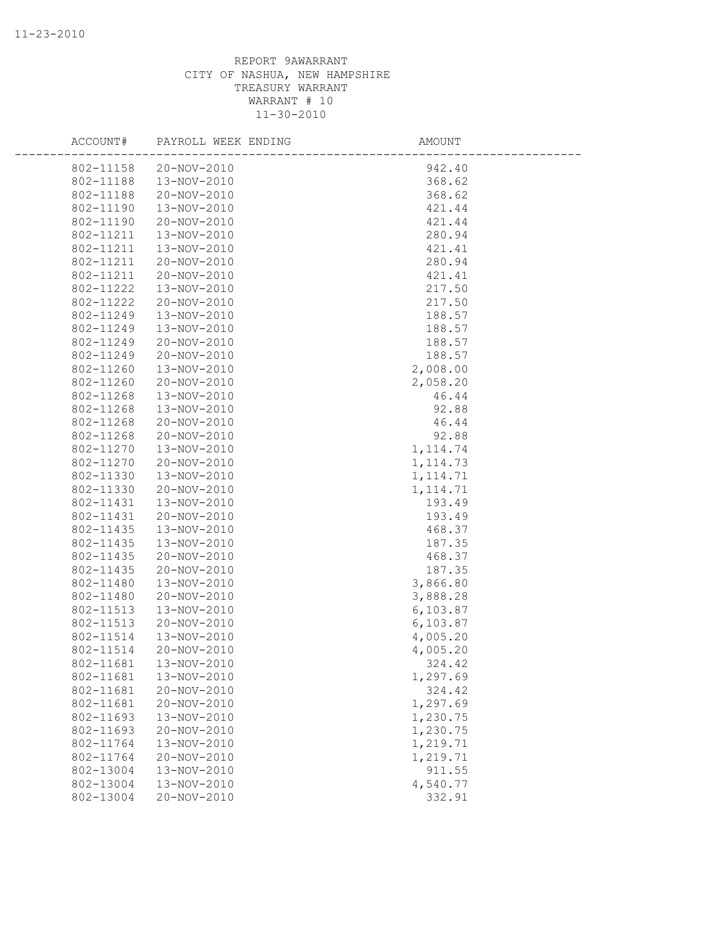| ACCOUNT#  | PAYROLL WEEK ENDING | AMOUNT    |  |
|-----------|---------------------|-----------|--|
| 802-11158 | 20-NOV-2010         | 942.40    |  |
| 802-11188 | 13-NOV-2010         | 368.62    |  |
| 802-11188 | 20-NOV-2010         | 368.62    |  |
| 802-11190 | 13-NOV-2010         | 421.44    |  |
| 802-11190 | 20-NOV-2010         | 421.44    |  |
| 802-11211 | 13-NOV-2010         | 280.94    |  |
| 802-11211 | 13-NOV-2010         | 421.41    |  |
| 802-11211 | 20-NOV-2010         | 280.94    |  |
| 802-11211 | 20-NOV-2010         | 421.41    |  |
| 802-11222 | 13-NOV-2010         | 217.50    |  |
| 802-11222 | 20-NOV-2010         | 217.50    |  |
| 802-11249 | 13-NOV-2010         | 188.57    |  |
| 802-11249 | 13-NOV-2010         | 188.57    |  |
| 802-11249 | 20-NOV-2010         | 188.57    |  |
| 802-11249 | 20-NOV-2010         | 188.57    |  |
| 802-11260 | 13-NOV-2010         | 2,008.00  |  |
| 802-11260 | 20-NOV-2010         | 2,058.20  |  |
| 802-11268 | 13-NOV-2010         | 46.44     |  |
| 802-11268 | 13-NOV-2010         | 92.88     |  |
| 802-11268 | 20-NOV-2010         | 46.44     |  |
| 802-11268 | 20-NOV-2010         | 92.88     |  |
| 802-11270 | 13-NOV-2010         | 1, 114.74 |  |
| 802-11270 | 20-NOV-2010         | 1, 114.73 |  |
| 802-11330 | 13-NOV-2010         | 1, 114.71 |  |
| 802-11330 | 20-NOV-2010         | 1, 114.71 |  |
| 802-11431 | 13-NOV-2010         | 193.49    |  |
| 802-11431 | 20-NOV-2010         | 193.49    |  |
| 802-11435 | 13-NOV-2010         | 468.37    |  |
| 802-11435 | 13-NOV-2010         | 187.35    |  |
| 802-11435 | 20-NOV-2010         | 468.37    |  |
| 802-11435 | 20-NOV-2010         | 187.35    |  |
| 802-11480 | 13-NOV-2010         | 3,866.80  |  |
| 802-11480 | 20-NOV-2010         | 3,888.28  |  |
| 802-11513 | 13-NOV-2010         | 6,103.87  |  |
| 802-11513 | 20-NOV-2010         | 6,103.87  |  |
| 802-11514 | 13-NOV-2010         | 4,005.20  |  |
| 802-11514 | 20-NOV-2010         | 4,005.20  |  |
| 802-11681 | 13-NOV-2010         | 324.42    |  |
| 802-11681 | 13-NOV-2010         | 1,297.69  |  |
| 802-11681 | 20-NOV-2010         | 324.42    |  |
| 802-11681 | 20-NOV-2010         | 1,297.69  |  |
| 802-11693 | 13-NOV-2010         | 1,230.75  |  |
| 802-11693 | 20-NOV-2010         | 1,230.75  |  |
| 802-11764 | 13-NOV-2010         | 1,219.71  |  |
| 802-11764 | 20-NOV-2010         | 1,219.71  |  |
| 802-13004 | 13-NOV-2010         | 911.55    |  |
| 802-13004 | 13-NOV-2010         | 4,540.77  |  |
| 802-13004 | 20-NOV-2010         | 332.91    |  |
|           |                     |           |  |